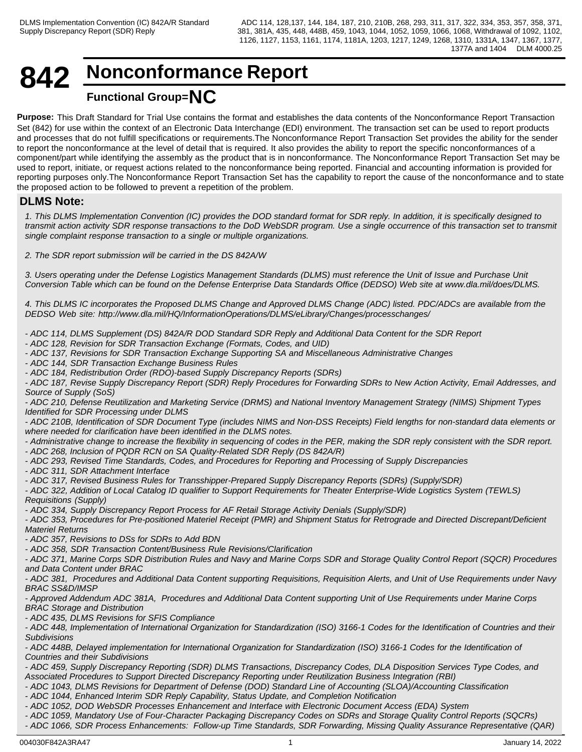# **842 Nonconformance Report**

**Functional Group=NC**

**Purpose:** This Draft Standard for Trial Use contains the format and establishes the data contents of the Nonconformance Report Transaction Set (842) for use within the context of an Electronic Data Interchange (EDI) environment. The transaction set can be used to report products and processes that do not fulfill specifications or requirements.The Nonconformance Report Transaction Set provides the ability for the sender to report the nonconformance at the level of detail that is required. It also provides the ability to report the specific nonconformances of a component/part while identifying the assembly as the product that is in nonconformance. The Nonconformance Report Transaction Set may be used to report, initiate, or request actions related to the nonconformance being reported. Financial and accounting information is provided for reporting purposes only.The Nonconformance Report Transaction Set has the capability to report the cause of the nonconformance and to state the proposed action to be followed to prevent a repetition of the problem.

#### **DLMS Note:**

*1. This DLMS Implementation Convention (IC) provides the DOD standard format for SDR reply. In addition, it is specifically designed to transmit action activity SDR response transactions to the DoD WebSDR program. Use a single occurrence of this transaction set to transmit single complaint response transaction to a single or multiple organizations.*

*2. The SDR report submission will be carried in the DS 842A/W*

*3. Users operating under the Defense Logistics Management Standards (DLMS) must reference the Unit of Issue and Purchase Unit Conversion Table which can be found on the Defense Enterprise Data Standards Office (DEDSO) Web site at www.dla.mil/does/DLMS.*

*4. This DLMS IC incorporates the Proposed DLMS Change and Approved DLMS Change (ADC) listed. PDC/ADCs are available from the DEDSO Web site: http://www.dla.mil/HQ/InformationOperations/DLMS/eLibrary/Changes/processchanges/*

*- ADC 114, DLMS Supplement (DS) 842A/R DOD Standard SDR Reply and Additional Data Content for the SDR Report*

*- ADC 128, Revision for SDR Transaction Exchange (Formats, Codes, and UID)*

*- ADC 137, Revisions for SDR Transaction Exchange Supporting SA and Miscellaneous Administrative Changes*

*- ADC 144, SDR Transaction Exchange Business Rules*

*- ADC 184, Redistribution Order (RDO)-based Supply Discrepancy Reports (SDRs)*

*- ADC 187, Revise Supply Discrepancy Report (SDR) Reply Procedures for Forwarding SDRs to New Action Activity, Email Addresses, and Source of Supply (SoS)*

*- ADC 210, Defense Reutilization and Marketing Service (DRMS) and National Inventory Management Strategy (NIMS) Shipment Types Identified for SDR Processing under DLMS*

*- ADC 210B, Identification of SDR Document Type (includes NIMS and Non-DSS Receipts) Field lengths for non-standard data elements or where needed for clarification have been identified in the DLMS notes.*

*- Administrative change to increase the flexibility in sequencing of codes in the PER, making the SDR reply consistent with the SDR report.*

*- ADC 268, Inclusion of PQDR RCN on SA Quality-Related SDR Reply (DS 842A/R)*

*- ADC 293, Revised Time Standards, Codes, and Procedures for Reporting and Processing of Supply Discrepancies*

*- ADC 311, SDR Attachment Interface*

*- ADC 317, Revised Business Rules for Transshipper-Prepared Supply Discrepancy Reports (SDRs) (Supply/SDR)*

*- ADC 322, Addition of Local Catalog ID qualifier to Support Requirements for Theater Enterprise-Wide Logistics System (TEWLS) Requisitions (Supply)*

*- ADC 334, Supply Discrepancy Report Process for AF Retail Storage Activity Denials (Supply/SDR)*

*- ADC 353, Procedures for Pre-positioned Materiel Receipt (PMR) and Shipment Status for Retrograde and Directed Discrepant/Deficient Materiel Returns*

*- ADC 357, Revisions to DSs for SDRs to Add BDN*

*- ADC 358, SDR Transaction Content/Business Rule Revisions/Clarification*

*- ADC 371, Marine Corps SDR Distribution Rules and Navy and Marine Corps SDR and Storage Quality Control Report (SQCR) Procedures and Data Content under BRAC*

*- ADC 381, Procedures and Additional Data Content supporting Requisitions, Requisition Alerts, and Unit of Use Requirements under Navy BRAC SS&D/IMSP*

*- Approved Addendum ADC 381A, Procedures and Additional Data Content supporting Unit of Use Requirements under Marine Corps BRAC Storage and Distribution*

*- ADC 435, DLMS Revisions for SFIS Compliance*

*- ADC 448, Implementation of International Organization for Standardization (ISO) 3166-1 Codes for the Identification of Countries and their Subdivisions*

*- ADC 448B, Delayed implementation for International Organization for Standardization (ISO) 3166-1 Codes for the Identification of Countries and their Subdivisions*

*- ADC 459, Supply Discrepancy Reporting (SDR) DLMS Transactions, Discrepancy Codes, DLA Disposition Services Type Codes, and Associated Procedures to Support Directed Discrepancy Reporting under Reutilization Business Integration (RBI)*

*- ADC 1043, DLMS Revisions for Department of Defense (DOD) Standard Line of Accounting (SLOA)/Accounting Classification*

*- ADC 1044, Enhanced Interim SDR Reply Capability, Status Update, and Completion Notification*

*- ADC 1052, DOD WebSDR Processes Enhancement and Interface with Electronic Document Access (EDA) System*

*- ADC 1059, Mandatory Use of Four-Character Packaging Discrepancy Codes on SDRs and Storage Quality Control Reports (SQCRs)*

*- ADC 1066, SDR Process Enhancements: Follow-up Time Standards, SDR Forwarding, Missing Quality Assurance Representative (QAR)*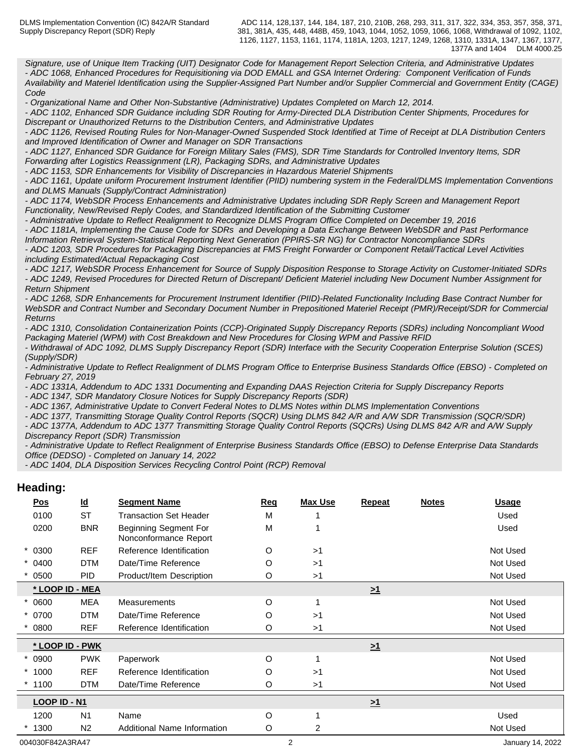*Signature, use of Unique Item Tracking (UIT) Designator Code for Management Report Selection Criteria, and Administrative Updates - ADC 1068, Enhanced Procedures for Requisitioning via DOD EMALL and GSA Internet Ordering: Component Verification of Funds Availability and Materiel Identification using the Supplier-Assigned Part Number and/or Supplier Commercial and Government Entity (CAGE) Code* **Code Code Code Code Code Code Code Code Code Code Code** 

*- Organizational Name and Other Non-Substantive (Administrative) Updates Completed on March 12, 2014.*

*- ADC 1102, Enhanced SDR Guidance including SDR Routing for Army-Directed DLA Distribution Center Shipments, Procedures for Discrepant or Unauthorized Returns to the Distribution Centers, and Administrative Updates*

*- ADC 1126, Revised Routing Rules for Non-Manager-Owned Suspended Stock Identified at Time of Receipt at DLA Distribution Centers and Improved Identification of Owner and Manager on SDR Transactions*

*- ADC 1127, Enhanced SDR Guidance for Foreign Military Sales (FMS), SDR Time Standards for Controlled Inventory Items, SDR Forwarding after Logistics Reassignment (LR), Packaging SDRs, and Administrative Updates*

*- ADC 1153, SDR Enhancements for Visibility of Discrepancies in Hazardous Materiel Shipments*

*- ADC 1161, Update uniform Procurement Instrument Identifier (PIID) numbering system in the Federal/DLMS Implementation Conventions and DLMS Manuals (Supply/Contract Administration)*

*- ADC 1174, WebSDR Process Enhancements and Administrative Updates including SDR Reply Screen and Management Report Functionality, New/Revised Reply Codes, and Standardized Identification of the Submitting Customer*

*- Administrative Update to Reflect Realignment to Recognize DLMS Program Office Completed on December 19, 2016*

- *ADC 1181A, Implementing the Cause Code for SDRs and Developing a Data Exchange Between WebSDR and Past Performance Information Retrieval System-Statistical Reporting Next Generation (PPIRS-SR NG) for Contractor Noncompliance SDRs - ADC 1203, SDR Procedures for Packaging Discrepancies at FMS Freight Forwarder or Component Retail/Tactical Level Activities*
- *including Estimated/Actual Repackaging Cost*

*- ADC 1217, WebSDR Process Enhancement for Source of Supply Disposition Response to Storage Activity on Customer-Initiated SDRs - ADC 1249, Revised Procedures for Directed Return of Discrepant/ Deficient Materiel including New Document Number Assignment for Return Shipment*

*- ADC 1268, SDR Enhancements for Procurement Instrument Identifier (PIID)-Related Functionality Including Base Contract Number for WebSDR and Contract Number and Secondary Document Number in Prepositioned Materiel Receipt (PMR)/Receipt/SDR for Commercial Returns*

*- ADC 1310, Consolidation Containerization Points (CCP)-Originated Supply Discrepancy Reports (SDRs) including Noncompliant Wood Packaging Materiel (WPM) with Cost Breakdown and New Procedures for Closing WPM and Passive RFID*

*- Withdrawal of ADC 1092, DLMS Supply Discrepancy Report (SDR) Interface with the Security Cooperation Enterprise Solution (SCES) (Supply/SDR)*

*- Administrative Update to Reflect Realignment of DLMS Program Office to Enterprise Business Standards Office (EBSO) - Completed on February 27, 2019*

*- ADC 1331A, Addendum to ADC 1331 Documenting and Expanding DAAS Rejection Criteria for Supply Discrepancy Reports*

*- ADC 1347, SDR Mandatory Closure Notices for Supply Discrepancy Reports (SDR)*

*- ADC 1367, Administrative Update to Convert Federal Notes to DLMS Notes within DLMS Implementation Conventions*

*- ADC 1377, Transmitting Storage Quality Control Reports (SQCR) Using DLMS 842 A/R and A/W SDR Transmission (SQCR/SDR)*

*- ADC 1377A, Addendum to ADC 1377 Transmitting Storage Quality Control Reports (SQCRs) Using DLMS 842 A/R and A/W Supply Discrepancy Report (SDR) Transmission*

*- Administrative Update to Reflect Realignment of Enterprise Business Standards Office (EBSO) to Defense Enterprise Data Standards Office (DEDSO) - Completed on January 14, 2022*

*- ADC 1404, DLA Disposition Services Recycling Control Point (RCP) Removal*

#### **Heading:**

| <b>Pos</b>       | $\underline{\mathsf{Id}}$ | <b>Segment Name</b>                                   | Req | <b>Max Use</b> | <b>Repeat</b> | <b>Notes</b> | <b>Usage</b>     |
|------------------|---------------------------|-------------------------------------------------------|-----|----------------|---------------|--------------|------------------|
| 0100             | <b>ST</b>                 | <b>Transaction Set Header</b>                         | М   |                |               |              | Used             |
| 0200             | <b>BNR</b>                | <b>Beginning Segment For</b><br>Nonconformance Report | M   |                |               |              | Used             |
| $* 0300$         | <b>REF</b>                | Reference Identification                              | O   | >1             |               |              | Not Used         |
| $* 0400$         | <b>DTM</b>                | Date/Time Reference                                   | O   | >1             |               |              | Not Used         |
| 0500             | <b>PID</b>                | Product/Item Description                              | O   | >1             |               |              | Not Used         |
|                  | * LOOP ID - MEA           |                                                       |     |                | $\geq 1$      |              |                  |
| 0600             | MEA                       | <b>Measurements</b>                                   | O   |                |               |              | Not Used         |
| $* 0700$         | <b>DTM</b>                | Date/Time Reference                                   | O   | >1             |               |              | Not Used         |
| 0800             | <b>REF</b>                | Reference Identification                              | O   | >1             |               |              | Not Used         |
|                  | * LOOP ID - PWK           |                                                       |     |                | $\geq 1$      |              |                  |
| $* 0900$         | <b>PWK</b>                | Paperwork                                             | O   |                |               |              | Not Used         |
| $*1000$          | <b>REF</b>                | Reference Identification                              | O   | >1             |               |              | Not Used         |
| 1100             | <b>DTM</b>                | Date/Time Reference                                   | O   | >1             |               |              | Not Used         |
| LOOP ID - N1     |                           |                                                       |     |                | $\geq 1$      |              |                  |
| 1200             | N <sub>1</sub>            | Name                                                  | O   |                |               |              | Used             |
| 1300             | N <sub>2</sub>            | Additional Name Information                           | O   | 2              |               |              | Not Used         |
| 004030F842A3RA47 |                           |                                                       |     | $\overline{2}$ |               |              | January 14, 2022 |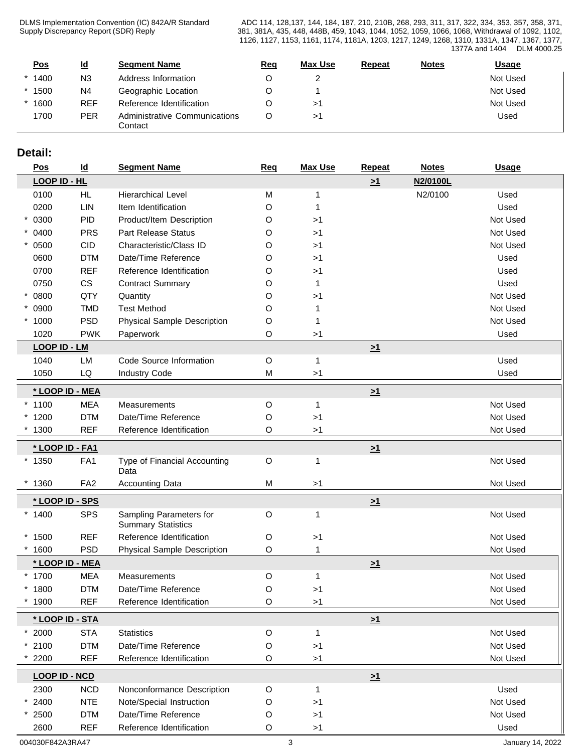DLMS Implementation Convention (IC) 842A/R Standard Supply Discrepancy Report (SDR) Reply

ADC 114, 128,137, 144, 184, 187, 210, 210B, 268, 293, 311, 317, 322, 334, 353, 357, 358, 371, 381, 381A, 435, 448, 448B, 459, 1043, 1044, 1052, 1059, 1066, 1068, Withdrawal of 1092, 1102, 1126, 1127, 1153, 1161, 1174, 1181A, 1203, 1217, 1249, 1268, 1310, 1331A, 1347, 1367, 1377, 1377A and 1404 DLM 4000.25

| <u>Pos</u> | $\underline{\mathsf{Id}}$ | <b>Segment Name</b>                      | <u>Req</u> | Max Use | Repeat | <b>Notes</b> | <u>Usage</u> |  |
|------------|---------------------------|------------------------------------------|------------|---------|--------|--------------|--------------|--|
| 1400       | N <sub>3</sub>            | Address Information                      |            |         |        |              | Not Used     |  |
| 1500       | N <sub>4</sub>            | Geographic Location                      |            |         |        |              | Not Used     |  |
| 1600       | <b>REF</b>                | Reference Identification                 |            | ⋗Ί      |        |              | Not Used     |  |
| 1700       | PER                       | Administrative Communications<br>Contact |            | ≻`      |        |              | Used         |  |

#### **Detail:**

| <b>Pos</b>          | $\underline{\mathsf{Id}}$ | <b>Segment Name</b>                                  | <u>Req</u> | <b>Max Use</b> | <b>Repeat</b> | <b>Notes</b> | <b>Usage</b> |
|---------------------|---------------------------|------------------------------------------------------|------------|----------------|---------------|--------------|--------------|
| LOOP ID - HL        |                           |                                                      |            |                | $\geq 1$      | N2/0100L     |              |
| 0100                | HL                        | <b>Hierarchical Level</b>                            | M          | 1              |               | N2/0100      | Used         |
| 0200                | LIN                       | Item Identification                                  | O          | 1              |               |              | Used         |
| $* 0300$            | <b>PID</b>                | Product/Item Description                             | O          | >1             |               |              | Not Used     |
| $* 0400$            | <b>PRS</b>                | <b>Part Release Status</b>                           | O          | >1             |               |              | Not Used     |
| 0500                | <b>CID</b>                | Characteristic/Class ID                              | O          | >1             |               |              | Not Used     |
| 0600                | <b>DTM</b>                | Date/Time Reference                                  | O          | >1             |               |              | Used         |
| 0700                | <b>REF</b>                | Reference Identification                             | O          | >1             |               |              | Used         |
| 0750                | CS                        | <b>Contract Summary</b>                              | O          | 1              |               |              | Used         |
| 0800                | QTY                       | Quantity                                             | O          | >1             |               |              | Not Used     |
| 0900                | <b>TMD</b>                | <b>Test Method</b>                                   | O          |                |               |              | Not Used     |
| $*1000$             | <b>PSD</b>                | <b>Physical Sample Description</b>                   | O          | -1             |               |              | Not Used     |
| 1020                | <b>PWK</b>                | Paperwork                                            | O          | >1             |               |              | Used         |
| <b>LOOP ID - LM</b> |                           |                                                      |            |                | $\geq 1$      |              |              |
| 1040                | LM                        | Code Source Information                              | O          | 1              |               |              | Used         |
| 1050                | LQ                        | <b>Industry Code</b>                                 | М          | >1             |               |              | Used         |
|                     | * LOOP ID - MEA           |                                                      |            |                | $\geq 1$      |              |              |
| $*1100$             | <b>MEA</b>                | Measurements                                         | O          | 1              |               |              | Not Used     |
| $*1200$             | <b>DTM</b>                | Date/Time Reference                                  | O          | >1             |               |              | Not Used     |
| 1300                | <b>REF</b>                | Reference Identification                             | O          | >1             |               |              | Not Used     |
|                     | *LOOP ID - FA1            |                                                      |            |                | $\geq 1$      |              |              |
| $*1350$             | FA1                       | Type of Financial Accounting                         | O          | 1              |               |              | Not Used     |
|                     |                           | Data                                                 |            |                |               |              |              |
| $*1360$             | FA <sub>2</sub>           | <b>Accounting Data</b>                               | M          | >1             |               |              | Not Used     |
|                     | * LOOP ID - SPS           |                                                      |            |                | $\geq 1$      |              |              |
| $*1400$             | <b>SPS</b>                | Sampling Parameters for<br><b>Summary Statistics</b> | O          | 1              |               |              | Not Used     |
| $*1500$             | <b>REF</b>                | Reference Identification                             | O          | >1             |               |              | Not Used     |
| 1600                | <b>PSD</b>                | <b>Physical Sample Description</b>                   | O          | 1              |               |              | Not Used     |
|                     | * LOOP ID - MEA           |                                                      |            |                | $\geq 1$      |              |              |
| * 1700              | <b>MEA</b>                | Measurements                                         | O          | -1             |               |              | Not Used     |
| $*1800$             | <b>DTM</b>                | Date/Time Reference                                  | ∩          | >1             |               |              | Not Used     |
| 1900                | <b>REF</b>                | Reference Identification                             | O          | >1             |               |              | Not Used     |
|                     | * LOOP ID - STA           |                                                      |            |                | $\geq 1$      |              |              |
| 2000                | <b>STA</b>                | <b>Statistics</b>                                    | O          | 1              |               |              | Not Used     |
| 2100                | <b>DTM</b>                | Date/Time Reference                                  | O          | >1             |               |              | Not Used     |
| 2200                | <b>REF</b>                | Reference Identification                             | O          | >1             |               |              | Not Used     |
|                     | <b>LOOP ID - NCD</b>      |                                                      |            |                | $\geq 1$      |              |              |
| 2300                | NCD                       | Nonconformance Description                           | O          | 1              |               |              | Used         |
| 2400                | <b>NTE</b>                | Note/Special Instruction                             | O          | >1             |               |              | Not Used     |
| 2500                | <b>DTM</b>                | Date/Time Reference                                  | O          | >1             |               |              | Not Used     |
| 2600                | <b>REF</b>                | Reference Identification                             | O          | $>1$           |               |              | Used         |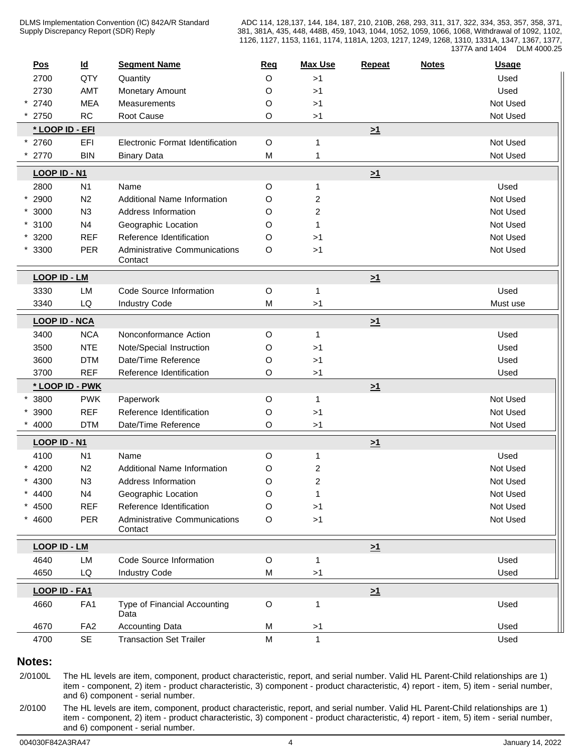DLMS Implementation Convention (IC) 842A/R Standard Supply Discrepancy Report (SDR) Reply

ADC 114, 128,137, 144, 184, 187, 210, 210B, 268, 293, 311, 317, 322, 334, 353, 357, 358, 371, 381, 381A, 435, 448, 448B, 459, 1043, 1044, 1052, 1059, 1066, 1068, Withdrawal of 1092, 1102, 1126, 1127, 1153, 1161, 1174, 1181A, 1203, 1217, 1249, 1268, 1310, 1331A, 1347, 1367, 1377, 1377A and 1404 DLM 4000.25

| <b>Pos</b>           | $\underline{\mathsf{Id}}$ | <b>Segment Name</b>                             | <b>Reg</b>  | <b>Max Use</b> | <b>Repeat</b> | <b>Notes</b> | <b>Usage</b> |
|----------------------|---------------------------|-------------------------------------------------|-------------|----------------|---------------|--------------|--------------|
| 2700                 | QTY                       | Quantity                                        | O           | >1             |               |              | Used         |
| 2730                 | AMT                       | Monetary Amount                                 | O           | >1             |               |              | Used         |
| $* 2740$             | <b>MEA</b>                | Measurements                                    | O           | >1             |               |              | Not Used     |
| 2750                 | <b>RC</b>                 | Root Cause                                      | O           | >1             |               |              | Not Used     |
| * LOOP ID - EFI      |                           |                                                 |             |                | $\geq 1$      |              |              |
| 2760                 | EFI                       | Electronic Format Identification                | $\mathsf O$ | 1              |               |              | Not Used     |
| 2770                 | <b>BIN</b>                | <b>Binary Data</b>                              | М           | 1              |               |              | Not Used     |
| <b>LOOP ID - N1</b>  |                           |                                                 |             |                | $\geq 1$      |              |              |
| 2800                 | N <sub>1</sub>            | Name                                            | O           | 1              |               |              | Used         |
| 2900                 | N <sub>2</sub>            | Additional Name Information                     | O           | 2              |               |              | Not Used     |
| $*3000$              | N3                        | Address Information                             | O           | 2              |               |              | Not Used     |
| $*3100$              | N <sub>4</sub>            | Geographic Location                             | O           |                |               |              | Not Used     |
| $*3200$              | <b>REF</b>                | Reference Identification                        | O           | >1             |               |              | Not Used     |
| $*3300$              | PER                       | <b>Administrative Communications</b><br>Contact | O           | >1             |               |              | Not Used     |
| <b>LOOP ID - LM</b>  |                           |                                                 |             |                | $\geq 1$      |              |              |
| 3330                 | LM                        | Code Source Information                         | O           | 1              |               |              | Used         |
| 3340                 | LQ                        | <b>Industry Code</b>                            | М           | >1             |               |              | Must use     |
| <b>LOOP ID - NCA</b> |                           |                                                 |             |                | $\geq 1$      |              |              |
| 3400                 | <b>NCA</b>                | Nonconformance Action                           | O           | 1              |               |              | Used         |
| 3500                 | <b>NTE</b>                | Note/Special Instruction                        | O           | >1             |               |              | Used         |
| 3600                 | <b>DTM</b>                | Date/Time Reference                             | O           | >1             |               |              | Used         |
| 3700                 | <b>REF</b>                | Reference Identification                        | O           | >1             |               |              | Used         |
| * LOOP ID - PWK      |                           |                                                 |             |                | $\geq 1$      |              |              |
| 3800                 | <b>PWK</b>                | Paperwork                                       | O           | 1              |               |              | Not Used     |
| 3900                 | <b>REF</b>                | Reference Identification                        | O           | >1             |               |              | Not Used     |
| 4000                 | <b>DTM</b>                | Date/Time Reference                             | O           | >1             |               |              | Not Used     |
|                      |                           |                                                 |             |                |               |              |              |
| LOOP ID - N1         |                           |                                                 |             |                | $\geq 1$      |              |              |
| 4100                 | N <sub>1</sub>            | Name                                            | O           | 1              |               |              | Used         |
| $* 4200$             | N <sub>2</sub>            | <b>Additional Name Information</b>              | O           | 2              |               |              | Not Used     |
| 4300                 | N3                        | Address Information                             | O           | 2              |               |              | Not Used     |
| $* 4400$             | N <sub>4</sub>            | Geographic Location                             | O           | 1              |               |              | Not Used     |
| $* 4500$             | <b>REF</b>                | Reference Identification                        | O           | >1             |               |              | Not Used     |
| $* 4600$             | PER                       | <b>Administrative Communications</b><br>Contact | O           | >1             |               |              | Not Used     |
| <b>LOOP ID - LM</b>  |                           |                                                 |             |                | $\geq 1$      |              |              |
| 4640                 | LM                        | Code Source Information                         | O           | 1              |               |              | Used         |
| 4650                 | LQ                        | <b>Industry Code</b>                            | M           | >1             |               |              | Used         |
|                      |                           |                                                 |             |                |               |              |              |
| LOOP ID - FA1        |                           |                                                 |             |                | $\geq 1$      |              |              |
| 4660                 | FA1                       | Type of Financial Accounting<br>Data            | O           | 1              |               |              | Used         |
| 4670                 | FA <sub>2</sub>           | <b>Accounting Data</b>                          | M           | $>1$           |               |              | Used         |
| 4700                 | SE                        | <b>Transaction Set Trailer</b>                  | M           | $\mathbf{1}$   |               |              | Used         |

**Notes:** 

2/0100L The HL levels are item, component, product characteristic, report, and serial number. Valid HL Parent-Child relationships are 1) item - component, 2) item - product characteristic, 3) component - product characteristic, 4) report - item, 5) item - serial number, and 6) component - serial number.

2/0100 The HL levels are item, component, product characteristic, report, and serial number. Valid HL Parent-Child relationships are 1) item - component, 2) item - product characteristic, 3) component - product characteristic, 4) report - item, 5) item - serial number, and 6) component - serial number.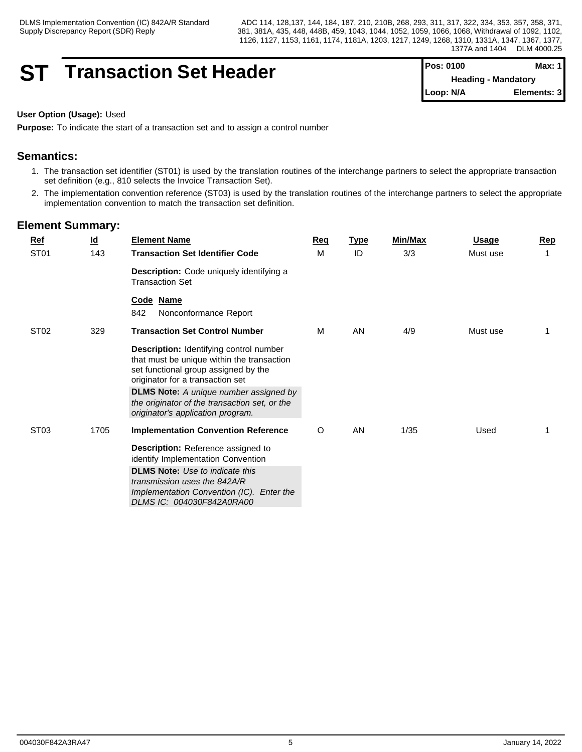### **ST Transaction Set Header**

| <b>IPos: 0100</b>          | Max: 11     |  |
|----------------------------|-------------|--|
| <b>Heading - Mandatory</b> |             |  |
| Loop: N/A                  | Elements: 3 |  |

#### **User Option (Usage):** Used

**Purpose:** To indicate the start of a transaction set and to assign a control number

#### **Semantics:**

- 1. The transaction set identifier (ST01) is used by the translation routines of the interchange partners to select the appropriate transaction set definition (e.g., 810 selects the Invoice Transaction Set).
- 2. The implementation convention reference (ST03) is used by the translation routines of the interchange partners to select the appropriate implementation convention to match the transaction set definition.

| <b>Ref</b>       | $\underline{\mathsf{Id}}$ | <b>Element Name</b>                                                                                                                                                      | Req | <u>Type</u> | Min/Max | <u>Usage</u> | <b>Rep</b> |
|------------------|---------------------------|--------------------------------------------------------------------------------------------------------------------------------------------------------------------------|-----|-------------|---------|--------------|------------|
| ST <sub>01</sub> | 143                       | <b>Transaction Set Identifier Code</b>                                                                                                                                   | M   | ID          | 3/3     | Must use     |            |
|                  |                           | Description: Code uniquely identifying a<br><b>Transaction Set</b>                                                                                                       |     |             |         |              |            |
|                  |                           | Code Name<br>842<br>Nonconformance Report                                                                                                                                |     |             |         |              |            |
| ST <sub>02</sub> | 329                       | <b>Transaction Set Control Number</b>                                                                                                                                    | M   | AN          | 4/9     | Must use     |            |
|                  |                           | <b>Description:</b> Identifying control number<br>that must be unique within the transaction<br>set functional group assigned by the<br>originator for a transaction set |     |             |         |              |            |
|                  |                           | <b>DLMS Note:</b> A unique number assigned by<br>the originator of the transaction set, or the<br>originator's application program.                                      |     |             |         |              |            |
| ST <sub>03</sub> | 1705                      | <b>Implementation Convention Reference</b>                                                                                                                               | O   | AN          | 1/35    | Used         |            |
|                  |                           | Description: Reference assigned to<br>identify Implementation Convention                                                                                                 |     |             |         |              |            |
|                  |                           | <b>DLMS Note:</b> Use to indicate this<br>transmission uses the 842A/R<br>Implementation Convention (IC). Enter the<br>DLMS IC: 004030F842A0RA00                         |     |             |         |              |            |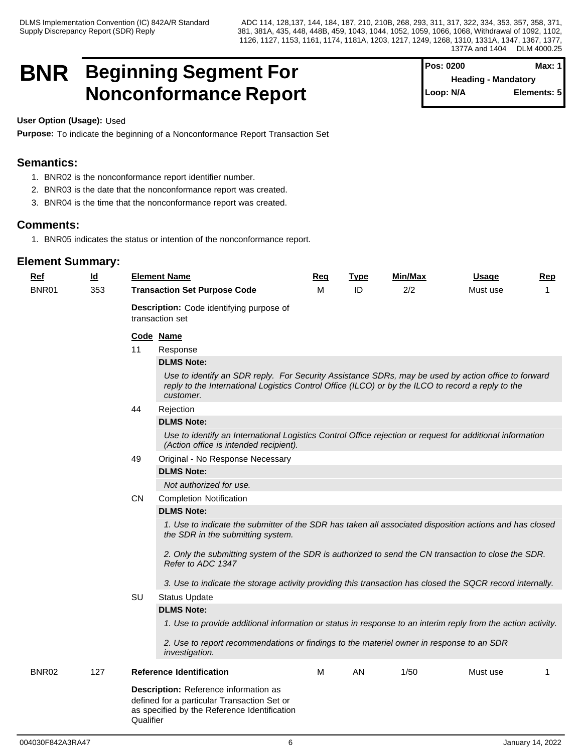### **BNR** Beginning Segment For **Pos: 0200** Max: 1 **Nonconformance Report**  $\begin{bmatrix} \text{Loop: N/A} \end{bmatrix}$

**Pos: 0200 Heading - Mandatory Elements: 5** 

**User Option (Usage):** Used

**Purpose:** To indicate the beginning of a Nonconformance Report Transaction Set

#### **Semantics:**

- 1. BNR02 is the nonconformance report identifier number.
- 2. BNR03 is the date that the nonconformance report was created.
- 3. BNR04 is the time that the nonconformance report was created.

#### **Comments:**

1. BNR05 indicates the status or intention of the nonconformance report.

| $Ref$<br>BNR01 | <u>ld</u><br>353 |           | <b>Element Name</b><br><b>Transaction Set Purpose Code</b>                                                                                                                                                                                                               | Req<br>м | <b>Type</b><br>ID | Min/Max<br>2/2 | <u>Usage</u><br>Must use | Rep<br>$\mathbf 1$ |
|----------------|------------------|-----------|--------------------------------------------------------------------------------------------------------------------------------------------------------------------------------------------------------------------------------------------------------------------------|----------|-------------------|----------------|--------------------------|--------------------|
|                |                  |           | Description: Code identifying purpose of<br>transaction set                                                                                                                                                                                                              |          |                   |                |                          |                    |
|                |                  |           | Code Name                                                                                                                                                                                                                                                                |          |                   |                |                          |                    |
|                |                  | 11        | Response                                                                                                                                                                                                                                                                 |          |                   |                |                          |                    |
|                |                  |           | <b>DLMS Note:</b>                                                                                                                                                                                                                                                        |          |                   |                |                          |                    |
|                |                  |           | Use to identify an SDR reply. For Security Assistance SDRs, may be used by action office to forward<br>reply to the International Logistics Control Office (ILCO) or by the ILCO to record a reply to the<br>customer.                                                   |          |                   |                |                          |                    |
|                |                  | 44        | Rejection                                                                                                                                                                                                                                                                |          |                   |                |                          |                    |
|                |                  |           | <b>DLMS Note:</b>                                                                                                                                                                                                                                                        |          |                   |                |                          |                    |
|                |                  |           | Use to identify an International Logistics Control Office rejection or request for additional information<br>(Action office is intended recipient).                                                                                                                      |          |                   |                |                          |                    |
|                |                  | 49        | Original - No Response Necessary                                                                                                                                                                                                                                         |          |                   |                |                          |                    |
|                |                  |           | <b>DLMS Note:</b>                                                                                                                                                                                                                                                        |          |                   |                |                          |                    |
|                |                  |           | Not authorized for use.                                                                                                                                                                                                                                                  |          |                   |                |                          |                    |
|                |                  | <b>CN</b> | <b>Completion Notification</b>                                                                                                                                                                                                                                           |          |                   |                |                          |                    |
|                |                  |           | <b>DLMS Note:</b>                                                                                                                                                                                                                                                        |          |                   |                |                          |                    |
|                |                  |           | 1. Use to indicate the submitter of the SDR has taken all associated disposition actions and has closed<br>the SDR in the submitting system.<br>2. Only the submitting system of the SDR is authorized to send the CN transaction to close the SDR.<br>Refer to ADC 1347 |          |                   |                |                          |                    |
|                |                  |           |                                                                                                                                                                                                                                                                          |          |                   |                |                          |                    |
|                |                  |           | 3. Use to indicate the storage activity providing this transaction has closed the SQCR record internally.                                                                                                                                                                |          |                   |                |                          |                    |
|                |                  | SU        | <b>Status Update</b>                                                                                                                                                                                                                                                     |          |                   |                |                          |                    |
|                |                  |           | <b>DLMS Note:</b>                                                                                                                                                                                                                                                        |          |                   |                |                          |                    |
|                |                  |           | 1. Use to provide additional information or status in response to an interim reply from the action activity.                                                                                                                                                             |          |                   |                |                          |                    |
|                |                  |           | 2. Use to report recommendations or findings to the materiel owner in response to an SDR<br>investigation.                                                                                                                                                               |          |                   |                |                          |                    |
| BNR02          | 127              |           | <b>Reference Identification</b>                                                                                                                                                                                                                                          | M        | AN                | 1/50           | Must use                 |                    |
|                |                  | Qualifier | Description: Reference information as<br>defined for a particular Transaction Set or<br>as specified by the Reference Identification                                                                                                                                     |          |                   |                |                          |                    |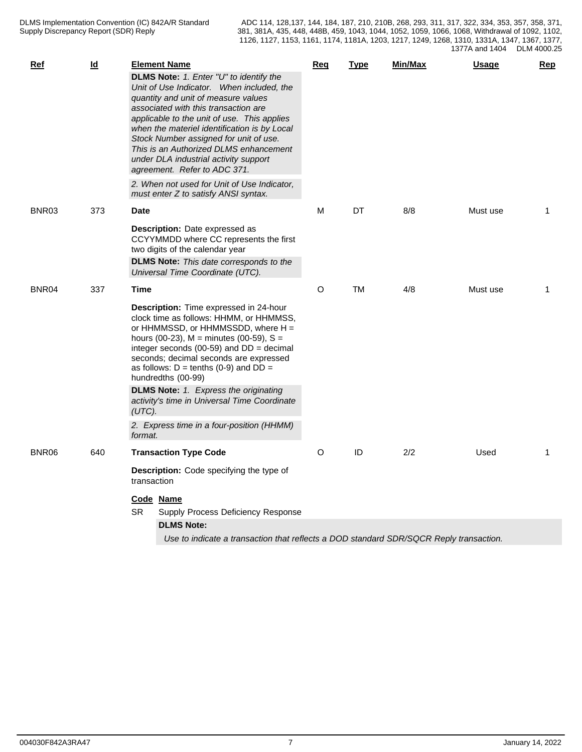| Ref   | $\underline{\mathsf{Id}}$ | <b>Element Name</b>                                                                                                                                                                                                                                                                                                                                                                                                                                | Req     | <b>Type</b> | Min/Max | Usage    | <b>Rep</b> |
|-------|---------------------------|----------------------------------------------------------------------------------------------------------------------------------------------------------------------------------------------------------------------------------------------------------------------------------------------------------------------------------------------------------------------------------------------------------------------------------------------------|---------|-------------|---------|----------|------------|
|       |                           | <b>DLMS Note:</b> 1. Enter "U" to identify the<br>Unit of Use Indicator. When included, the<br>quantity and unit of measure values<br>associated with this transaction are<br>applicable to the unit of use. This applies<br>when the materiel identification is by Local<br>Stock Number assigned for unit of use.<br>This is an Authorized DLMS enhancement<br>under DLA industrial activity support<br>agreement. Refer to ADC 371.             |         |             |         |          |            |
|       |                           | 2. When not used for Unit of Use Indicator,<br>must enter Z to satisfy ANSI syntax.                                                                                                                                                                                                                                                                                                                                                                |         |             |         |          |            |
| BNR03 | 373                       | Date                                                                                                                                                                                                                                                                                                                                                                                                                                               | м       | DT          | 8/8     | Must use | 1          |
|       |                           | <b>Description:</b> Date expressed as<br>CCYYMMDD where CC represents the first<br>two digits of the calendar year                                                                                                                                                                                                                                                                                                                                 |         |             |         |          |            |
|       |                           | <b>DLMS Note:</b> This date corresponds to the<br>Universal Time Coordinate (UTC).                                                                                                                                                                                                                                                                                                                                                                 |         |             |         |          |            |
| BNR04 | 337                       | Time                                                                                                                                                                                                                                                                                                                                                                                                                                               | O       | <b>TM</b>   | 4/8     | Must use | 1          |
|       |                           | Description: Time expressed in 24-hour<br>clock time as follows: HHMM, or HHMMSS,<br>or HHMMSSD, or HHMMSSDD, where H =<br>hours (00-23), $M =$ minutes (00-59), $S =$<br>integer seconds (00-59) and $DD = decimal$<br>seconds; decimal seconds are expressed<br>as follows: $D = \text{tenths}$ (0-9) and $DD =$<br>hundredths (00-99)<br><b>DLMS Note:</b> 1. Express the originating<br>activity's time in Universal Time Coordinate<br>(UTC). |         |             |         |          |            |
|       |                           | 2. Express time in a four-position (HHMM)<br>format.                                                                                                                                                                                                                                                                                                                                                                                               |         |             |         |          |            |
| BNR06 | 640                       | <b>Transaction Type Code</b>                                                                                                                                                                                                                                                                                                                                                                                                                       | $\circ$ | ID          | 2/2     | Used     |            |
|       |                           | Description: Code specifying the type of<br>transaction                                                                                                                                                                                                                                                                                                                                                                                            |         |             |         |          |            |
|       |                           | <b>Code Name</b>                                                                                                                                                                                                                                                                                                                                                                                                                                   |         |             |         |          |            |
|       |                           | SR.<br>Supply Process Deficiency Response                                                                                                                                                                                                                                                                                                                                                                                                          |         |             |         |          |            |
|       |                           | <b>DLMS Note:</b>                                                                                                                                                                                                                                                                                                                                                                                                                                  |         |             |         |          |            |
|       |                           | Use to indicate a transaction that reflects a DOD standard SDR/SQCR Reply transaction.                                                                                                                                                                                                                                                                                                                                                             |         |             |         |          |            |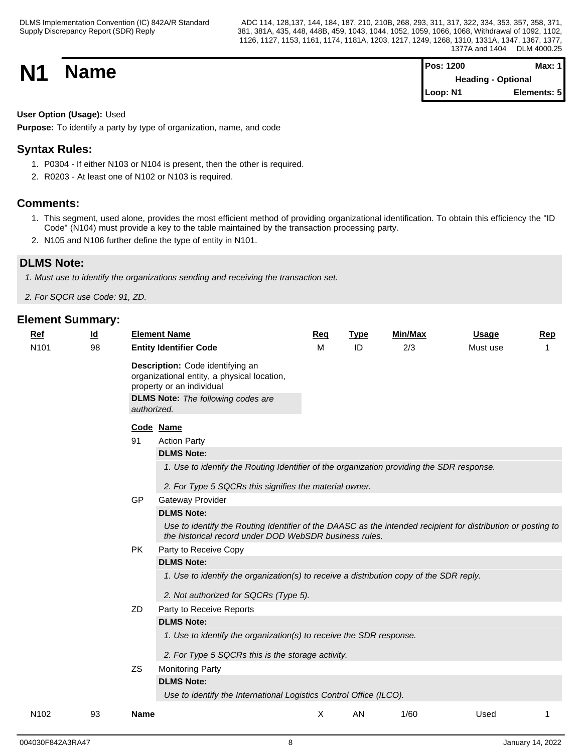**N1 Name Magnetic Max:** 1 **Pos:** 1200 **Max:** 1 **Heading - Optional Loop: N1 Elements: 5**

#### **User Option (Usage):** Used

**Purpose:** To identify a party by type of organization, name, and code

#### **Syntax Rules:**

- 1. P0304 If either N103 or N104 is present, then the other is required.
- 2. R0203 At least one of N102 or N103 is required.

#### **Comments:**

- 1. This segment, used alone, provides the most efficient method of providing organizational identification. To obtain this efficiency the "ID Code" (N104) must provide a key to the table maintained by the transaction processing party.
- 2. N105 and N106 further define the type of entity in N101.

#### **DLMS Note:**

*1. Must use to identify the organizations sending and receiving the transaction set.*

*2. For SQCR use Code: 91, ZD.*

| <b>Entity Identifier Code</b><br>Description: Code identifying an<br>organizational entity, a physical location,<br>property or an individual<br><b>DLMS Note:</b> The following codes are<br>authorized.<br>Code Name<br>91<br><b>Action Party</b><br><b>DLMS Note:</b><br>1. Use to identify the Routing Identifier of the organization providing the SDR response.<br>2. For Type 5 SQCRs this signifies the material owner.<br>GP<br>Gateway Provider<br><b>DLMS Note:</b><br>Use to identify the Routing Identifier of the DAASC as the intended recipient for distribution or posting to<br>the historical record under DOD WebSDR business rules.<br><b>PK</b><br>Party to Receive Copy<br><b>DLMS Note:</b><br>1. Use to identify the organization(s) to receive a distribution copy of the SDR reply.<br>2. Not authorized for SQCRs (Type 5).<br>ZD<br>Party to Receive Reports<br><b>DLMS Note:</b><br>1. Use to identify the organization(s) to receive the SDR response.<br>2. For Type 5 SQCRs this is the storage activity.<br><b>ZS</b><br><b>Monitoring Party</b><br><b>DLMS Note:</b><br>Use to identify the International Logistics Control Office (ILCO).<br>1/60<br>N102<br>X<br>Used<br>93<br><b>Name</b><br>AN | Ref              | $\underline{\mathsf{Id}}$ | <b>Element Name</b> | Req | <b>Type</b> | Min/Max | <b>Usage</b> | Rep |
|---------------------------------------------------------------------------------------------------------------------------------------------------------------------------------------------------------------------------------------------------------------------------------------------------------------------------------------------------------------------------------------------------------------------------------------------------------------------------------------------------------------------------------------------------------------------------------------------------------------------------------------------------------------------------------------------------------------------------------------------------------------------------------------------------------------------------------------------------------------------------------------------------------------------------------------------------------------------------------------------------------------------------------------------------------------------------------------------------------------------------------------------------------------------------------------------------------------------------------------|------------------|---------------------------|---------------------|-----|-------------|---------|--------------|-----|
|                                                                                                                                                                                                                                                                                                                                                                                                                                                                                                                                                                                                                                                                                                                                                                                                                                                                                                                                                                                                                                                                                                                                                                                                                                       | N <sub>101</sub> | 98                        |                     | M   | ID          | 2/3     | Must use     | -1  |
|                                                                                                                                                                                                                                                                                                                                                                                                                                                                                                                                                                                                                                                                                                                                                                                                                                                                                                                                                                                                                                                                                                                                                                                                                                       |                  |                           |                     |     |             |         |              |     |
|                                                                                                                                                                                                                                                                                                                                                                                                                                                                                                                                                                                                                                                                                                                                                                                                                                                                                                                                                                                                                                                                                                                                                                                                                                       |                  |                           |                     |     |             |         |              |     |
|                                                                                                                                                                                                                                                                                                                                                                                                                                                                                                                                                                                                                                                                                                                                                                                                                                                                                                                                                                                                                                                                                                                                                                                                                                       |                  |                           |                     |     |             |         |              |     |
|                                                                                                                                                                                                                                                                                                                                                                                                                                                                                                                                                                                                                                                                                                                                                                                                                                                                                                                                                                                                                                                                                                                                                                                                                                       |                  |                           |                     |     |             |         |              |     |
|                                                                                                                                                                                                                                                                                                                                                                                                                                                                                                                                                                                                                                                                                                                                                                                                                                                                                                                                                                                                                                                                                                                                                                                                                                       |                  |                           |                     |     |             |         |              |     |
|                                                                                                                                                                                                                                                                                                                                                                                                                                                                                                                                                                                                                                                                                                                                                                                                                                                                                                                                                                                                                                                                                                                                                                                                                                       |                  |                           |                     |     |             |         |              |     |
|                                                                                                                                                                                                                                                                                                                                                                                                                                                                                                                                                                                                                                                                                                                                                                                                                                                                                                                                                                                                                                                                                                                                                                                                                                       |                  |                           |                     |     |             |         |              |     |
|                                                                                                                                                                                                                                                                                                                                                                                                                                                                                                                                                                                                                                                                                                                                                                                                                                                                                                                                                                                                                                                                                                                                                                                                                                       |                  |                           |                     |     |             |         |              |     |
|                                                                                                                                                                                                                                                                                                                                                                                                                                                                                                                                                                                                                                                                                                                                                                                                                                                                                                                                                                                                                                                                                                                                                                                                                                       |                  |                           |                     |     |             |         |              |     |
|                                                                                                                                                                                                                                                                                                                                                                                                                                                                                                                                                                                                                                                                                                                                                                                                                                                                                                                                                                                                                                                                                                                                                                                                                                       |                  |                           |                     |     |             |         |              |     |
|                                                                                                                                                                                                                                                                                                                                                                                                                                                                                                                                                                                                                                                                                                                                                                                                                                                                                                                                                                                                                                                                                                                                                                                                                                       |                  |                           |                     |     |             |         |              |     |
|                                                                                                                                                                                                                                                                                                                                                                                                                                                                                                                                                                                                                                                                                                                                                                                                                                                                                                                                                                                                                                                                                                                                                                                                                                       |                  |                           |                     |     |             |         |              |     |
|                                                                                                                                                                                                                                                                                                                                                                                                                                                                                                                                                                                                                                                                                                                                                                                                                                                                                                                                                                                                                                                                                                                                                                                                                                       |                  |                           |                     |     |             |         |              |     |
|                                                                                                                                                                                                                                                                                                                                                                                                                                                                                                                                                                                                                                                                                                                                                                                                                                                                                                                                                                                                                                                                                                                                                                                                                                       |                  |                           |                     |     |             |         |              |     |
|                                                                                                                                                                                                                                                                                                                                                                                                                                                                                                                                                                                                                                                                                                                                                                                                                                                                                                                                                                                                                                                                                                                                                                                                                                       |                  |                           |                     |     |             |         |              |     |
|                                                                                                                                                                                                                                                                                                                                                                                                                                                                                                                                                                                                                                                                                                                                                                                                                                                                                                                                                                                                                                                                                                                                                                                                                                       |                  |                           |                     |     |             |         |              |     |
|                                                                                                                                                                                                                                                                                                                                                                                                                                                                                                                                                                                                                                                                                                                                                                                                                                                                                                                                                                                                                                                                                                                                                                                                                                       |                  |                           |                     |     |             |         |              |     |
|                                                                                                                                                                                                                                                                                                                                                                                                                                                                                                                                                                                                                                                                                                                                                                                                                                                                                                                                                                                                                                                                                                                                                                                                                                       |                  |                           |                     |     |             |         |              |     |
|                                                                                                                                                                                                                                                                                                                                                                                                                                                                                                                                                                                                                                                                                                                                                                                                                                                                                                                                                                                                                                                                                                                                                                                                                                       |                  |                           |                     |     |             |         |              |     |
|                                                                                                                                                                                                                                                                                                                                                                                                                                                                                                                                                                                                                                                                                                                                                                                                                                                                                                                                                                                                                                                                                                                                                                                                                                       |                  |                           |                     |     |             |         |              |     |
|                                                                                                                                                                                                                                                                                                                                                                                                                                                                                                                                                                                                                                                                                                                                                                                                                                                                                                                                                                                                                                                                                                                                                                                                                                       |                  |                           |                     |     |             |         |              |     |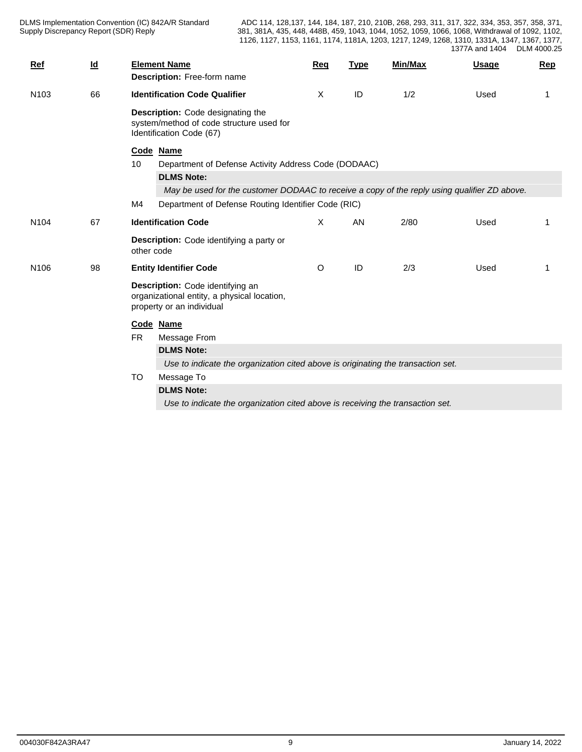| <b>Ref</b>       | $\underline{\mathsf{Id}}$ |            | <b>Element Name</b><br>Description: Free-form name                                                           | Req     | <b>Type</b> | Min/Max | <b>Usage</b> | Rep |
|------------------|---------------------------|------------|--------------------------------------------------------------------------------------------------------------|---------|-------------|---------|--------------|-----|
| N <sub>103</sub> | 66                        |            | <b>Identification Code Qualifier</b>                                                                         | X       | ID          | 1/2     | Used         | 1   |
|                  |                           |            | Description: Code designating the<br>system/method of code structure used for<br>Identification Code (67)    |         |             |         |              |     |
|                  |                           |            | Code Name                                                                                                    |         |             |         |              |     |
|                  |                           | 10         | Department of Defense Activity Address Code (DODAAC)                                                         |         |             |         |              |     |
|                  |                           |            | <b>DLMS Note:</b>                                                                                            |         |             |         |              |     |
|                  |                           |            | May be used for the customer DODAAC to receive a copy of the reply using qualifier ZD above.                 |         |             |         |              |     |
|                  |                           | M4         | Department of Defense Routing Identifier Code (RIC)                                                          |         |             |         |              |     |
| N <sub>104</sub> | 67                        |            | <b>Identification Code</b>                                                                                   | X       | AN          | 2/80    | Used         |     |
|                  |                           | other code | Description: Code identifying a party or                                                                     |         |             |         |              |     |
| N <sub>106</sub> | 98                        |            | <b>Entity Identifier Code</b>                                                                                | $\circ$ | ID          | 2/3     | Used         | 1   |
|                  |                           |            | Description: Code identifying an<br>organizational entity, a physical location,<br>property or an individual |         |             |         |              |     |
|                  |                           |            | Code Name                                                                                                    |         |             |         |              |     |
|                  |                           | <b>FR</b>  | Message From                                                                                                 |         |             |         |              |     |
|                  |                           |            | <b>DLMS Note:</b>                                                                                            |         |             |         |              |     |
|                  |                           |            | Use to indicate the organization cited above is originating the transaction set.                             |         |             |         |              |     |
|                  |                           | TO         | Message To                                                                                                   |         |             |         |              |     |
|                  |                           |            | <b>DLMS Note:</b>                                                                                            |         |             |         |              |     |
|                  |                           |            | Use to indicate the organization cited above is receiving the transaction set.                               |         |             |         |              |     |
|                  |                           |            |                                                                                                              |         |             |         |              |     |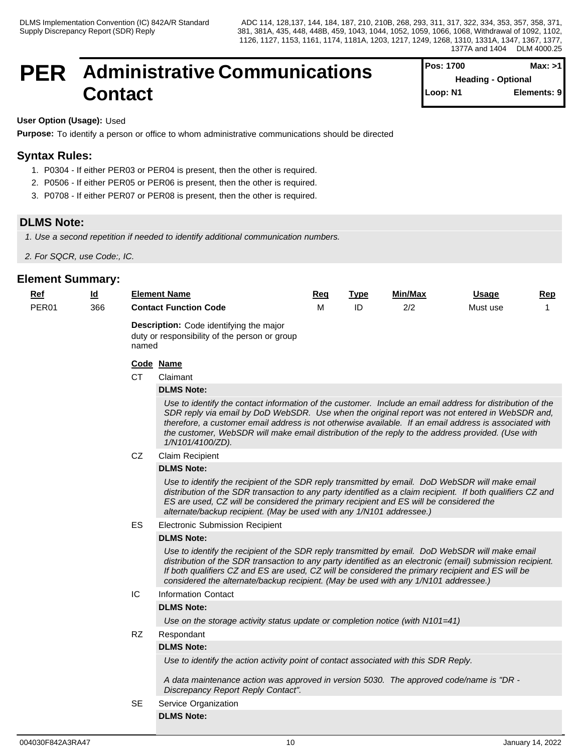### **PER Administrative Communications Contact**

| Pos: 1700                 | Max: >11    |
|---------------------------|-------------|
| <b>Heading - Optional</b> |             |
| Loop: N1                  | Elements: 9 |

#### **User Option (Usage):** Used

**Purpose:** To identify a person or office to whom administrative communications should be directed

#### **Syntax Rules:**

- 1. P0304 If either PER03 or PER04 is present, then the other is required.
- 2. P0506 If either PER05 or PER06 is present, then the other is required.
- 3. P0708 If either PER07 or PER08 is present, then the other is required.

#### **DLMS Note:**

*1. Use a second repetition if needed to identify additional communication numbers.*

*2. For SQCR, use Code:, IC.*

| $Ref$ | <u>ld</u> |           | <b>Element Name</b>                                                                                                                                                                                                                                                                                                                                                                                                                            | Req | <u>Type</u> | Min/Max | <u>Usage</u> | <u>Rep</u>   |  |  |  |  |
|-------|-----------|-----------|------------------------------------------------------------------------------------------------------------------------------------------------------------------------------------------------------------------------------------------------------------------------------------------------------------------------------------------------------------------------------------------------------------------------------------------------|-----|-------------|---------|--------------|--------------|--|--|--|--|
| PER01 | 366       |           | <b>Contact Function Code</b>                                                                                                                                                                                                                                                                                                                                                                                                                   | M   | ID          | 2/2     | Must use     | $\mathbf{1}$ |  |  |  |  |
|       |           | named     | Description: Code identifying the major<br>duty or responsibility of the person or group                                                                                                                                                                                                                                                                                                                                                       |     |             |         |              |              |  |  |  |  |
|       |           |           | Code Name                                                                                                                                                                                                                                                                                                                                                                                                                                      |     |             |         |              |              |  |  |  |  |
|       |           | <b>CT</b> | Claimant                                                                                                                                                                                                                                                                                                                                                                                                                                       |     |             |         |              |              |  |  |  |  |
|       |           |           | <b>DLMS Note:</b>                                                                                                                                                                                                                                                                                                                                                                                                                              |     |             |         |              |              |  |  |  |  |
|       |           |           | Use to identify the contact information of the customer. Include an email address for distribution of the<br>SDR reply via email by DoD WebSDR. Use when the original report was not entered in WebSDR and,<br>therefore, a customer email address is not otherwise available. If an email address is associated with<br>the customer, WebSDR will make email distribution of the reply to the address provided. (Use with<br>1/N101/4100/ZD). |     |             |         |              |              |  |  |  |  |
|       |           | CZ        | Claim Recipient                                                                                                                                                                                                                                                                                                                                                                                                                                |     |             |         |              |              |  |  |  |  |
|       |           |           | <b>DLMS Note:</b>                                                                                                                                                                                                                                                                                                                                                                                                                              |     |             |         |              |              |  |  |  |  |
|       |           |           | Use to identify the recipient of the SDR reply transmitted by email. DoD WebSDR will make email<br>distribution of the SDR transaction to any party identified as a claim recipient. If both qualifiers CZ and<br>ES are used, CZ will be considered the primary recipient and ES will be considered the<br>alternate/backup recipient. (May be used with any 1/N101 addressee.)                                                               |     |             |         |              |              |  |  |  |  |
|       |           | <b>ES</b> | <b>Electronic Submission Recipient</b>                                                                                                                                                                                                                                                                                                                                                                                                         |     |             |         |              |              |  |  |  |  |
|       |           |           | <b>DLMS Note:</b>                                                                                                                                                                                                                                                                                                                                                                                                                              |     |             |         |              |              |  |  |  |  |
|       |           |           | Use to identify the recipient of the SDR reply transmitted by email. DoD WebSDR will make email<br>distribution of the SDR transaction to any party identified as an electronic (email) submission recipient.<br>If both qualifiers CZ and ES are used, CZ will be considered the primary recipient and ES will be<br>considered the alternate/backup recipient. (May be used with any 1/N101 addressee.)                                      |     |             |         |              |              |  |  |  |  |
|       |           | IC        | <b>Information Contact</b>                                                                                                                                                                                                                                                                                                                                                                                                                     |     |             |         |              |              |  |  |  |  |
|       |           |           | <b>DLMS Note:</b>                                                                                                                                                                                                                                                                                                                                                                                                                              |     |             |         |              |              |  |  |  |  |
|       |           |           | Use on the storage activity status update or completion notice (with $N101=41$ )                                                                                                                                                                                                                                                                                                                                                               |     |             |         |              |              |  |  |  |  |
|       |           | <b>RZ</b> | Respondant                                                                                                                                                                                                                                                                                                                                                                                                                                     |     |             |         |              |              |  |  |  |  |
|       |           |           | <b>DLMS Note:</b>                                                                                                                                                                                                                                                                                                                                                                                                                              |     |             |         |              |              |  |  |  |  |
|       |           |           | Use to identify the action activity point of contact associated with this SDR Reply.                                                                                                                                                                                                                                                                                                                                                           |     |             |         |              |              |  |  |  |  |
|       |           | <b>SE</b> | A data maintenance action was approved in version 5030. The approved code/name is "DR -<br>Discrepancy Report Reply Contact".                                                                                                                                                                                                                                                                                                                  |     |             |         |              |              |  |  |  |  |
|       |           |           | Service Organization                                                                                                                                                                                                                                                                                                                                                                                                                           |     |             |         |              |              |  |  |  |  |
|       |           |           | <b>DLMS Note:</b>                                                                                                                                                                                                                                                                                                                                                                                                                              |     |             |         |              |              |  |  |  |  |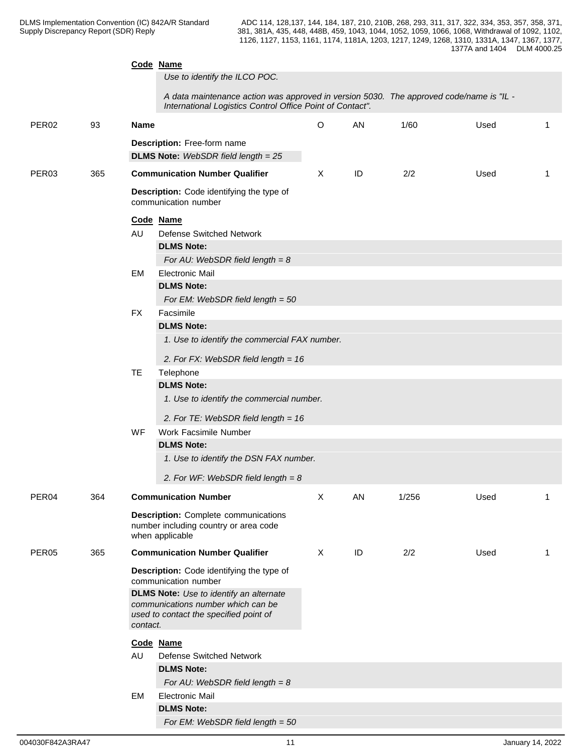|                   |     |                                                                                                                                                                    | Code Name<br>Use to identify the ILCO POC.                                                                                                           |                           |    |       |      |             |
|-------------------|-----|--------------------------------------------------------------------------------------------------------------------------------------------------------------------|------------------------------------------------------------------------------------------------------------------------------------------------------|---------------------------|----|-------|------|-------------|
|                   |     |                                                                                                                                                                    | A data maintenance action was approved in version 5030. The approved code/name is "IL -<br>International Logistics Control Office Point of Contact". |                           |    |       |      |             |
| PER <sub>02</sub> | 93  | <b>Name</b>                                                                                                                                                        |                                                                                                                                                      | $\circ$                   | AN | 1/60  | Used | -1          |
|                   |     |                                                                                                                                                                    | Description: Free-form name<br><b>DLMS Note:</b> WebSDR field length = 25                                                                            |                           |    |       |      |             |
| PER <sub>03</sub> | 365 |                                                                                                                                                                    | <b>Communication Number Qualifier</b>                                                                                                                | $\boldsymbol{\mathsf{X}}$ | ID | 2/2   | Used | $\mathbf 1$ |
|                   |     |                                                                                                                                                                    | Description: Code identifying the type of<br>communication number                                                                                    |                           |    |       |      |             |
|                   |     |                                                                                                                                                                    | Code Name                                                                                                                                            |                           |    |       |      |             |
|                   |     | AU                                                                                                                                                                 | <b>Defense Switched Network</b>                                                                                                                      |                           |    |       |      |             |
|                   |     |                                                                                                                                                                    | <b>DLMS Note:</b>                                                                                                                                    |                           |    |       |      |             |
|                   |     |                                                                                                                                                                    | For AU: WebSDR field length = $8$                                                                                                                    |                           |    |       |      |             |
|                   |     | EM                                                                                                                                                                 | <b>Electronic Mail</b>                                                                                                                               |                           |    |       |      |             |
|                   |     |                                                                                                                                                                    | <b>DLMS Note:</b>                                                                                                                                    |                           |    |       |      |             |
|                   |     |                                                                                                                                                                    | For EM: WebSDR field length = $50$                                                                                                                   |                           |    |       |      |             |
|                   |     | <b>FX</b>                                                                                                                                                          | Facsimile                                                                                                                                            |                           |    |       |      |             |
|                   |     |                                                                                                                                                                    | <b>DLMS Note:</b>                                                                                                                                    |                           |    |       |      |             |
|                   |     |                                                                                                                                                                    | 1. Use to identify the commercial FAX number.<br>2. For FX: WebSDR field length = $16$                                                               |                           |    |       |      |             |
|                   |     | <b>TE</b>                                                                                                                                                          | Telephone                                                                                                                                            |                           |    |       |      |             |
|                   |     |                                                                                                                                                                    | <b>DLMS Note:</b>                                                                                                                                    |                           |    |       |      |             |
|                   |     |                                                                                                                                                                    | 1. Use to identify the commercial number.                                                                                                            |                           |    |       |      |             |
|                   |     |                                                                                                                                                                    | 2. For TE: WebSDR field length = 16                                                                                                                  |                           |    |       |      |             |
|                   |     | <b>WF</b>                                                                                                                                                          | Work Facsimile Number                                                                                                                                |                           |    |       |      |             |
|                   |     |                                                                                                                                                                    | <b>DLMS Note:</b>                                                                                                                                    |                           |    |       |      |             |
|                   |     |                                                                                                                                                                    | 1. Use to identify the DSN FAX number.                                                                                                               |                           |    |       |      |             |
|                   |     |                                                                                                                                                                    | 2. For WF: WebSDR field length = $8$                                                                                                                 |                           |    |       |      |             |
| PER04             | 364 |                                                                                                                                                                    | <b>Communication Number</b>                                                                                                                          | X                         | AN | 1/256 | Used | $\mathbf 1$ |
|                   |     |                                                                                                                                                                    | <b>Description:</b> Complete communications<br>number including country or area code<br>when applicable                                              |                           |    |       |      |             |
| PER <sub>05</sub> | 365 |                                                                                                                                                                    | <b>Communication Number Qualifier</b>                                                                                                                | X                         | ID | 2/2   | Used | $\mathbf 1$ |
|                   |     |                                                                                                                                                                    | Description: Code identifying the type of                                                                                                            |                           |    |       |      |             |
|                   |     | communication number<br><b>DLMS Note:</b> Use to identify an alternate<br>communications number which can be<br>used to contact the specified point of<br>contact. |                                                                                                                                                      |                           |    |       |      |             |
|                   |     |                                                                                                                                                                    | Code Name                                                                                                                                            |                           |    |       |      |             |
|                   |     | AU                                                                                                                                                                 | <b>Defense Switched Network</b>                                                                                                                      |                           |    |       |      |             |
|                   |     |                                                                                                                                                                    | <b>DLMS Note:</b>                                                                                                                                    |                           |    |       |      |             |
|                   |     |                                                                                                                                                                    | For AU: WebSDR field length = $8$                                                                                                                    |                           |    |       |      |             |
|                   |     | EM                                                                                                                                                                 | <b>Electronic Mail</b>                                                                                                                               |                           |    |       |      |             |
|                   |     |                                                                                                                                                                    | <b>DLMS Note:</b>                                                                                                                                    |                           |    |       |      |             |
|                   |     |                                                                                                                                                                    | For EM: WebSDR field length = $50$                                                                                                                   |                           |    |       |      |             |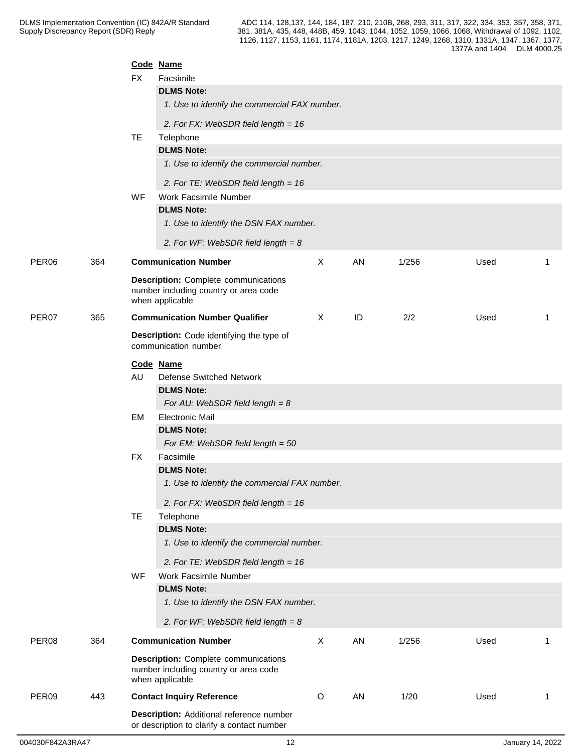|                   |     |                                                                                        | Code Name                                                                                               |                           |    |       |      |             |
|-------------------|-----|----------------------------------------------------------------------------------------|---------------------------------------------------------------------------------------------------------|---------------------------|----|-------|------|-------------|
|                   |     | <b>FX</b>                                                                              | Facsimile                                                                                               |                           |    |       |      |             |
|                   |     |                                                                                        | <b>DLMS Note:</b>                                                                                       |                           |    |       |      |             |
|                   |     |                                                                                        | 1. Use to identify the commercial FAX number.                                                           |                           |    |       |      |             |
|                   |     |                                                                                        | 2. For FX: WebSDR field length = 16                                                                     |                           |    |       |      |             |
|                   |     | <b>TE</b>                                                                              | Telephone                                                                                               |                           |    |       |      |             |
|                   |     |                                                                                        | <b>DLMS Note:</b>                                                                                       |                           |    |       |      |             |
|                   |     |                                                                                        | 1. Use to identify the commercial number.                                                               |                           |    |       |      |             |
|                   |     |                                                                                        |                                                                                                         |                           |    |       |      |             |
|                   |     |                                                                                        | 2. For TE: WebSDR field length = 16                                                                     |                           |    |       |      |             |
|                   |     | WF                                                                                     | Work Facsimile Number                                                                                   |                           |    |       |      |             |
|                   |     |                                                                                        | <b>DLMS Note:</b>                                                                                       |                           |    |       |      |             |
|                   |     |                                                                                        | 1. Use to identify the DSN FAX number.                                                                  |                           |    |       |      |             |
|                   |     |                                                                                        | 2. For WF: WebSDR field length = $8$                                                                    |                           |    |       |      |             |
| PER06             | 364 |                                                                                        | <b>Communication Number</b>                                                                             | X                         | AN | 1/256 | Used |             |
|                   |     |                                                                                        | <b>Description:</b> Complete communications<br>number including country or area code<br>when applicable |                           |    |       |      |             |
| PER <sub>07</sub> | 365 |                                                                                        | <b>Communication Number Qualifier</b>                                                                   | $\boldsymbol{\mathsf{X}}$ | ID | 2/2   | Used | $\mathbf 1$ |
|                   |     | Description: Code identifying the type of<br>communication number                      |                                                                                                         |                           |    |       |      |             |
|                   |     |                                                                                        | Code Name                                                                                               |                           |    |       |      |             |
|                   |     | AU                                                                                     | <b>Defense Switched Network</b>                                                                         |                           |    |       |      |             |
|                   |     |                                                                                        | <b>DLMS Note:</b>                                                                                       |                           |    |       |      |             |
|                   |     |                                                                                        | For AU: WebSDR field length = $8$                                                                       |                           |    |       |      |             |
|                   |     | EM                                                                                     | <b>Electronic Mail</b>                                                                                  |                           |    |       |      |             |
|                   |     |                                                                                        | <b>DLMS Note:</b>                                                                                       |                           |    |       |      |             |
|                   |     |                                                                                        | For EM: WebSDR field length = $50$                                                                      |                           |    |       |      |             |
|                   |     | <b>FX</b>                                                                              | Facsimile                                                                                               |                           |    |       |      |             |
|                   |     |                                                                                        | <b>DLMS Note:</b>                                                                                       |                           |    |       |      |             |
|                   |     |                                                                                        | 1. Use to identify the commercial FAX number.                                                           |                           |    |       |      |             |
|                   |     |                                                                                        | 2. For FX: WebSDR field length = 16                                                                     |                           |    |       |      |             |
|                   |     | <b>TE</b>                                                                              | Telephone                                                                                               |                           |    |       |      |             |
|                   |     |                                                                                        | <b>DLMS Note:</b>                                                                                       |                           |    |       |      |             |
|                   |     |                                                                                        | 1. Use to identify the commercial number.                                                               |                           |    |       |      |             |
|                   |     |                                                                                        | 2. For TE: WebSDR field length = 16                                                                     |                           |    |       |      |             |
|                   |     | WF                                                                                     | Work Facsimile Number                                                                                   |                           |    |       |      |             |
|                   |     |                                                                                        | <b>DLMS Note:</b>                                                                                       |                           |    |       |      |             |
|                   |     |                                                                                        | 1. Use to identify the DSN FAX number.                                                                  |                           |    |       |      |             |
|                   |     |                                                                                        | 2. For WF: WebSDR field length = $8$                                                                    |                           |    |       |      |             |
| PER08             | 364 |                                                                                        | <b>Communication Number</b>                                                                             | X                         | AN | 1/256 | Used | -1          |
|                   |     |                                                                                        | <b>Description:</b> Complete communications<br>number including country or area code<br>when applicable |                           |    |       |      |             |
| PER09             | 443 |                                                                                        | <b>Contact Inquiry Reference</b>                                                                        | $\circ$                   | AN | 1/20  | Used | $\mathbf 1$ |
|                   |     |                                                                                        |                                                                                                         |                           |    |       |      |             |
|                   |     | Description: Additional reference number<br>or description to clarify a contact number |                                                                                                         |                           |    |       |      |             |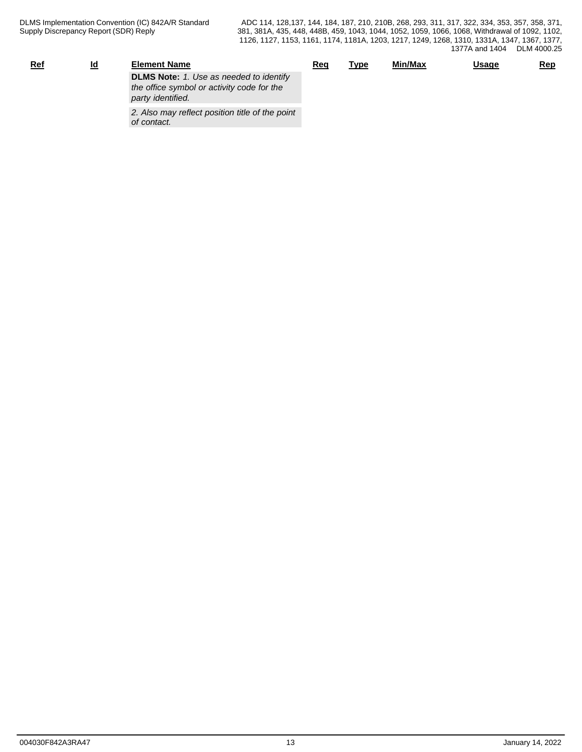| <u>Ref</u> | Id<br>$-$ | <b>Element Name</b>                                                                                               | Rea | <u>Type</u> | Min/Max | <u>Usage</u> | <u>Rep</u> |
|------------|-----------|-------------------------------------------------------------------------------------------------------------------|-----|-------------|---------|--------------|------------|
|            |           | <b>DLMS Note:</b> 1. Use as needed to identify<br>the office symbol or activity code for the<br>party identified. |     |             |         |              |            |
|            |           | 2. Also may reflect position title of the point<br>of contact.                                                    |     |             |         |              |            |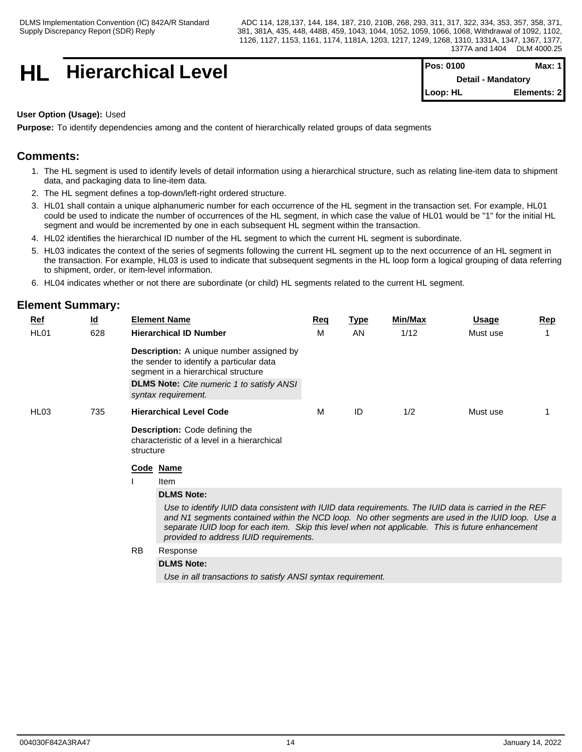### **HL** Hierarchical Level

| <b>IPos: 0100</b> | Max: 11                   |
|-------------------|---------------------------|
|                   | <b>Detail - Mandatory</b> |
| Loop: HL          | Elements: 2               |

#### **User Option (Usage):** Used

**Purpose:** To identify dependencies among and the content of hierarchically related groups of data segments

#### **Comments:**

- 1. The HL segment is used to identify levels of detail information using a hierarchical structure, such as relating line-item data to shipment data, and packaging data to line-item data.
- 2. The HL segment defines a top-down/left-right ordered structure.
- 3. HL01 shall contain a unique alphanumeric number for each occurrence of the HL segment in the transaction set. For example, HL01 could be used to indicate the number of occurrences of the HL segment, in which case the value of HL01 would be "1" for the initial HL segment and would be incremented by one in each subsequent HL segment within the transaction.
- 4. HL02 identifies the hierarchical ID number of the HL segment to which the current HL segment is subordinate.
- 5. HL03 indicates the context of the series of segments following the current HL segment up to the next occurrence of an HL segment in the transaction. For example, HL03 is used to indicate that subsequent segments in the HL loop form a logical grouping of data referring to shipment, order, or item-level information.
- 6. HL04 indicates whether or not there are subordinate (or child) HL segments related to the current HL segment.

#### **Element Summary:**

| Ref              | $\underline{\mathsf{Id}}$ |           | <b>Element Name</b>                                                                                                                                                                                                                                                                                                                                       | Req | <u>Type</u> | Min/Max | Usage    | Rep |  |  |  |  |
|------------------|---------------------------|-----------|-----------------------------------------------------------------------------------------------------------------------------------------------------------------------------------------------------------------------------------------------------------------------------------------------------------------------------------------------------------|-----|-------------|---------|----------|-----|--|--|--|--|
| HL01             | 628                       |           | <b>Hierarchical ID Number</b>                                                                                                                                                                                                                                                                                                                             | м   | AN          | 1/12    | Must use |     |  |  |  |  |
|                  |                           |           | <b>Description:</b> A unique number assigned by<br>the sender to identify a particular data<br>segment in a hierarchical structure                                                                                                                                                                                                                        |     |             |         |          |     |  |  |  |  |
|                  |                           |           | <b>DLMS Note:</b> Cite numeric 1 to satisfy ANSI<br>syntax requirement.                                                                                                                                                                                                                                                                                   |     |             |         |          |     |  |  |  |  |
| HL <sub>03</sub> | 735                       |           | <b>Hierarchical Level Code</b>                                                                                                                                                                                                                                                                                                                            | М   | ID          | 1/2     | Must use |     |  |  |  |  |
|                  |                           | structure | <b>Description:</b> Code defining the<br>characteristic of a level in a hierarchical                                                                                                                                                                                                                                                                      |     |             |         |          |     |  |  |  |  |
|                  |                           |           | Code Name                                                                                                                                                                                                                                                                                                                                                 |     |             |         |          |     |  |  |  |  |
|                  |                           |           | Item                                                                                                                                                                                                                                                                                                                                                      |     |             |         |          |     |  |  |  |  |
|                  |                           |           | <b>DLMS Note:</b>                                                                                                                                                                                                                                                                                                                                         |     |             |         |          |     |  |  |  |  |
|                  |                           |           | Use to identify IUID data consistent with IUID data requirements. The IUID data is carried in the REF<br>and N1 segments contained within the NCD loop. No other segments are used in the IUID loop. Use a<br>separate IUID loop for each item. Skip this level when not applicable. This is future enhancement<br>provided to address IUID requirements. |     |             |         |          |     |  |  |  |  |
|                  |                           | <b>RB</b> | Response                                                                                                                                                                                                                                                                                                                                                  |     |             |         |          |     |  |  |  |  |
|                  | <b>DLMS Note:</b>         |           |                                                                                                                                                                                                                                                                                                                                                           |     |             |         |          |     |  |  |  |  |

*Use in all transactions to satisfy ANSI syntax requirement.*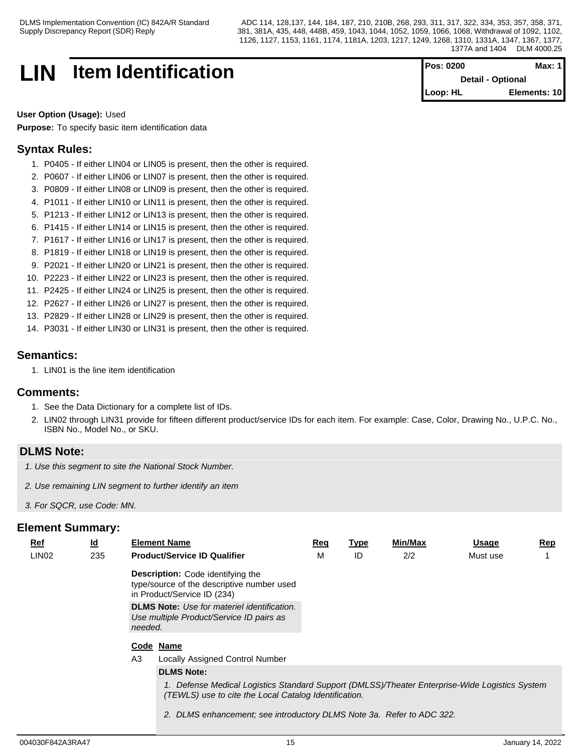### **LIN Item Identification**

| <b>IPos: 0200</b>       | Max: $1$                 |
|-------------------------|--------------------------|
|                         | <b>Detail - Optional</b> |
| $\blacksquare$ Loop: HL | Elements: 10             |

#### **User Option (Usage):** Used

**Purpose:** To specify basic item identification data

#### **Syntax Rules:**

- 1. P0405 If either LIN04 or LIN05 is present, then the other is required.
- 2. P0607 If either LIN06 or LIN07 is present, then the other is required.
- 3. P0809 If either LIN08 or LIN09 is present, then the other is required.
- 4. P1011 If either LIN10 or LIN11 is present, then the other is required.
- 5. P1213 If either LIN12 or LIN13 is present, then the other is required.
- 6. P1415 If either LIN14 or LIN15 is present, then the other is required.
- 7. P1617 If either LIN16 or LIN17 is present, then the other is required.
- 8. P1819 If either LIN18 or LIN19 is present, then the other is required.
- 9. P2021 If either LIN20 or LIN21 is present, then the other is required.
- 10. P2223 If either LIN22 or LIN23 is present, then the other is required.
- 11. P2425 If either LIN24 or LIN25 is present, then the other is required.
- 12. P2627 If either LIN26 or LIN27 is present, then the other is required.
- 13. P2829 If either LIN28 or LIN29 is present, then the other is required.
- 14. P3031 If either LIN30 or LIN31 is present, then the other is required.

#### **Semantics:**

1. LIN01 is the line item identification

#### **Comments:**

- 1. See the Data Dictionary for a complete list of IDs.
- 2. LIN02 through LIN31 provide for fifteen different product/service IDs for each item. For example: Case, Color, Drawing No., U.P.C. No., ISBN No., Model No., or SKU.

#### **DLMS Note:**

- *1. Use this segment to site the National Stock Number.*
- *2. Use remaining LIN segment to further identify an item*
- *3. For SQCR, use Code: MN.*

| <b>Ref</b>        | <u>ld</u> |         | <b>Element Name</b>                                                                                                                                     | Req | <b>Type</b> | Min/Max | Usage    | <b>Rep</b> |
|-------------------|-----------|---------|---------------------------------------------------------------------------------------------------------------------------------------------------------|-----|-------------|---------|----------|------------|
| LIN <sub>02</sub> | 235       |         | <b>Product/Service ID Qualifier</b>                                                                                                                     | м   | ID          | 2/2     | Must use |            |
|                   |           |         | <b>Description:</b> Code identifying the<br>type/source of the descriptive number used<br>in Product/Service ID (234)                                   |     |             |         |          |            |
|                   |           | needed. | <b>DLMS Note:</b> Use for materiel identification.<br>Use multiple Product/Service ID pairs as                                                          |     |             |         |          |            |
|                   |           |         | Code Name                                                                                                                                               |     |             |         |          |            |
|                   |           | A3      | <b>Locally Assigned Control Number</b>                                                                                                                  |     |             |         |          |            |
|                   |           |         | <b>DLMS Note:</b>                                                                                                                                       |     |             |         |          |            |
|                   |           |         | 1. Defense Medical Logistics Standard Support (DMLSS)/Theater Enterprise-Wide Logistics System<br>(TEWLS) use to cite the Local Catalog Identification. |     |             |         |          |            |
|                   |           |         | 2. DLMS enhancement; see introductory DLMS Note 3a. Refer to ADC 322.                                                                                   |     |             |         |          |            |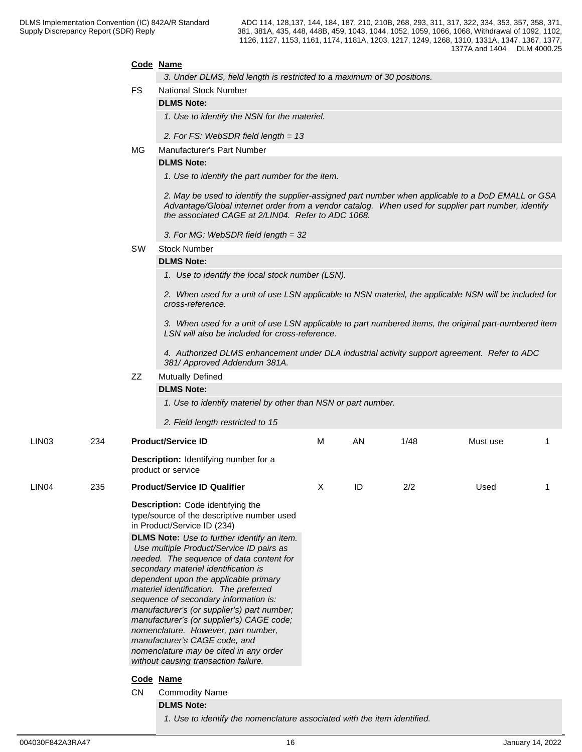**Code Name**

ADC 114, 128,137, 144, 184, 187, 210, 210B, 268, 293, 311, 317, 322, 334, 353, 357, 358, 371, 381, 381A, 435, 448, 448B, 459, 1043, 1044, 1052, 1059, 1066, 1068, Withdrawal of 1092, 1102, 1126, 1127, 1153, 1161, 1174, 1181A, 1203, 1217, 1249, 1268, 1310, 1331A, 1347, 1367, 1377, 1377A and 1404 DLM 4000.25

|                   |     |           | 3. Under DLMS, field length is restricted to a maximum of 30 positions.                                                                                                                                                                                                                                                                                                                                                                                                                                                                                              |   |    |      |          |   |
|-------------------|-----|-----------|----------------------------------------------------------------------------------------------------------------------------------------------------------------------------------------------------------------------------------------------------------------------------------------------------------------------------------------------------------------------------------------------------------------------------------------------------------------------------------------------------------------------------------------------------------------------|---|----|------|----------|---|
|                   |     | <b>FS</b> | National Stock Number                                                                                                                                                                                                                                                                                                                                                                                                                                                                                                                                                |   |    |      |          |   |
|                   |     |           | <b>DLMS Note:</b>                                                                                                                                                                                                                                                                                                                                                                                                                                                                                                                                                    |   |    |      |          |   |
|                   |     |           | 1. Use to identify the NSN for the materiel.                                                                                                                                                                                                                                                                                                                                                                                                                                                                                                                         |   |    |      |          |   |
|                   |     |           | 2. For FS: WebSDR field length = 13                                                                                                                                                                                                                                                                                                                                                                                                                                                                                                                                  |   |    |      |          |   |
|                   |     | MG        | Manufacturer's Part Number                                                                                                                                                                                                                                                                                                                                                                                                                                                                                                                                           |   |    |      |          |   |
|                   |     |           | <b>DLMS Note:</b>                                                                                                                                                                                                                                                                                                                                                                                                                                                                                                                                                    |   |    |      |          |   |
|                   |     |           | 1. Use to identify the part number for the item.                                                                                                                                                                                                                                                                                                                                                                                                                                                                                                                     |   |    |      |          |   |
|                   |     |           | 2. May be used to identify the supplier-assigned part number when applicable to a DoD EMALL or GSA<br>Advantage/Global internet order from a vendor catalog. When used for supplier part number, identify<br>the associated CAGE at 2/LIN04. Refer to ADC 1068.                                                                                                                                                                                                                                                                                                      |   |    |      |          |   |
|                   |     |           | 3. For MG: WebSDR field length = 32                                                                                                                                                                                                                                                                                                                                                                                                                                                                                                                                  |   |    |      |          |   |
|                   |     | sw        | <b>Stock Number</b>                                                                                                                                                                                                                                                                                                                                                                                                                                                                                                                                                  |   |    |      |          |   |
|                   |     |           | <b>DLMS Note:</b>                                                                                                                                                                                                                                                                                                                                                                                                                                                                                                                                                    |   |    |      |          |   |
|                   |     |           | 1. Use to identify the local stock number (LSN).                                                                                                                                                                                                                                                                                                                                                                                                                                                                                                                     |   |    |      |          |   |
|                   |     |           | 2. When used for a unit of use LSN applicable to NSN materiel, the applicable NSN will be included for<br>cross-reference.                                                                                                                                                                                                                                                                                                                                                                                                                                           |   |    |      |          |   |
|                   |     |           | 3. When used for a unit of use LSN applicable to part numbered items, the original part-numbered item<br>LSN will also be included for cross-reference.                                                                                                                                                                                                                                                                                                                                                                                                              |   |    |      |          |   |
|                   |     |           | 4. Authorized DLMS enhancement under DLA industrial activity support agreement. Refer to ADC<br>381/ Approved Addendum 381A.                                                                                                                                                                                                                                                                                                                                                                                                                                         |   |    |      |          |   |
|                   |     | ZZ        | Mutually Defined                                                                                                                                                                                                                                                                                                                                                                                                                                                                                                                                                     |   |    |      |          |   |
|                   |     |           | <b>DLMS Note:</b>                                                                                                                                                                                                                                                                                                                                                                                                                                                                                                                                                    |   |    |      |          |   |
|                   |     |           | 1. Use to identify materiel by other than NSN or part number.                                                                                                                                                                                                                                                                                                                                                                                                                                                                                                        |   |    |      |          |   |
|                   |     |           | 2. Field length restricted to 15                                                                                                                                                                                                                                                                                                                                                                                                                                                                                                                                     |   |    |      |          |   |
|                   |     |           |                                                                                                                                                                                                                                                                                                                                                                                                                                                                                                                                                                      |   |    |      |          |   |
| LIN <sub>03</sub> | 234 |           | <b>Product/Service ID</b>                                                                                                                                                                                                                                                                                                                                                                                                                                                                                                                                            | M | AN | 1/48 | Must use | 1 |
|                   |     |           | Description: Identifying number for a<br>product or service                                                                                                                                                                                                                                                                                                                                                                                                                                                                                                          |   |    |      |          |   |
| LIN <sub>04</sub> | 235 |           | <b>Product/Service ID Qualifier</b>                                                                                                                                                                                                                                                                                                                                                                                                                                                                                                                                  | Χ | ID | 2/2  | Used     | 1 |
|                   |     |           | Description: Code identifying the<br>type/source of the descriptive number used<br>in Product/Service ID (234)                                                                                                                                                                                                                                                                                                                                                                                                                                                       |   |    |      |          |   |
|                   |     |           | <b>DLMS Note:</b> Use to further identify an item.<br>Use multiple Product/Service ID pairs as<br>needed. The sequence of data content for<br>secondary materiel identification is<br>dependent upon the applicable primary<br>materiel identification. The preferred<br>sequence of secondary information is:<br>manufacturer's (or supplier's) part number;<br>manufacturer's (or supplier's) CAGE code;<br>nomenclature. However, part number,<br>manufacturer's CAGE code, and<br>nomenclature may be cited in any order<br>without causing transaction failure. |   |    |      |          |   |
|                   |     |           | Code Name                                                                                                                                                                                                                                                                                                                                                                                                                                                                                                                                                            |   |    |      |          |   |
|                   |     | <b>CN</b> | <b>Commodity Name</b><br><b>DLMS Note:</b>                                                                                                                                                                                                                                                                                                                                                                                                                                                                                                                           |   |    |      |          |   |

004030F842A3RA47 16 January 14, 2022

*1. Use to identify the nomenclature associated with the item identified.*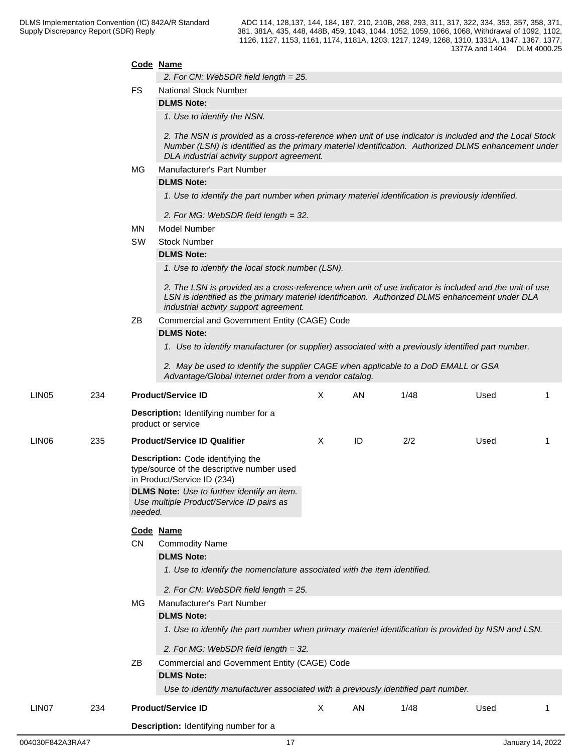|                   |     |           | Code Name<br>2. For CN: WebSDR field length = 25.                                                                                                                                                                                                                                           |   |    |      |      |   |
|-------------------|-----|-----------|---------------------------------------------------------------------------------------------------------------------------------------------------------------------------------------------------------------------------------------------------------------------------------------------|---|----|------|------|---|
|                   |     | <b>FS</b> | <b>National Stock Number</b>                                                                                                                                                                                                                                                                |   |    |      |      |   |
|                   |     |           | <b>DLMS Note:</b>                                                                                                                                                                                                                                                                           |   |    |      |      |   |
|                   |     |           | 1. Use to identify the NSN.<br>2. The NSN is provided as a cross-reference when unit of use indicator is included and the Local Stock<br>Number (LSN) is identified as the primary materiel identification. Authorized DLMS enhancement under<br>DLA industrial activity support agreement. |   |    |      |      |   |
|                   |     |           |                                                                                                                                                                                                                                                                                             |   |    |      |      |   |
|                   |     | <b>MG</b> | Manufacturer's Part Number                                                                                                                                                                                                                                                                  |   |    |      |      |   |
|                   |     |           | <b>DLMS Note:</b><br>1. Use to identify the part number when primary materiel identification is previously identified.                                                                                                                                                                      |   |    |      |      |   |
|                   |     |           | 2. For MG: WebSDR field length = 32.                                                                                                                                                                                                                                                        |   |    |      |      |   |
|                   |     | MN        | Model Number                                                                                                                                                                                                                                                                                |   |    |      |      |   |
|                   |     | SW        | <b>Stock Number</b>                                                                                                                                                                                                                                                                         |   |    |      |      |   |
|                   |     |           | <b>DLMS Note:</b>                                                                                                                                                                                                                                                                           |   |    |      |      |   |
|                   |     |           | 1. Use to identify the local stock number (LSN).                                                                                                                                                                                                                                            |   |    |      |      |   |
|                   |     |           | 2. The LSN is provided as a cross-reference when unit of use indicator is included and the unit of use<br>LSN is identified as the primary materiel identification. Authorized DLMS enhancement under DLA<br>industrial activity support agreement.                                         |   |    |      |      |   |
|                   |     | ZΒ        | Commercial and Government Entity (CAGE) Code                                                                                                                                                                                                                                                |   |    |      |      |   |
|                   |     |           | <b>DLMS Note:</b>                                                                                                                                                                                                                                                                           |   |    |      |      |   |
|                   |     |           | 1. Use to identify manufacturer (or supplier) associated with a previously identified part number.                                                                                                                                                                                          |   |    |      |      |   |
|                   |     |           | 2. May be used to identify the supplier CAGE when applicable to a DoD EMALL or GSA<br>Advantage/Global internet order from a vendor catalog.                                                                                                                                                |   |    |      |      |   |
| LIN <sub>05</sub> | 234 |           | <b>Product/Service ID</b>                                                                                                                                                                                                                                                                   | Χ | AN | 1/48 | Used |   |
|                   |     |           | Description: Identifying number for a<br>product or service                                                                                                                                                                                                                                 |   |    |      |      |   |
| LIN <sub>06</sub> | 235 |           | <b>Product/Service ID Qualifier</b>                                                                                                                                                                                                                                                         | X | ID | 2/2  | Used | 1 |
|                   |     |           | <b>Description:</b> Code identifying the<br>type/source of the descriptive number used<br>in Product/Service ID (234)<br><b>DLMS Note:</b> Use to further identify an item.<br>Use multiple Product/Service ID pairs as                                                                     |   |    |      |      |   |
|                   |     | needed.   |                                                                                                                                                                                                                                                                                             |   |    |      |      |   |
|                   |     | <b>CN</b> | Code Name<br><b>Commodity Name</b><br><b>DLMS Note:</b><br>1. Use to identify the nomenclature associated with the item identified.<br>2. For CN: WebSDR field length = 25.                                                                                                                 |   |    |      |      |   |
|                   |     | МG        | Manufacturer's Part Number                                                                                                                                                                                                                                                                  |   |    |      |      |   |
|                   |     |           | <b>DLMS Note:</b>                                                                                                                                                                                                                                                                           |   |    |      |      |   |
|                   |     |           | 1. Use to identify the part number when primary materiel identification is provided by NSN and LSN.                                                                                                                                                                                         |   |    |      |      |   |
|                   |     |           | 2. For MG: WebSDR field length = 32.                                                                                                                                                                                                                                                        |   |    |      |      |   |
|                   |     | ΖB        | Commercial and Government Entity (CAGE) Code                                                                                                                                                                                                                                                |   |    |      |      |   |
|                   |     |           | <b>DLMS Note:</b><br>Use to identify manufacturer associated with a previously identified part number.                                                                                                                                                                                      |   |    |      |      |   |
|                   |     |           |                                                                                                                                                                                                                                                                                             |   |    |      |      |   |
| LIN07             | 234 |           | <b>Product/Service ID</b>                                                                                                                                                                                                                                                                   | X | AN | 1/48 | Used |   |

**Description:** Identifying number for a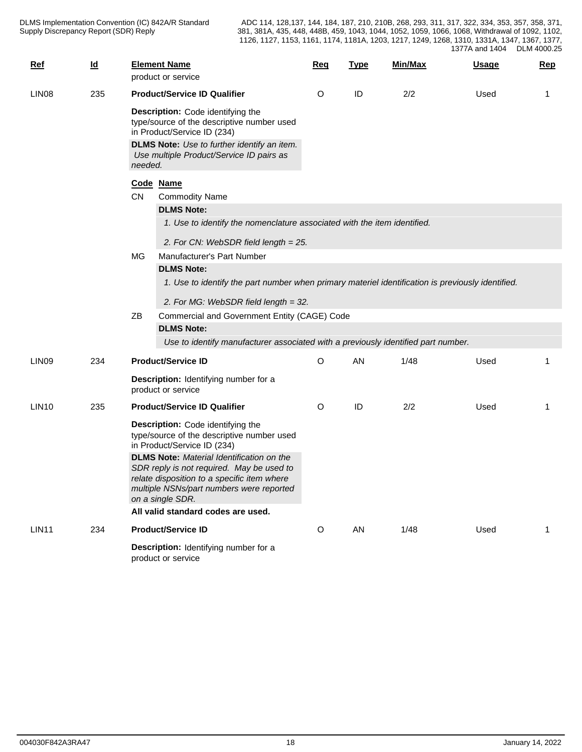| $Ref$             | $\underline{\mathsf{Id}}$ | <b>Element Name</b><br><b>Req</b><br>product or service                                                                                                                                                                                                                                                                                                              |         | <b>Type</b> | Min/Max | <b>Usage</b> | <b>Rep</b>  |
|-------------------|---------------------------|----------------------------------------------------------------------------------------------------------------------------------------------------------------------------------------------------------------------------------------------------------------------------------------------------------------------------------------------------------------------|---------|-------------|---------|--------------|-------------|
|                   |                           |                                                                                                                                                                                                                                                                                                                                                                      |         |             |         |              |             |
| LIN <sub>08</sub> | 235                       | <b>Product/Service ID Qualifier</b><br>Description: Code identifying the<br>type/source of the descriptive number used<br>in Product/Service ID (234)<br><b>DLMS Note:</b> Use to further identify an item.<br>Use multiple Product/Service ID pairs as<br>needed.                                                                                                   | O       | ID          | 2/2     | Used         | 1           |
|                   |                           | Code Name                                                                                                                                                                                                                                                                                                                                                            |         |             |         |              |             |
|                   |                           | <b>CN</b><br><b>Commodity Name</b>                                                                                                                                                                                                                                                                                                                                   |         |             |         |              |             |
|                   |                           | <b>DLMS Note:</b><br>1. Use to identify the nomenclature associated with the item identified.<br>2. For CN: WebSDR field length = 25.                                                                                                                                                                                                                                |         |             |         |              |             |
|                   |                           | Manufacturer's Part Number<br>MG                                                                                                                                                                                                                                                                                                                                     |         |             |         |              |             |
|                   |                           | <b>DLMS Note:</b>                                                                                                                                                                                                                                                                                                                                                    |         |             |         |              |             |
|                   |                           | 1. Use to identify the part number when primary materiel identification is previously identified.<br>2. For MG: WebSDR field length = 32.<br>Commercial and Government Entity (CAGE) Code<br>ΖB<br><b>DLMS Note:</b><br>Use to identify manufacturer associated with a previously identified part number.                                                            |         |             |         |              |             |
| LIN <sub>09</sub> | 234                       | <b>Product/Service ID</b>                                                                                                                                                                                                                                                                                                                                            | O       | AN          | 1/48    | Used         |             |
|                   |                           | Description: Identifying number for a<br>product or service                                                                                                                                                                                                                                                                                                          |         |             |         |              |             |
| LIN <sub>10</sub> | 235                       | <b>Product/Service ID Qualifier</b>                                                                                                                                                                                                                                                                                                                                  | O       | ID          | 2/2     | Used         | 1           |
|                   |                           | Description: Code identifying the<br>type/source of the descriptive number used<br>in Product/Service ID (234)<br><b>DLMS Note:</b> Material Identification on the<br>SDR reply is not required. May be used to<br>relate disposition to a specific item where<br>multiple NSNs/part numbers were reported<br>on a single SDR.<br>All valid standard codes are used. |         |             |         |              |             |
| <b>LIN11</b>      | 234                       | <b>Product/Service ID</b>                                                                                                                                                                                                                                                                                                                                            | $\circ$ | AN          | 1/48    | Used         | $\mathbf 1$ |
|                   |                           | Description: Identifying number for a<br>product or service                                                                                                                                                                                                                                                                                                          |         |             |         |              |             |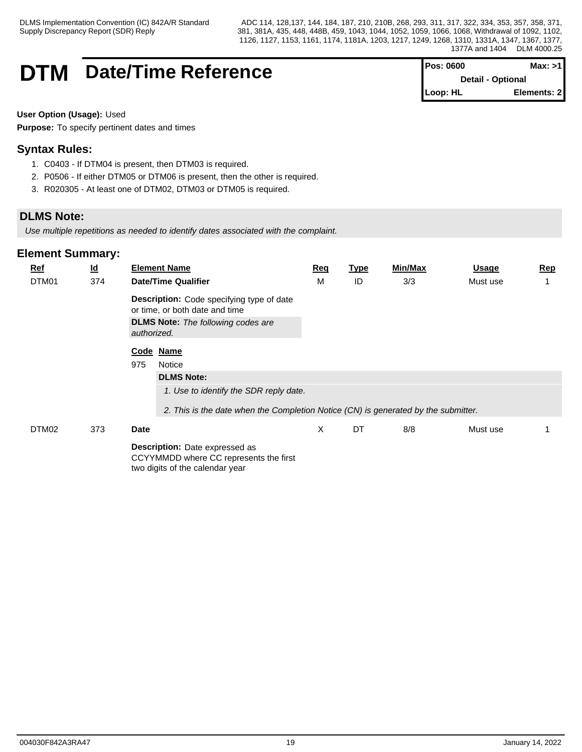### **DTM** Date/Time Reference

| <b>Pos: 0600</b>         | Max: >1     |  |
|--------------------------|-------------|--|
| <b>Detail - Optional</b> |             |  |
| $\blacksquare$ Loop: HL  | Elements: 2 |  |

**User Option (Usage):** Used

**Purpose:** To specify pertinent dates and times

### **Syntax Rules:**

- 1. C0403 If DTM04 is present, then DTM03 is required.
- 2. P0506 If either DTM05 or DTM06 is present, then the other is required.
- 3. R020305 At least one of DTM02, DTM03 or DTM05 is required.

#### **DLMS Note:**

*Use multiple repetitions as needed to identify dates associated with the complaint.*

| <b>Ref</b> | $\underline{\mathsf{Id}}$                                |      | <b>Element Name</b>                                                                                         | Req | <b>Type</b> | Min/Max | <b>Usage</b> | Rep |
|------------|----------------------------------------------------------|------|-------------------------------------------------------------------------------------------------------------|-----|-------------|---------|--------------|-----|
| DTM01      | 374                                                      |      | <b>Date/Time Qualifier</b>                                                                                  | M   | ID          | 3/3     | Must use     |     |
|            |                                                          |      | <b>Description:</b> Code specifying type of date<br>or time, or both date and time                          |     |             |         |              |     |
|            | <b>DLMS Note:</b> The following codes are<br>authorized. |      |                                                                                                             |     |             |         |              |     |
|            |                                                          |      | Code Name                                                                                                   |     |             |         |              |     |
|            |                                                          | 975  | Notice                                                                                                      |     |             |         |              |     |
|            |                                                          |      | <b>DLMS Note:</b>                                                                                           |     |             |         |              |     |
|            |                                                          |      | 1. Use to identify the SDR reply date.                                                                      |     |             |         |              |     |
|            |                                                          |      | 2. This is the date when the Completion Notice (CN) is generated by the submitter.                          |     |             |         |              |     |
| DTM02      | 373                                                      | Date |                                                                                                             | X   | DT          | 8/8     | Must use     |     |
|            |                                                          |      | Description: Date expressed as<br>CCYYMMDD where CC represents the first<br>two digits of the calendar year |     |             |         |              |     |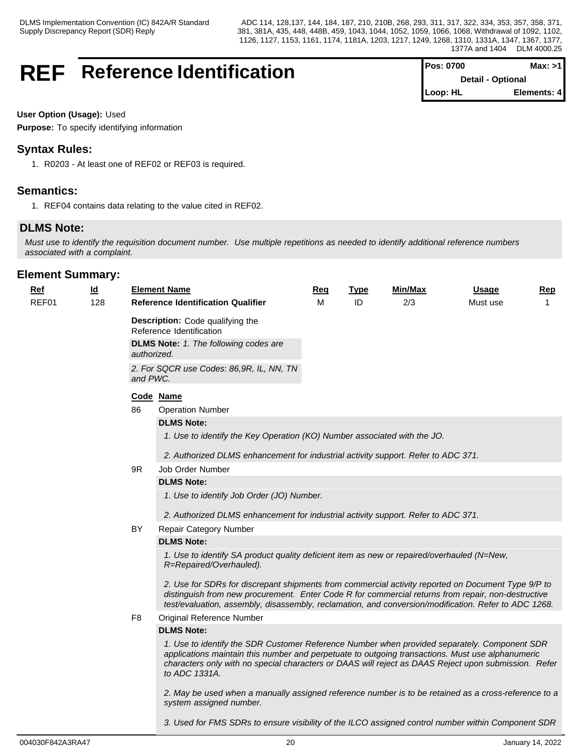### **REF** Reference Identification

| <b>Pos: 0700</b>         | Max: >1     |  |
|--------------------------|-------------|--|
| <b>Detail - Optional</b> |             |  |
| Loop: HL                 | Elements: 4 |  |

#### **User Option (Usage):** Used

**Purpose:** To specify identifying information

#### **Syntax Rules:**

1. R0203 - At least one of REF02 or REF03 is required.

#### **Semantics:**

1. REF04 contains data relating to the value cited in REF02.

#### **DLMS Note:**

*Must use to identify the requisition document number. Use multiple repetitions as needed to identify additional reference numbers associated with a complaint.*

#### **Element Summary:**

| <b>Ref</b> | <u>ld</u> |                | <b>Element Name</b>                                                                                                                                                                                                                                                                                                       | <b>Req</b> | <b>Type</b> | Min/Max | <b>Usage</b> | Rep |  |  |  |
|------------|-----------|----------------|---------------------------------------------------------------------------------------------------------------------------------------------------------------------------------------------------------------------------------------------------------------------------------------------------------------------------|------------|-------------|---------|--------------|-----|--|--|--|
| REF01      | 128       |                | <b>Reference Identification Qualifier</b>                                                                                                                                                                                                                                                                                 | M          | ID          | 2/3     | Must use     | 1   |  |  |  |
|            |           |                | Description: Code qualifying the<br>Reference Identification                                                                                                                                                                                                                                                              |            |             |         |              |     |  |  |  |
|            |           | authorized.    | <b>DLMS Note:</b> 1. The following codes are                                                                                                                                                                                                                                                                              |            |             |         |              |     |  |  |  |
|            |           | and PWC.       | 2. For SQCR use Codes: 86,9R, IL, NN, TN                                                                                                                                                                                                                                                                                  |            |             |         |              |     |  |  |  |
|            |           |                | Code Name                                                                                                                                                                                                                                                                                                                 |            |             |         |              |     |  |  |  |
|            |           | 86             | <b>Operation Number</b>                                                                                                                                                                                                                                                                                                   |            |             |         |              |     |  |  |  |
|            |           |                | <b>DLMS Note:</b>                                                                                                                                                                                                                                                                                                         |            |             |         |              |     |  |  |  |
|            |           |                | 1. Use to identify the Key Operation (KO) Number associated with the JO.                                                                                                                                                                                                                                                  |            |             |         |              |     |  |  |  |
|            |           |                | 2. Authorized DLMS enhancement for industrial activity support. Refer to ADC 371.                                                                                                                                                                                                                                         |            |             |         |              |     |  |  |  |
|            |           | 9R             | Job Order Number                                                                                                                                                                                                                                                                                                          |            |             |         |              |     |  |  |  |
|            |           |                | <b>DLMS Note:</b>                                                                                                                                                                                                                                                                                                         |            |             |         |              |     |  |  |  |
|            |           |                | 1. Use to identify Job Order (JO) Number.                                                                                                                                                                                                                                                                                 |            |             |         |              |     |  |  |  |
|            |           |                | 2. Authorized DLMS enhancement for industrial activity support. Refer to ADC 371.                                                                                                                                                                                                                                         |            |             |         |              |     |  |  |  |
|            |           | BY             | <b>Repair Category Number</b>                                                                                                                                                                                                                                                                                             |            |             |         |              |     |  |  |  |
|            |           |                | <b>DLMS Note:</b>                                                                                                                                                                                                                                                                                                         |            |             |         |              |     |  |  |  |
|            |           |                | 1. Use to identify SA product quality deficient item as new or repaired/overhauled (N=New,<br>R=Repaired/Overhauled).                                                                                                                                                                                                     |            |             |         |              |     |  |  |  |
|            |           |                | 2. Use for SDRs for discrepant shipments from commercial activity reported on Document Type 9/P to<br>distinguish from new procurement. Enter Code R for commercial returns from repair, non-destructive<br>test/evaluation, assembly, disassembly, reclamation, and conversion/modification. Refer to ADC 1268.          |            |             |         |              |     |  |  |  |
|            |           | F <sub>8</sub> | Original Reference Number                                                                                                                                                                                                                                                                                                 |            |             |         |              |     |  |  |  |
|            |           |                | <b>DLMS Note:</b>                                                                                                                                                                                                                                                                                                         |            |             |         |              |     |  |  |  |
|            |           |                | 1. Use to identify the SDR Customer Reference Number when provided separately. Component SDR<br>applications maintain this number and perpetuate to outgoing transactions. Must use alphanumeric<br>characters only with no special characters or DAAS will reject as DAAS Reject upon submission. Refer<br>to ADC 1331A. |            |             |         |              |     |  |  |  |
|            |           |                | 2. May be used when a manually assigned reference number is to be retained as a cross-reference to a<br>system assigned number.                                                                                                                                                                                           |            |             |         |              |     |  |  |  |

*3. Used for FMS SDRs to ensure visibility of the ILCO assigned control number within Component SDR*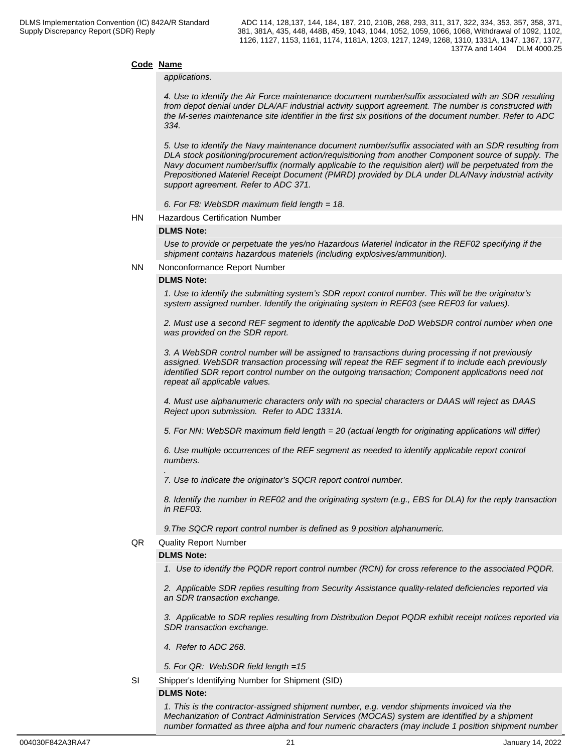#### **Code Name**

*applications.*

*4. Use to identify the Air Force maintenance document number/suffix associated with an SDR resulting from depot denial under DLA/AF industrial activity support agreement. The number is constructed with the M-series maintenance site identifier in the first six positions of the document number. Refer to ADC 334.*

*5. Use to identify the Navy maintenance document number/suffix associated with an SDR resulting from DLA stock positioning/procurement action/requisitioning from another Component source of supply. The Navy document number/suffix (normally applicable to the requisition alert) will be perpetuated from the Prepositioned Materiel Receipt Document (PMRD) provided by DLA under DLA/Navy industrial activity support agreement. Refer to ADC 371.*

*6. For F8: WebSDR maximum field length = 18.*

HN Hazardous Certification Number

#### **DLMS Note:**

*Use to provide or perpetuate the yes/no Hazardous Materiel Indicator in the REF02 specifying if the shipment contains hazardous materiels (including explosives/ammunition).*

NN Nonconformance Report Number

#### **DLMS Note:**

*1. Use to identify the submitting system's SDR report control number. This will be the originator's system assigned number. Identify the originating system in REF03 (see REF03 for values).*

*2. Must use a second REF segment to identify the applicable DoD WebSDR control number when one was provided on the SDR report.*

*3. A WebSDR control number will be assigned to transactions during processing if not previously assigned. WebSDR transaction processing will repeat the REF segment if to include each previously identified SDR report control number on the outgoing transaction; Component applications need not repeat all applicable values.*

*4. Must use alphanumeric characters only with no special characters or DAAS will reject as DAAS Reject upon submission. Refer to ADC 1331A.*

*5. For NN: WebSDR maximum field length = 20 (actual length for originating applications will differ)*

*6. Use multiple occurrences of the REF segment as needed to identify applicable report control numbers.*

*.7. Use to indicate the originator's SQCR report control number.*

*8. Identify the number in REF02 and the originating system (e.g., EBS for DLA) for the reply transaction in REF03.*

*9.The SQCR report control number is defined as 9 position alphanumeric.*

QR Quality Report Number

#### **DLMS Note:**

*1. Use to identify the PQDR report control number (RCN) for cross reference to the associated PQDR.*

*2. Applicable SDR replies resulting from Security Assistance quality-related deficiencies reported via an SDR transaction exchange.* 

*3. Applicable to SDR replies resulting from Distribution Depot PQDR exhibit receipt notices reported via SDR transaction exchange.*

- *4. Refer to ADC 268.*
- *5. For QR: WebSDR field length =15*
- SI Shipper's Identifying Number for Shipment (SID)

#### **DLMS Note:**

*1. This is the contractor-assigned shipment number, e.g. vendor shipments invoiced via the Mechanization of Contract Administration Services (MOCAS) system are identified by a shipment number formatted as three alpha and four numeric characters (may include 1 position shipment number*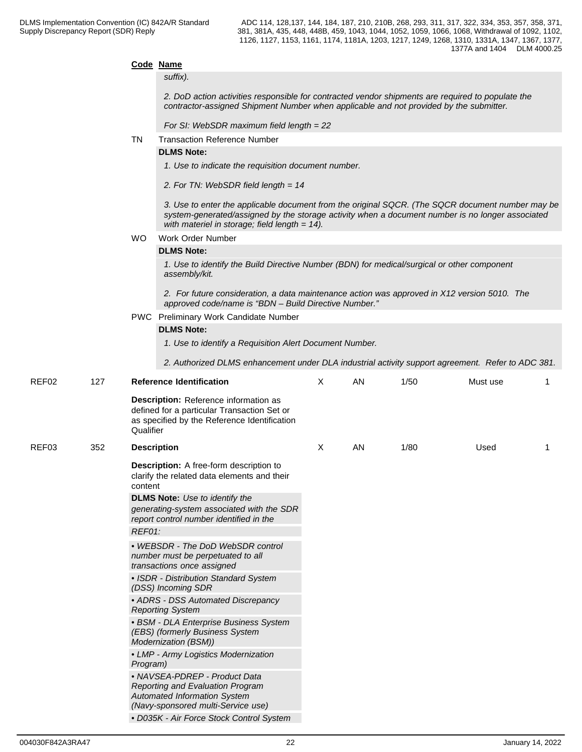|       |     |                    | Code Name                                                                                                                                                                                                                      |   |    |      |          |    |
|-------|-----|--------------------|--------------------------------------------------------------------------------------------------------------------------------------------------------------------------------------------------------------------------------|---|----|------|----------|----|
|       |     |                    | suffix).                                                                                                                                                                                                                       |   |    |      |          |    |
|       |     |                    | 2. DoD action activities responsible for contracted vendor shipments are required to populate the<br>contractor-assigned Shipment Number when applicable and not provided by the submitter.                                    |   |    |      |          |    |
|       |     |                    | For SI: WebSDR maximum field length $= 22$                                                                                                                                                                                     |   |    |      |          |    |
|       |     | TN                 | <b>Transaction Reference Number</b>                                                                                                                                                                                            |   |    |      |          |    |
|       |     |                    | <b>DLMS Note:</b>                                                                                                                                                                                                              |   |    |      |          |    |
|       |     |                    | 1. Use to indicate the requisition document number.                                                                                                                                                                            |   |    |      |          |    |
|       |     |                    | 2. For TN: WebSDR field length = 14                                                                                                                                                                                            |   |    |      |          |    |
|       |     |                    | 3. Use to enter the applicable document from the original SQCR. (The SQCR document number may be<br>system-generated/assigned by the storage activity when a document number is no longer associated                           |   |    |      |          |    |
|       |     |                    | with materiel in storage; field length = $14$ ).                                                                                                                                                                               |   |    |      |          |    |
|       |     | WO.                | Work Order Number                                                                                                                                                                                                              |   |    |      |          |    |
|       |     |                    | <b>DLMS Note:</b>                                                                                                                                                                                                              |   |    |      |          |    |
|       |     |                    | 1. Use to identify the Build Directive Number (BDN) for medical/surgical or other component<br>assembly/kit.                                                                                                                   |   |    |      |          |    |
|       |     |                    | 2. For future consideration, a data maintenance action was approved in X12 version 5010. The<br>approved code/name is "BDN - Build Directive Number."                                                                          |   |    |      |          |    |
|       |     |                    | PWC Preliminary Work Candidate Number                                                                                                                                                                                          |   |    |      |          |    |
|       |     |                    | <b>DLMS Note:</b>                                                                                                                                                                                                              |   |    |      |          |    |
|       |     |                    | 1. Use to identify a Requisition Alert Document Number.                                                                                                                                                                        |   |    |      |          |    |
|       |     |                    | 2. Authorized DLMS enhancement under DLA industrial activity support agreement. Refer to ADC 381.                                                                                                                              |   |    |      |          |    |
| REF02 | 127 |                    | <b>Reference Identification</b>                                                                                                                                                                                                | X | AN | 1/50 | Must use | 1  |
|       |     | Qualifier          | Description: Reference information as<br>defined for a particular Transaction Set or<br>as specified by the Reference Identification                                                                                           |   |    |      |          |    |
| REF03 | 352 | <b>Description</b> |                                                                                                                                                                                                                                | X | AN | 1/80 | Used     | -1 |
|       |     | content<br>REF01:  | <b>Description:</b> A free-form description to<br>clarify the related data elements and their<br><b>DLMS Note:</b> Use to identify the<br>generating-system associated with the SDR<br>report control number identified in the |   |    |      |          |    |
|       |     |                    | • WEBSDR - The DoD WebSDR control<br>number must be perpetuated to all<br>transactions once assigned                                                                                                                           |   |    |      |          |    |
|       |     |                    | • ISDR - Distribution Standard System<br>(DSS) Incoming SDR                                                                                                                                                                    |   |    |      |          |    |
|       |     |                    | • ADRS - DSS Automated Discrepancy<br><b>Reporting System</b>                                                                                                                                                                  |   |    |      |          |    |
|       |     |                    | • BSM - DLA Enterprise Business System<br>(EBS) (formerly Business System<br>Modernization (BSM))                                                                                                                              |   |    |      |          |    |
|       |     | Program)           | • LMP - Army Logistics Modernization                                                                                                                                                                                           |   |    |      |          |    |
|       |     |                    | • NAVSEA-PDREP - Product Data<br>Reporting and Evaluation Program<br>Automated Information System<br>(Navy-sponsored multi-Service use)                                                                                        |   |    |      |          |    |
|       |     |                    | • D035K - Air Force Stock Control System                                                                                                                                                                                       |   |    |      |          |    |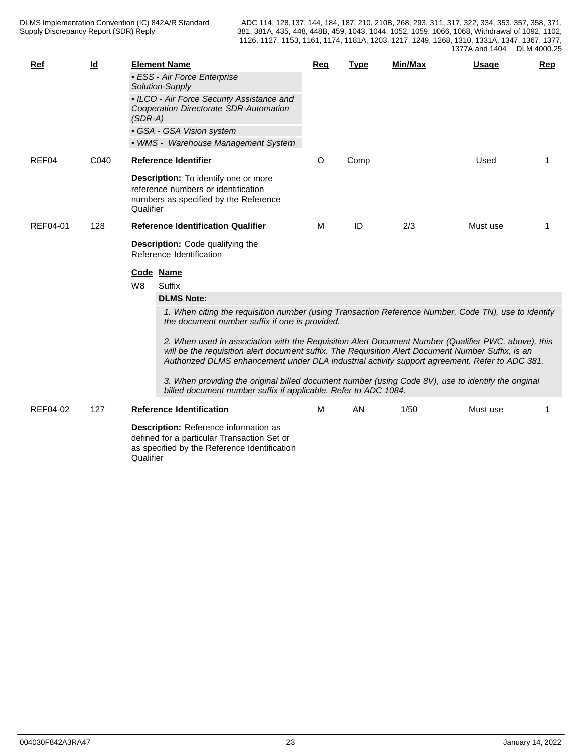| Ref      | <u>ld</u> | <b>Element Name</b>                             |                                                                                                                                                        | Reg                                                                                                                                                                                                                                                                                                         | <b>Type</b> | Min/Max | <b>Usage</b> | Rep |  |  |  |
|----------|-----------|-------------------------------------------------|--------------------------------------------------------------------------------------------------------------------------------------------------------|-------------------------------------------------------------------------------------------------------------------------------------------------------------------------------------------------------------------------------------------------------------------------------------------------------------|-------------|---------|--------------|-----|--|--|--|
|          |           | • ESS - Air Force Enterprise<br>Solution-Supply |                                                                                                                                                        |                                                                                                                                                                                                                                                                                                             |             |         |              |     |  |  |  |
|          |           | $(SDR-A)$                                       | • ILCO - Air Force Security Assistance and<br>Cooperation Directorate SDR-Automation                                                                   |                                                                                                                                                                                                                                                                                                             |             |         |              |     |  |  |  |
|          |           |                                                 | • GSA - GSA Vision system                                                                                                                              |                                                                                                                                                                                                                                                                                                             |             |         |              |     |  |  |  |
|          |           |                                                 | • WMS - Warehouse Management System                                                                                                                    |                                                                                                                                                                                                                                                                                                             |             |         |              |     |  |  |  |
| REF04    | C040      |                                                 | Reference Identifier                                                                                                                                   | O                                                                                                                                                                                                                                                                                                           | Comp        |         | Used         |     |  |  |  |
|          |           | Qualifier                                       | <b>Description:</b> To identify one or more<br>reference numbers or identification<br>numbers as specified by the Reference                            |                                                                                                                                                                                                                                                                                                             |             |         |              |     |  |  |  |
| REF04-01 | 128       |                                                 | <b>Reference Identification Qualifier</b>                                                                                                              | М                                                                                                                                                                                                                                                                                                           | ID          | 2/3     | Must use     |     |  |  |  |
|          |           |                                                 | Description: Code qualifying the<br>Reference Identification                                                                                           |                                                                                                                                                                                                                                                                                                             |             |         |              |     |  |  |  |
|          |           | Code Name                                       |                                                                                                                                                        |                                                                                                                                                                                                                                                                                                             |             |         |              |     |  |  |  |
|          |           | W <sub>8</sub>                                  | Suffix                                                                                                                                                 |                                                                                                                                                                                                                                                                                                             |             |         |              |     |  |  |  |
|          |           |                                                 | <b>DLMS Note:</b>                                                                                                                                      |                                                                                                                                                                                                                                                                                                             |             |         |              |     |  |  |  |
|          |           |                                                 | 1. When citing the requisition number (using Transaction Reference Number, Code TN), use to identify<br>the document number suffix if one is provided. |                                                                                                                                                                                                                                                                                                             |             |         |              |     |  |  |  |
|          |           |                                                 |                                                                                                                                                        | 2. When used in association with the Requisition Alert Document Number (Qualifier PWC, above), this<br>will be the requisition alert document suffix. The Requisition Alert Document Number Suffix, is an<br>Authorized DLMS enhancement under DLA industrial activity support agreement. Refer to ADC 381. |             |         |              |     |  |  |  |
|          |           |                                                 |                                                                                                                                                        |                                                                                                                                                                                                                                                                                                             |             |         |              |     |  |  |  |

*3. When providing the original billed document number (using Code 8V), use to identify the original billed document number suffix if applicable. Refer to ADC 1084.*

| REF04-02 | 127 | <b>Reference Identification</b>                                                                                                                          | М | AN | 1/50 | Must use |  |
|----------|-----|----------------------------------------------------------------------------------------------------------------------------------------------------------|---|----|------|----------|--|
|          |     | <b>Description:</b> Reference information as<br>defined for a particular Transaction Set or<br>as specified by the Reference Identification<br>Qualifier |   |    |      |          |  |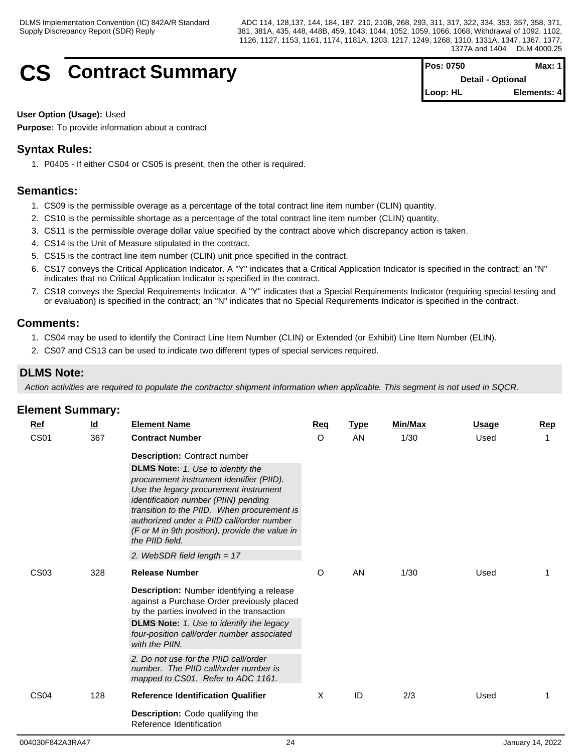## **CS Contract Summary**

| <b>IPos: 0750</b>         | Max: $1$    |  |
|---------------------------|-------------|--|
| <b>Detail - Optional</b>  |             |  |
| $\blacksquare$ Loop: $HL$ | Elements: 4 |  |

#### **User Option (Usage):** Used

**Purpose:** To provide information about a contract

#### **Syntax Rules:**

1. P0405 - If either CS04 or CS05 is present, then the other is required.

#### **Semantics:**

- 1. CS09 is the permissible overage as a percentage of the total contract line item number (CLIN) quantity.
- 2. CS10 is the permissible shortage as a percentage of the total contract line item number (CLIN) quantity.
- 3. CS11 is the permissible overage dollar value specified by the contract above which discrepancy action is taken.
- 4. CS14 is the Unit of Measure stipulated in the contract.
- 5. CS15 is the contract line item number (CLIN) unit price specified in the contract.
- 6. CS17 conveys the Critical Application Indicator. A "Y" indicates that a Critical Application Indicator is specified in the contract; an "N" indicates that no Critical Application Indicator is specified in the contract.
- 7. CS18 conveys the Special Requirements Indicator. A "Y" indicates that a Special Requirements Indicator (requiring special testing and or evaluation) is specified in the contract; an "N" indicates that no Special Requirements Indicator is specified in the contract.

#### **Comments:**

- 1. CS04 may be used to identify the Contract Line Item Number (CLIN) or Extended (or Exhibit) Line Item Number (ELIN).
- 2. CS07 and CS13 can be used to indicate two different types of special services required.

#### **DLMS Note:**

*Action activities are required to populate the contractor shipment information when applicable. This segment is not used in SQCR.*

|  | Ref              | $\underline{\mathsf{Id}}$ | <b>Element Name</b>                                                                                                                                                                                                                                                                                                                                                                                      | <u>Req</u> | <b>Type</b> | Min/Max | <b>Usage</b> | Rep |
|--|------------------|---------------------------|----------------------------------------------------------------------------------------------------------------------------------------------------------------------------------------------------------------------------------------------------------------------------------------------------------------------------------------------------------------------------------------------------------|------------|-------------|---------|--------------|-----|
|  | <b>CS01</b>      | 367                       | <b>Contract Number</b>                                                                                                                                                                                                                                                                                                                                                                                   | $\circ$    | AN          | 1/30    | Used         |     |
|  |                  |                           | <b>Description: Contract number</b><br>DLMS Note: 1. Use to identify the<br>procurement instrument identifier (PIID).<br>Use the legacy procurement instrument<br>identification number (PIIN) pending<br>transition to the PIID. When procurement is<br>authorized under a PIID call/order number<br>(F or M in 9th position), provide the value in<br>the PIID field.<br>2. WebSDR field length = $17$ |            |             |         |              |     |
|  | CS <sub>03</sub> | 328                       | <b>Release Number</b><br>Description: Number identifying a release<br>against a Purchase Order previously placed<br>by the parties involved in the transaction<br><b>DLMS Note:</b> 1. Use to identify the legacy<br>four-position call/order number associated<br>with the PIIN.                                                                                                                        | O          | AN          | 1/30    | Used         |     |
|  | CS <sub>04</sub> | 128                       | 2. Do not use for the PIID call/order<br>number. The PIID call/order number is<br>mapped to CS01. Refer to ADC 1161.<br><b>Reference Identification Qualifier</b>                                                                                                                                                                                                                                        | X          | ID          | 2/3     | Used         |     |
|  |                  |                           | <b>Description:</b> Code qualifying the<br>Reference Identification                                                                                                                                                                                                                                                                                                                                      |            |             |         |              |     |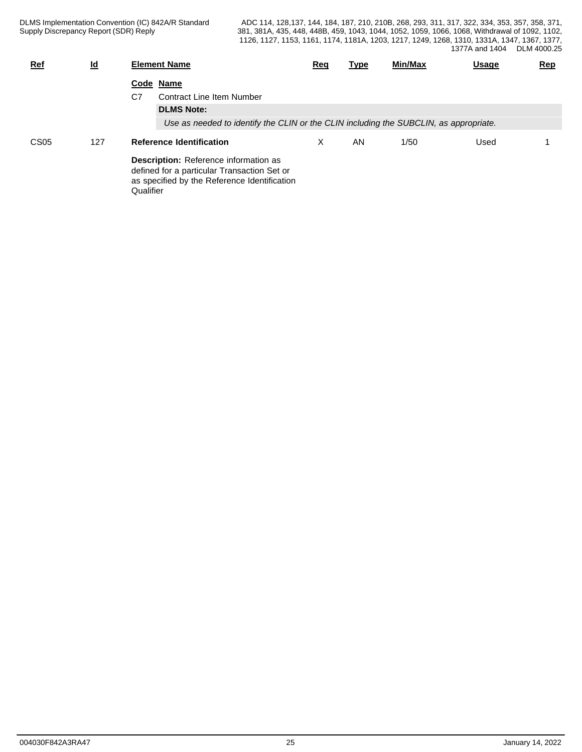| <b>Ref</b>  | <u>ld</u> | <b>Element Name</b>             |                                                                                                                                      | Reg | <u>Type</u> | Min/Max | <b>Usage</b> | Rep |
|-------------|-----------|---------------------------------|--------------------------------------------------------------------------------------------------------------------------------------|-----|-------------|---------|--------------|-----|
|             |           | Code Name                       |                                                                                                                                      |     |             |         |              |     |
|             |           | C7                              | <b>Contract Line Item Number</b>                                                                                                     |     |             |         |              |     |
|             |           | <b>DLMS Note:</b>               |                                                                                                                                      |     |             |         |              |     |
|             |           |                                 | Use as needed to identify the CLIN or the CLIN including the SUBCLIN, as appropriate.                                                |     |             |         |              |     |
| <b>CS05</b> | 127       | <b>Reference Identification</b> |                                                                                                                                      |     | AN          | 1/50    | Used         |     |
|             |           | Qualifier                       | Description: Reference information as<br>defined for a particular Transaction Set or<br>as specified by the Reference Identification |     |             |         |              |     |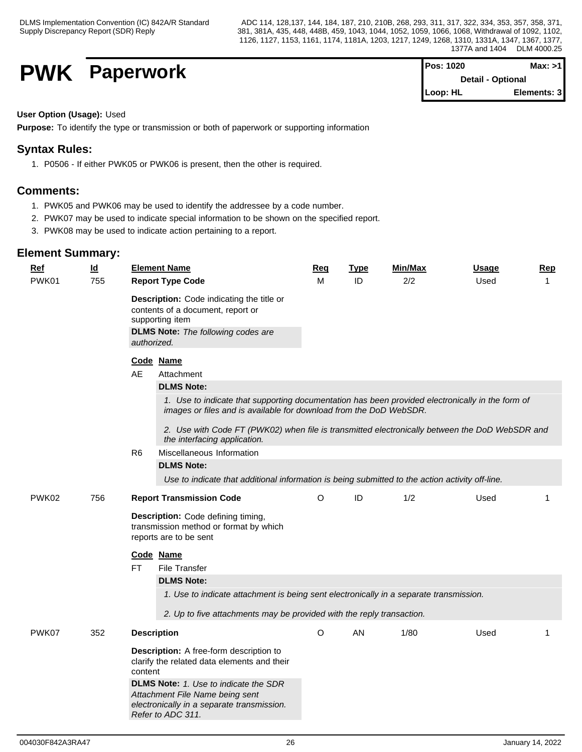### **PWK** Paperwork **PWK Paperwork PWK Paperwork**

**Detail - Optional Loop: HL Elements: 3**

#### **User Option (Usage):** Used

**Purpose:** To identify the type or transmission or both of paperwork or supporting information

#### **Syntax Rules:**

1. P0506 - If either PWK05 or PWK06 is present, then the other is required.

#### **Comments:**

- 1. PWK05 and PWK06 may be used to identify the addressee by a code number.
- 2. PWK07 may be used to indicate special information to be shown on the specified report.
- 3. PWK08 may be used to indicate action pertaining to a report.

| <b>Ref</b> | $\underline{\mathsf{Id}}$ | <b>Element Name</b>                                                                                                                                                                                                                                                                                      | <u>Req</u> | <b>Type</b> | Min/Max | <b>Usage</b> | Rep |
|------------|---------------------------|----------------------------------------------------------------------------------------------------------------------------------------------------------------------------------------------------------------------------------------------------------------------------------------------------------|------------|-------------|---------|--------------|-----|
| PWK01      | 755                       | <b>Report Type Code</b>                                                                                                                                                                                                                                                                                  | М          | ID          | 2/2     | Used         | 1   |
|            |                           | Description: Code indicating the title or<br>contents of a document, report or<br>supporting item<br><b>DLMS Note:</b> The following codes are<br>authorized.                                                                                                                                            |            |             |         |              |     |
|            |                           | Code Name                                                                                                                                                                                                                                                                                                |            |             |         |              |     |
|            |                           | AE<br>Attachment                                                                                                                                                                                                                                                                                         |            |             |         |              |     |
|            |                           | <b>DLMS Note:</b>                                                                                                                                                                                                                                                                                        |            |             |         |              |     |
|            |                           | 1. Use to indicate that supporting documentation has been provided electronically in the form of<br>images or files and is available for download from the DoD WebSDR.<br>2. Use with Code FT (PWK02) when file is transmitted electronically between the DoD WebSDR and<br>the interfacing application. |            |             |         |              |     |
|            |                           | R <sub>6</sub><br>Miscellaneous Information                                                                                                                                                                                                                                                              |            |             |         |              |     |
|            |                           | <b>DLMS Note:</b>                                                                                                                                                                                                                                                                                        |            |             |         |              |     |
|            |                           | Use to indicate that additional information is being submitted to the action activity off-line.                                                                                                                                                                                                          |            |             |         |              |     |
| PWK02      | 756                       | <b>Report Transmission Code</b>                                                                                                                                                                                                                                                                          | O          | ID          | 1/2     | Used         | 1   |
|            |                           | Description: Code defining timing,<br>transmission method or format by which<br>reports are to be sent                                                                                                                                                                                                   |            |             |         |              |     |
|            |                           | Code Name<br>File Transfer<br><b>FT</b>                                                                                                                                                                                                                                                                  |            |             |         |              |     |
|            |                           | <b>DLMS Note:</b>                                                                                                                                                                                                                                                                                        |            |             |         |              |     |
|            |                           | 1. Use to indicate attachment is being sent electronically in a separate transmission.                                                                                                                                                                                                                   |            |             |         |              |     |
|            |                           | 2. Up to five attachments may be provided with the reply transaction.                                                                                                                                                                                                                                    |            |             |         |              |     |
| PWK07      | 352                       | <b>Description</b>                                                                                                                                                                                                                                                                                       | O          | AN          | 1/80    | Used         | 1   |
|            |                           | <b>Description:</b> A free-form description to<br>clarify the related data elements and their<br>content                                                                                                                                                                                                 |            |             |         |              |     |
|            |                           | <b>DLMS Note:</b> 1. Use to indicate the SDR<br>Attachment File Name being sent<br>electronically in a separate transmission.<br>Refer to ADC 311.                                                                                                                                                       |            |             |         |              |     |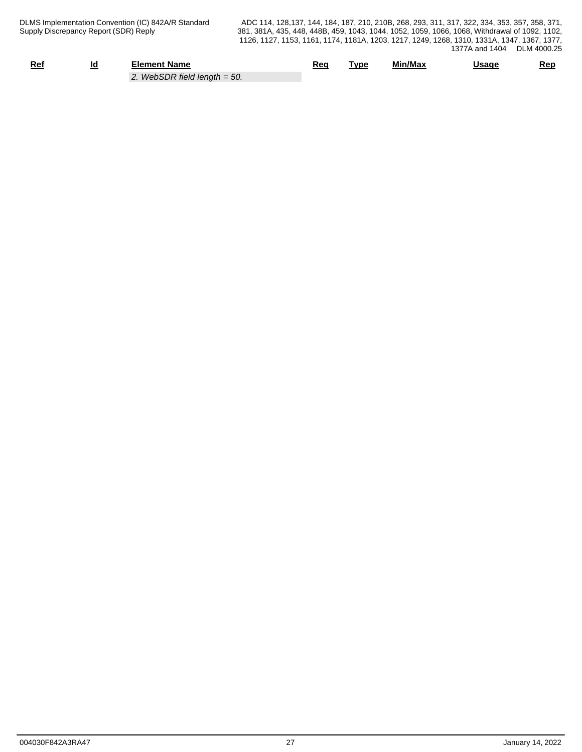| Ret | ıd<br>__<br>_ | Element Name                | Rec | <b>TVD</b> | <b>Min/Max</b> | Jsaqe | Rep |
|-----|---------------|-----------------------------|-----|------------|----------------|-------|-----|
|     |               | WebSDR field length $=$ 50. |     |            |                |       |     |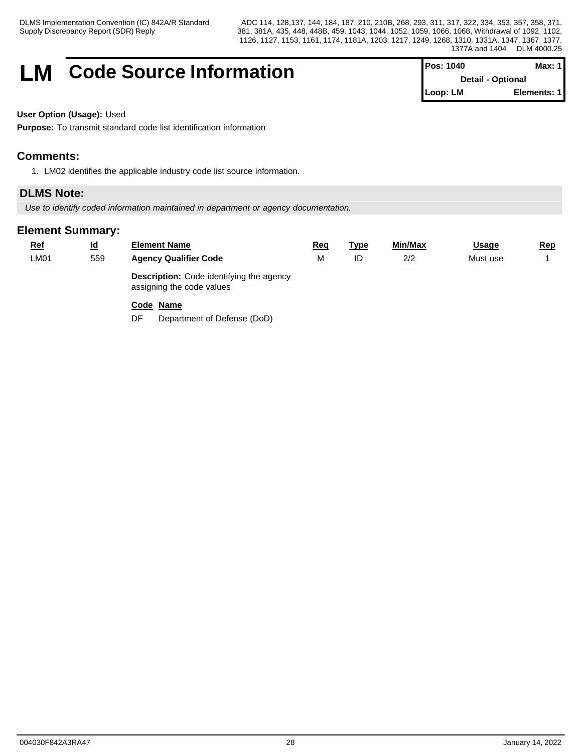### **LM** Code Source Information

| <b>Pos: 1040</b> | Max: $1$                 |
|------------------|--------------------------|
|                  | <b>Detail - Optional</b> |
| Loop: LM         | Elements: 1              |

**User Option (Usage):** Used

**Purpose:** To transmit standard code list identification information

#### **Comments:**

1. LM02 identifies the applicable industry code list source information.

#### **DLMS Note:**

*Use to identify coded information maintained in department or agency documentation.*

#### **Element Summary:**

| <u>Ref</u> | $\underline{\mathsf{Id}}$ | <b>Element Name</b>                                                          | Req | <u>Type</u> | <b>Min/Max</b> | <b>Usage</b> | <u>Rep</u> |
|------------|---------------------------|------------------------------------------------------------------------------|-----|-------------|----------------|--------------|------------|
| LM01       | 559                       | <b>Agency Qualifier Code</b>                                                 | М   | ID          | 2/2            | Must use     |            |
|            |                           | <b>Description:</b> Code identifying the agency<br>assigning the code values |     |             |                |              |            |
|            |                           | Code Name                                                                    |     |             |                |              |            |
|            |                           |                                                                              |     |             |                |              |            |

DF Department of Defense (DoD)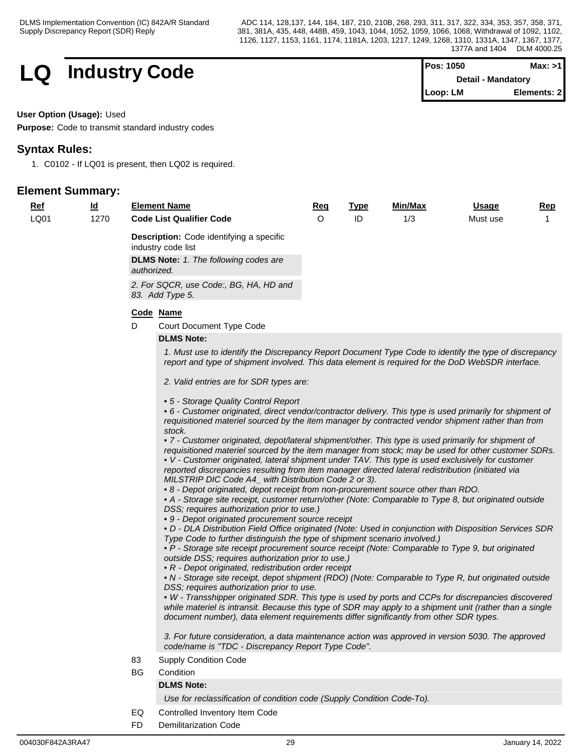### **LQ** Industry Code

| <b>Pos: 1050</b>          | Max: >1     |  |
|---------------------------|-------------|--|
| <b>Detail - Mandatory</b> |             |  |
| $\mathsf{Loop: LM}$       | Elements: 2 |  |

#### **User Option (Usage):** Used

**Purpose:** Code to transmit standard industry codes

#### **Syntax Rules:**

1. C0102 - If LQ01 is present, then LQ02 is required.

| <u>Ref</u> | <u>ld</u> |             | <b>Element Name</b>                                                                                                                                                                                                                                                                                                                                                                                                                                                                                                                                                                                                                                                                                                                                                                                                                                                                                                                                                                                                                                                                                                                                                                                                                                                                                                                                                                                                                                                                                                                                                                                                                                                                                                                                                                                                                                                                                                                                                                                                                                                                                                                                                                   | <u>Req</u> | <b>Type</b> | <b>Min/Max</b> | <u>Usage</u> | <u>Rep</u> |
|------------|-----------|-------------|---------------------------------------------------------------------------------------------------------------------------------------------------------------------------------------------------------------------------------------------------------------------------------------------------------------------------------------------------------------------------------------------------------------------------------------------------------------------------------------------------------------------------------------------------------------------------------------------------------------------------------------------------------------------------------------------------------------------------------------------------------------------------------------------------------------------------------------------------------------------------------------------------------------------------------------------------------------------------------------------------------------------------------------------------------------------------------------------------------------------------------------------------------------------------------------------------------------------------------------------------------------------------------------------------------------------------------------------------------------------------------------------------------------------------------------------------------------------------------------------------------------------------------------------------------------------------------------------------------------------------------------------------------------------------------------------------------------------------------------------------------------------------------------------------------------------------------------------------------------------------------------------------------------------------------------------------------------------------------------------------------------------------------------------------------------------------------------------------------------------------------------------------------------------------------------|------------|-------------|----------------|--------------|------------|
| LQ01       | 1270      |             | <b>Code List Qualifier Code</b>                                                                                                                                                                                                                                                                                                                                                                                                                                                                                                                                                                                                                                                                                                                                                                                                                                                                                                                                                                                                                                                                                                                                                                                                                                                                                                                                                                                                                                                                                                                                                                                                                                                                                                                                                                                                                                                                                                                                                                                                                                                                                                                                                       | $\Omega$   | ID          | 1/3            | Must use     | -1         |
|            |           |             | Description: Code identifying a specific<br>industry code list                                                                                                                                                                                                                                                                                                                                                                                                                                                                                                                                                                                                                                                                                                                                                                                                                                                                                                                                                                                                                                                                                                                                                                                                                                                                                                                                                                                                                                                                                                                                                                                                                                                                                                                                                                                                                                                                                                                                                                                                                                                                                                                        |            |             |                |              |            |
|            |           | authorized. | <b>DLMS Note:</b> 1. The following codes are                                                                                                                                                                                                                                                                                                                                                                                                                                                                                                                                                                                                                                                                                                                                                                                                                                                                                                                                                                                                                                                                                                                                                                                                                                                                                                                                                                                                                                                                                                                                                                                                                                                                                                                                                                                                                                                                                                                                                                                                                                                                                                                                          |            |             |                |              |            |
|            |           |             | 2. For SQCR, use Code:, BG, HA, HD and<br>83. Add Type 5.                                                                                                                                                                                                                                                                                                                                                                                                                                                                                                                                                                                                                                                                                                                                                                                                                                                                                                                                                                                                                                                                                                                                                                                                                                                                                                                                                                                                                                                                                                                                                                                                                                                                                                                                                                                                                                                                                                                                                                                                                                                                                                                             |            |             |                |              |            |
|            |           |             | Code Name                                                                                                                                                                                                                                                                                                                                                                                                                                                                                                                                                                                                                                                                                                                                                                                                                                                                                                                                                                                                                                                                                                                                                                                                                                                                                                                                                                                                                                                                                                                                                                                                                                                                                                                                                                                                                                                                                                                                                                                                                                                                                                                                                                             |            |             |                |              |            |
|            |           | D           | <b>Court Document Type Code</b>                                                                                                                                                                                                                                                                                                                                                                                                                                                                                                                                                                                                                                                                                                                                                                                                                                                                                                                                                                                                                                                                                                                                                                                                                                                                                                                                                                                                                                                                                                                                                                                                                                                                                                                                                                                                                                                                                                                                                                                                                                                                                                                                                       |            |             |                |              |            |
|            |           |             | <b>DLMS Note:</b>                                                                                                                                                                                                                                                                                                                                                                                                                                                                                                                                                                                                                                                                                                                                                                                                                                                                                                                                                                                                                                                                                                                                                                                                                                                                                                                                                                                                                                                                                                                                                                                                                                                                                                                                                                                                                                                                                                                                                                                                                                                                                                                                                                     |            |             |                |              |            |
|            |           |             | report and type of shipment involved. This data element is required for the DoD WebSDR interface.<br>2. Valid entries are for SDR types are:<br>• 5 - Storage Quality Control Report<br>• 6 - Customer originated, direct vendor/contractor delivery. This type is used primarily for shipment of<br>requisitioned materiel sourced by the item manager by contracted vendor shipment rather than from<br>stock.<br>• 7 - Customer originated, depot/lateral shipment/other. This type is used primarily for shipment of<br>requisitioned materiel sourced by the item manager from stock; may be used for other customer SDRs.<br>• V - Customer originated, lateral shipment under TAV. This type is used exclusively for customer<br>reported discrepancies resulting from item manager directed lateral redistribution (initiated via<br>MILSTRIP DIC Code A4_ with Distribution Code 2 or 3).<br>• 8 - Depot originated, depot receipt from non-procurement source other than RDO.<br>• A - Storage site receipt, customer return/other (Note: Comparable to Type 8, but originated outside<br>DSS; requires authorization prior to use.)<br>• 9 - Depot originated procurement source receipt<br>. D - DLA Distribution Field Office originated (Note: Used in conjunction with Disposition Services SDR<br>Type Code to further distinguish the type of shipment scenario involved.)<br>• P - Storage site receipt procurement source receipt (Note: Comparable to Type 9, but originated<br>outside DSS; requires authorization prior to use.)<br>• R - Depot originated, redistribution order receipt<br>• N - Storage site receipt, depot shipment (RDO) (Note: Comparable to Type R, but originated outside<br>DSS; requires authorization prior to use.<br>• W - Transshipper originated SDR. This type is used by ports and CCPs for discrepancies discovered<br>while materiel is intransit. Because this type of SDR may apply to a shipment unit (rather than a single<br>document number), data element requirements differ significantly from other SDR types.<br>3. For future consideration, a data maintenance action was approved in version 5030. The approved |            |             |                |              |            |
|            |           |             | code/name is "TDC - Discrepancy Report Type Code".                                                                                                                                                                                                                                                                                                                                                                                                                                                                                                                                                                                                                                                                                                                                                                                                                                                                                                                                                                                                                                                                                                                                                                                                                                                                                                                                                                                                                                                                                                                                                                                                                                                                                                                                                                                                                                                                                                                                                                                                                                                                                                                                    |            |             |                |              |            |
|            |           | 83          | <b>Supply Condition Code</b>                                                                                                                                                                                                                                                                                                                                                                                                                                                                                                                                                                                                                                                                                                                                                                                                                                                                                                                                                                                                                                                                                                                                                                                                                                                                                                                                                                                                                                                                                                                                                                                                                                                                                                                                                                                                                                                                                                                                                                                                                                                                                                                                                          |            |             |                |              |            |
|            |           | <b>BG</b>   | Condition                                                                                                                                                                                                                                                                                                                                                                                                                                                                                                                                                                                                                                                                                                                                                                                                                                                                                                                                                                                                                                                                                                                                                                                                                                                                                                                                                                                                                                                                                                                                                                                                                                                                                                                                                                                                                                                                                                                                                                                                                                                                                                                                                                             |            |             |                |              |            |
|            |           |             | <b>DLMS Note:</b>                                                                                                                                                                                                                                                                                                                                                                                                                                                                                                                                                                                                                                                                                                                                                                                                                                                                                                                                                                                                                                                                                                                                                                                                                                                                                                                                                                                                                                                                                                                                                                                                                                                                                                                                                                                                                                                                                                                                                                                                                                                                                                                                                                     |            |             |                |              |            |
|            |           |             | Use for reclassification of condition code (Supply Condition Code-To).                                                                                                                                                                                                                                                                                                                                                                                                                                                                                                                                                                                                                                                                                                                                                                                                                                                                                                                                                                                                                                                                                                                                                                                                                                                                                                                                                                                                                                                                                                                                                                                                                                                                                                                                                                                                                                                                                                                                                                                                                                                                                                                |            |             |                |              |            |
|            |           | EQ          | Controlled Inventory Item Code                                                                                                                                                                                                                                                                                                                                                                                                                                                                                                                                                                                                                                                                                                                                                                                                                                                                                                                                                                                                                                                                                                                                                                                                                                                                                                                                                                                                                                                                                                                                                                                                                                                                                                                                                                                                                                                                                                                                                                                                                                                                                                                                                        |            |             |                |              |            |
|            |           | <b>FD</b>   | <b>Demilitarization Code</b>                                                                                                                                                                                                                                                                                                                                                                                                                                                                                                                                                                                                                                                                                                                                                                                                                                                                                                                                                                                                                                                                                                                                                                                                                                                                                                                                                                                                                                                                                                                                                                                                                                                                                                                                                                                                                                                                                                                                                                                                                                                                                                                                                          |            |             |                |              |            |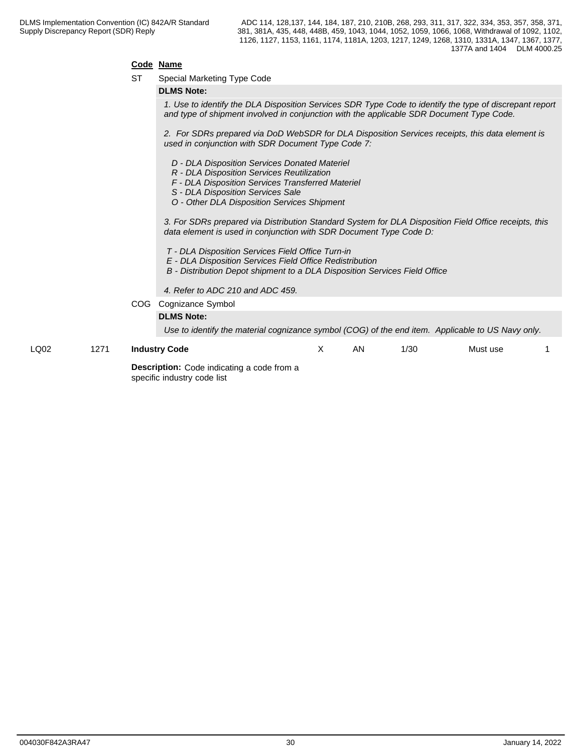#### **Code Name**

ST Special Marketing Type Code

#### **DLMS Note:**

*1. Use to identify the DLA Disposition Services SDR Type Code to identify the type of discrepant report and type of shipment involved in conjunction with the applicable SDR Document Type Code.*

*2. For SDRs prepared via DoD WebSDR for DLA Disposition Services receipts, this data element is used in conjunction with SDR Document Type Code 7:*

- *D DLA Disposition Services Donated Materiel*
- *R DLA Disposition Services Reutilization*
- *F DLA Disposition Services Transferred Materiel*
- *S DLA Disposition Services Sale*
- *O Other DLA Disposition Services Shipment*

*3. For SDRs prepared via Distribution Standard System for DLA Disposition Field Office receipts, this data element is used in conjunction with SDR Document Type Code D:*

- *T DLA Disposition Services Field Office Turn-in*
- *E DLA Disposition Services Field Office Redistribution*
- *B Distribution Depot shipment to a DLA Disposition Services Field Office*

*4. Refer to ADC 210 and ADC 459.*

COG Cognizance Symbol

#### **DLMS Note:**

*Use to identify the material cognizance symbol (COG) of the end item. Applicable to US Navy only.*

LQ02 1271 **Industry Code Description:** Code indicating a code from a X AN 1/30 Must use 1

specific industry code list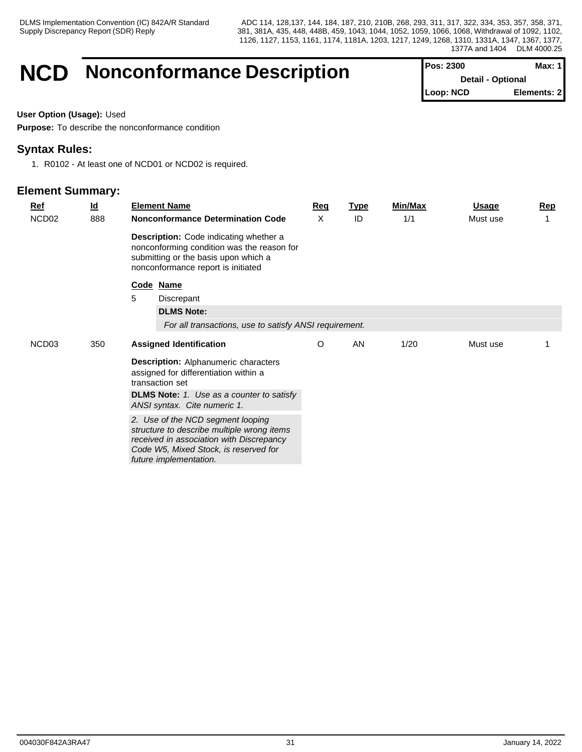### **NCD** Nonconformance Description

| <b>Pos: 2300</b>         | Max: $1$    |
|--------------------------|-------------|
| <b>Detail - Optional</b> |             |
| Loop: NCD                | Elements: 2 |

**User Option (Usage):** Used

**Purpose:** To describe the nonconformance condition

#### **Syntax Rules:**

1. R0102 - At least one of NCD01 or NCD02 is required.

| $Ref$             | <u>ld</u> | <b>Element Name</b>                                                                                                                                                                            | Req | <b>Type</b> | Min/Max | <u>Usage</u> | <b>Rep</b> |
|-------------------|-----------|------------------------------------------------------------------------------------------------------------------------------------------------------------------------------------------------|-----|-------------|---------|--------------|------------|
| NCD <sub>02</sub> | 888       | <b>Nonconformance Determination Code</b>                                                                                                                                                       | X   | ID          | 1/1     | Must use     |            |
|                   |           | <b>Description:</b> Code indicating whether a<br>nonconforming condition was the reason for<br>submitting or the basis upon which a<br>nonconformance report is initiated                      |     |             |         |              |            |
|                   |           | Code Name                                                                                                                                                                                      |     |             |         |              |            |
|                   |           | 5<br>Discrepant                                                                                                                                                                                |     |             |         |              |            |
|                   |           | <b>DLMS Note:</b>                                                                                                                                                                              |     |             |         |              |            |
|                   |           | For all transactions, use to satisfy ANSI requirement.                                                                                                                                         |     |             |         |              |            |
| NCD <sub>03</sub> | 350       | <b>Assigned Identification</b>                                                                                                                                                                 | O   | AN          | 1/20    | Must use     |            |
|                   |           | <b>Description:</b> Alphanumeric characters<br>assigned for differentiation within a<br>transaction set                                                                                        |     |             |         |              |            |
|                   |           | <b>DLMS Note:</b> 1. Use as a counter to satisfy<br>ANSI syntax. Cite numeric 1.                                                                                                               |     |             |         |              |            |
|                   |           | 2. Use of the NCD segment looping<br>structure to describe multiple wrong items<br>received in association with Discrepancy<br>Code W5, Mixed Stock, is reserved for<br>future implementation. |     |             |         |              |            |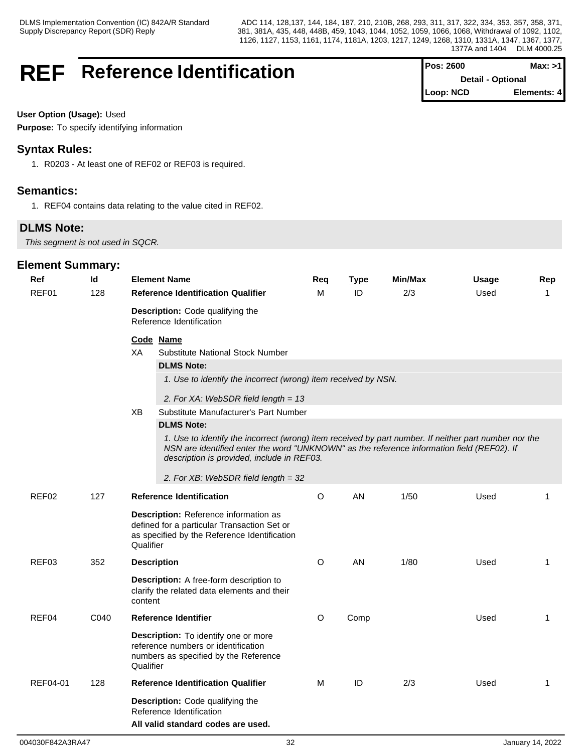### **REF** Reference Identification

| <b>Pos: 2600</b>         | Max: >11    |
|--------------------------|-------------|
| <b>Detail - Optional</b> |             |
| Loop: NCD                | Elements: 4 |

#### **User Option (Usage):** Used

**Purpose:** To specify identifying information

#### **Syntax Rules:**

1. R0203 - At least one of REF02 or REF03 is required.

#### **Semantics:**

1. REF04 contains data relating to the value cited in REF02.

#### **DLMS Note:**

*This segment is not used in SQCR.*

| <b>Ref</b> | $\underline{\mathsf{Id}}$              | <b>Element Name</b>                                                 |                                                                                                                                                                                                                                                   | <u>Req</u> | <b>Type</b> | Min/Max | <b>Usage</b> | <b>Rep</b>   |
|------------|----------------------------------------|---------------------------------------------------------------------|---------------------------------------------------------------------------------------------------------------------------------------------------------------------------------------------------------------------------------------------------|------------|-------------|---------|--------------|--------------|
| REF01      | 128                                    |                                                                     | <b>Reference Identification Qualifier</b>                                                                                                                                                                                                         | M          | ID          | 2/3     | Used         | $\mathbf{1}$ |
|            |                                        | <b>Description:</b> Code qualifying the<br>Reference Identification |                                                                                                                                                                                                                                                   |            |             |         |              |              |
|            |                                        |                                                                     | Code Name                                                                                                                                                                                                                                         |            |             |         |              |              |
|            |                                        | XA                                                                  | <b>Substitute National Stock Number</b>                                                                                                                                                                                                           |            |             |         |              |              |
|            |                                        |                                                                     | <b>DLMS Note:</b>                                                                                                                                                                                                                                 |            |             |         |              |              |
|            |                                        |                                                                     | 1. Use to identify the incorrect (wrong) item received by NSN.                                                                                                                                                                                    |            |             |         |              |              |
|            |                                        |                                                                     | 2. For XA: WebSDR field length = 13                                                                                                                                                                                                               |            |             |         |              |              |
|            |                                        | XВ                                                                  | Substitute Manufacturer's Part Number                                                                                                                                                                                                             |            |             |         |              |              |
|            |                                        |                                                                     | <b>DLMS Note:</b>                                                                                                                                                                                                                                 |            |             |         |              |              |
|            |                                        |                                                                     | 1. Use to identify the incorrect (wrong) item received by part number. If neither part number nor the<br>NSN are identified enter the word "UNKNOWN" as the reference information field (REF02). If<br>description is provided, include in REF03. |            |             |         |              |              |
|            |                                        |                                                                     | 2. For XB: WebSDR field length = 32                                                                                                                                                                                                               |            |             |         |              |              |
| REF02      | <b>Reference Identification</b><br>127 |                                                                     | O                                                                                                                                                                                                                                                 | AN         | 1/50        | Used    | 1            |              |
|            |                                        | Qualifier                                                           | Description: Reference information as<br>defined for a particular Transaction Set or<br>as specified by the Reference Identification                                                                                                              |            |             |         |              |              |
| REF03      | 352                                    |                                                                     | <b>Description</b>                                                                                                                                                                                                                                | $\circ$    | AN          | 1/80    | Used         | $\mathbf 1$  |
|            |                                        | content                                                             | <b>Description:</b> A free-form description to<br>clarify the related data elements and their                                                                                                                                                     |            |             |         |              |              |
| REF04      | C040                                   |                                                                     | <b>Reference Identifier</b>                                                                                                                                                                                                                       | O          | Comp        |         | Used         | 1            |
|            |                                        | Qualifier                                                           | Description: To identify one or more<br>reference numbers or identification<br>numbers as specified by the Reference                                                                                                                              |            |             |         |              |              |
| REF04-01   | 128                                    |                                                                     | <b>Reference Identification Qualifier</b>                                                                                                                                                                                                         | м          | ID          | 2/3     | Used         | $\mathbf 1$  |
|            |                                        |                                                                     | Description: Code qualifying the<br>Reference Identification                                                                                                                                                                                      |            |             |         |              |              |
|            |                                        |                                                                     | All valid standard codes are used.                                                                                                                                                                                                                |            |             |         |              |              |
|            |                                        |                                                                     |                                                                                                                                                                                                                                                   |            |             |         |              |              |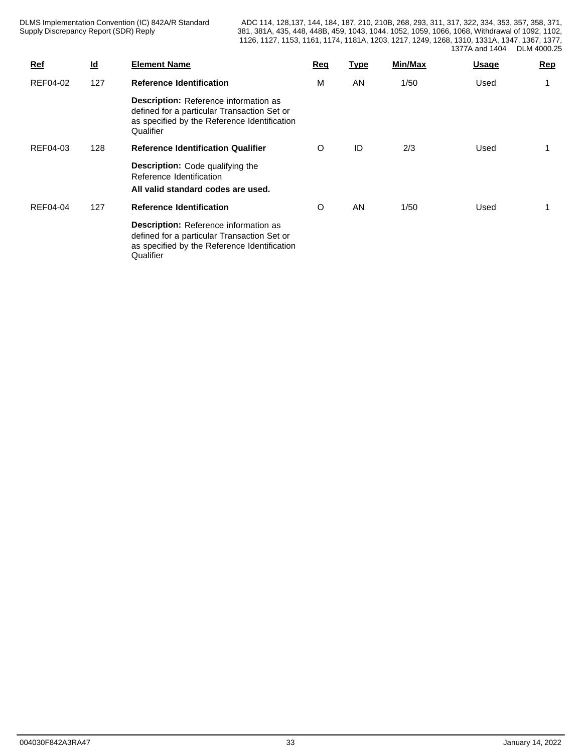| $Ref$           | $\underline{\mathsf{Id}}$ | <b>Element Name</b>                                                                                                                                      | Req | <u>Type</u> | Min/Max | <b>Usage</b> | <b>Rep</b> |
|-----------------|---------------------------|----------------------------------------------------------------------------------------------------------------------------------------------------------|-----|-------------|---------|--------------|------------|
| REF04-02        | 127                       | <b>Reference Identification</b>                                                                                                                          | М   | AN          | 1/50    | Used         |            |
|                 |                           | <b>Description:</b> Reference information as<br>defined for a particular Transaction Set or<br>as specified by the Reference Identification<br>Qualifier |     |             |         |              |            |
| REF04-03        | 128                       | <b>Reference Identification Qualifier</b>                                                                                                                | O   | ID          | 2/3     | Used         |            |
|                 |                           | <b>Description:</b> Code qualifying the<br>Reference Identification<br>All valid standard codes are used.                                                |     |             |         |              |            |
| <b>REF04-04</b> | 127                       | <b>Reference Identification</b>                                                                                                                          | O   | AN          | 1/50    | Used         |            |
|                 |                           | Description: Reference information as<br>defined for a particular Transaction Set or<br>as specified by the Reference Identification<br>Qualifier        |     |             |         |              |            |

004030F842A3RA47 33 January 14, 2022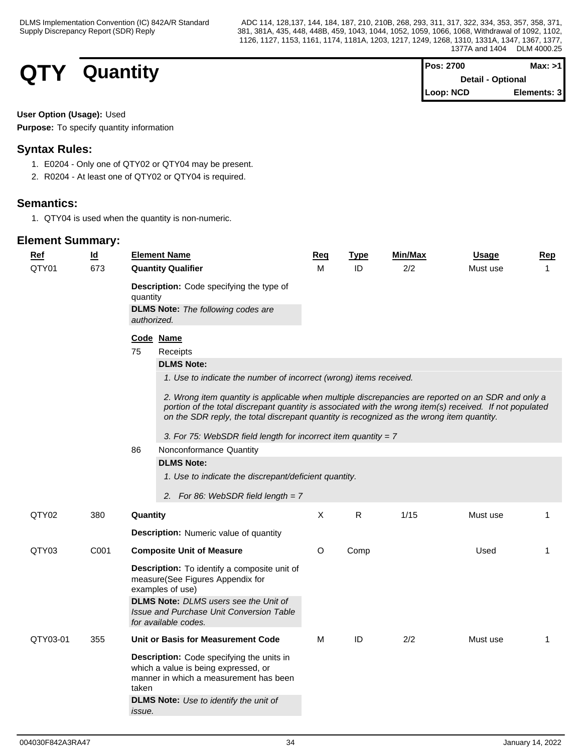## **QTY** Quantity

| <b>IPos: 2700</b>        | Max: >11    |  |
|--------------------------|-------------|--|
| <b>Detail - Optional</b> |             |  |
| Loop: NCD                | Elements: 3 |  |

#### **User Option (Usage):** Used

**Purpose:** To specify quantity information

#### **Syntax Rules:**

- 1. E0204 Only one of QTY02 or QTY04 may be present.
- 2. R0204 At least one of QTY02 or QTY04 is required.

#### **Semantics:**

1. QTY04 is used when the quantity is non-numeric.

| Ref<br>QTY01 | $\underline{\mathsf{Id}}$<br>673 | <b>Element Name</b><br><b>Quantity Qualifier</b>                                                                                                                                                                                                                                                                                                                                                                                                                                                                                                                                                                                                                 | Reg<br>м | Type<br>ID   | Min/Max<br>2/2 | Usage<br>Must use | Rep<br>$\mathbf{1}$ |
|--------------|----------------------------------|------------------------------------------------------------------------------------------------------------------------------------------------------------------------------------------------------------------------------------------------------------------------------------------------------------------------------------------------------------------------------------------------------------------------------------------------------------------------------------------------------------------------------------------------------------------------------------------------------------------------------------------------------------------|----------|--------------|----------------|-------------------|---------------------|
|              |                                  | Description: Code specifying the type of<br>quantity<br><b>DLMS Note:</b> The following codes are<br>authorized.                                                                                                                                                                                                                                                                                                                                                                                                                                                                                                                                                 |          |              |                |                   |                     |
|              |                                  | Code Name<br>75<br>Receipts<br><b>DLMS Note:</b><br>1. Use to indicate the number of incorrect (wrong) items received.<br>2. Wrong item quantity is applicable when multiple discrepancies are reported on an SDR and only a<br>portion of the total discrepant quantity is associated with the wrong item(s) received. If not populated<br>on the SDR reply, the total discrepant quantity is recognized as the wrong item quantity.<br>3. For 75: WebSDR field length for incorrect item quantity = $7$<br>86<br>Nonconformance Quantity<br><b>DLMS Note:</b><br>1. Use to indicate the discrepant/deficient quantity.<br>2. For 86: WebSDR field length = $7$ |          |              |                |                   |                     |
| QTY02        | 380                              | Quantity                                                                                                                                                                                                                                                                                                                                                                                                                                                                                                                                                                                                                                                         | $\sf X$  | $\mathsf{R}$ | 1/15           | Must use          | $\mathbf{1}$        |
| QTY03        | C001                             | <b>Description:</b> Numeric value of quantity<br><b>Composite Unit of Measure</b><br><b>Description:</b> To identify a composite unit of<br>measure(See Figures Appendix for<br>examples of use)<br><b>DLMS Note:</b> DLMS users see the Unit of<br>Issue and Purchase Unit Conversion Table<br>for available codes.                                                                                                                                                                                                                                                                                                                                             |          | Comp         |                | Used              | 1                   |
| QTY03-01     | 355                              | Unit or Basis for Measurement Code<br>Description: Code specifying the units in<br>which a value is being expressed, or<br>manner in which a measurement has been<br>taken<br><b>DLMS Note:</b> Use to identify the unit of<br>issue.                                                                                                                                                                                                                                                                                                                                                                                                                            | M        | ID           | 2/2            | Must use          | 1                   |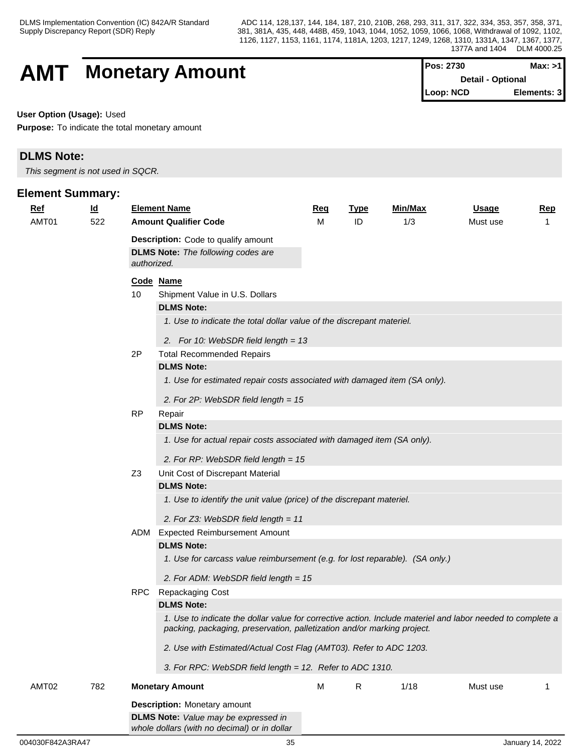## **AMT** Monetary Amount

| <b>Pos: 2730</b>         | Max: >1     |  |
|--------------------------|-------------|--|
| <b>Detail - Optional</b> |             |  |
| Loop: NCD                | Elements: 3 |  |

**User Option (Usage):** Used

**Purpose:** To indicate the total monetary amount

#### **DLMS Note:**

*This segment is not used in SQCR.*

| $Ref$<br>AMT01 | <u>ld</u><br>522 |                | <b>Element Name</b><br><b>Amount Qualifier Code</b>                                                                                                                                   | <b>Req</b><br>M | <b>Type</b><br>ID | Min/Max<br>1/3 | <u>Usage</u><br>Must use | <b>Rep</b><br>-1 |  |  |
|----------------|------------------|----------------|---------------------------------------------------------------------------------------------------------------------------------------------------------------------------------------|-----------------|-------------------|----------------|--------------------------|------------------|--|--|
|                |                  |                | <b>Description:</b> Code to qualify amount<br><b>DLMS Note:</b> The following codes are<br>authorized.                                                                                |                 |                   |                |                          |                  |  |  |
|                |                  |                | Code Name                                                                                                                                                                             |                 |                   |                |                          |                  |  |  |
|                |                  | 10             | Shipment Value in U.S. Dollars                                                                                                                                                        |                 |                   |                |                          |                  |  |  |
|                |                  |                | <b>DLMS Note:</b>                                                                                                                                                                     |                 |                   |                |                          |                  |  |  |
|                |                  |                | 1. Use to indicate the total dollar value of the discrepant materiel.                                                                                                                 |                 |                   |                |                          |                  |  |  |
|                |                  |                | 2. For 10: WebSDR field length = 13                                                                                                                                                   |                 |                   |                |                          |                  |  |  |
|                |                  | 2P             | <b>Total Recommended Repairs</b>                                                                                                                                                      |                 |                   |                |                          |                  |  |  |
|                |                  |                | <b>DLMS Note:</b>                                                                                                                                                                     |                 |                   |                |                          |                  |  |  |
|                |                  |                | 1. Use for estimated repair costs associated with damaged item (SA only).                                                                                                             |                 |                   |                |                          |                  |  |  |
|                |                  |                | 2. For 2P: WebSDR field length = 15                                                                                                                                                   |                 |                   |                |                          |                  |  |  |
|                |                  | <b>RP</b>      | Repair                                                                                                                                                                                |                 |                   |                |                          |                  |  |  |
|                |                  |                | <b>DLMS Note:</b>                                                                                                                                                                     |                 |                   |                |                          |                  |  |  |
|                |                  |                | 1. Use for actual repair costs associated with damaged item (SA only).                                                                                                                |                 |                   |                |                          |                  |  |  |
|                |                  |                | 2. For RP: WebSDR field length = 15                                                                                                                                                   |                 |                   |                |                          |                  |  |  |
|                |                  | Z <sub>3</sub> | Unit Cost of Discrepant Material                                                                                                                                                      |                 |                   |                |                          |                  |  |  |
|                |                  |                | <b>DLMS Note:</b>                                                                                                                                                                     |                 |                   |                |                          |                  |  |  |
|                |                  |                | 1. Use to identify the unit value (price) of the discrepant materiel.                                                                                                                 |                 |                   |                |                          |                  |  |  |
|                |                  |                | 2. For Z3: WebSDR field length = 11                                                                                                                                                   |                 |                   |                |                          |                  |  |  |
|                |                  | ADM            | <b>Expected Reimbursement Amount</b>                                                                                                                                                  |                 |                   |                |                          |                  |  |  |
|                |                  |                | <b>DLMS Note:</b>                                                                                                                                                                     |                 |                   |                |                          |                  |  |  |
|                |                  |                | 1. Use for carcass value reimbursement (e.g. for lost reparable). (SA only.)                                                                                                          |                 |                   |                |                          |                  |  |  |
|                |                  |                | 2. For ADM: WebSDR field length = 15                                                                                                                                                  |                 |                   |                |                          |                  |  |  |
|                |                  | RPC            | Repackaging Cost                                                                                                                                                                      |                 |                   |                |                          |                  |  |  |
|                |                  |                | <b>DLMS Note:</b>                                                                                                                                                                     |                 |                   |                |                          |                  |  |  |
|                |                  |                | 1. Use to indicate the dollar value for corrective action. Include materiel and labor needed to complete a<br>packing, packaging, preservation, palletization and/or marking project. |                 |                   |                |                          |                  |  |  |
|                |                  |                | 2. Use with Estimated/Actual Cost Flag (AMT03). Refer to ADC 1203.                                                                                                                    |                 |                   |                |                          |                  |  |  |
|                |                  |                | 3. For RPC: WebSDR field length = 12. Refer to ADC 1310.                                                                                                                              |                 |                   |                |                          |                  |  |  |
| AMT02          | 782              |                | <b>Monetary Amount</b>                                                                                                                                                                | M               | R                 | 1/18           | Must use                 | 1                |  |  |
|                |                  |                | <b>Description: Monetary amount</b>                                                                                                                                                   |                 |                   |                |                          |                  |  |  |
|                |                  |                | <b>DLMS Note:</b> Value may be expressed in                                                                                                                                           |                 |                   |                |                          |                  |  |  |
|                |                  |                | whole dollars (with no decimal) or in dollar                                                                                                                                          |                 |                   |                |                          |                  |  |  |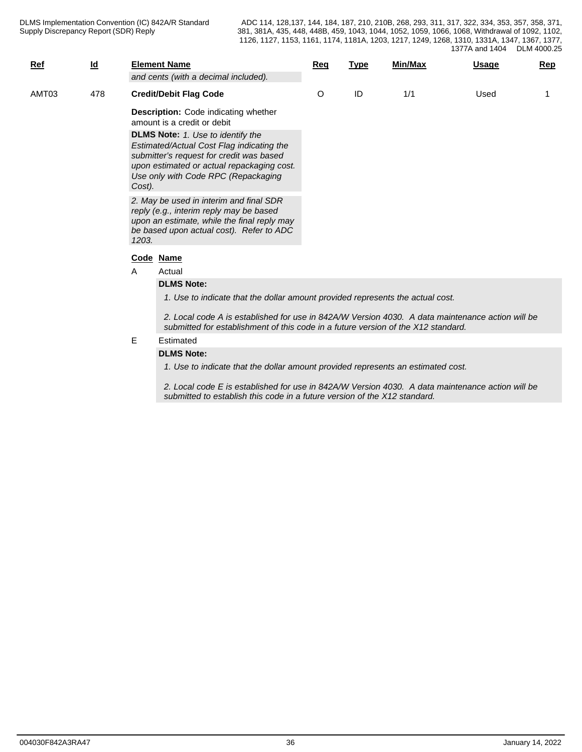| $Ref$ | $\underline{\mathsf{Id}}$ | <b>Element Name</b>                                                                                                                                                                                                                                                                                  | Req     | <b>Type</b> | Min/Max | <b>Usage</b> | Rep |
|-------|---------------------------|------------------------------------------------------------------------------------------------------------------------------------------------------------------------------------------------------------------------------------------------------------------------------------------------------|---------|-------------|---------|--------------|-----|
|       |                           | and cents (with a decimal included).                                                                                                                                                                                                                                                                 |         |             |         |              |     |
| AMT03 | 478                       | <b>Credit/Debit Flag Code</b>                                                                                                                                                                                                                                                                        | $\circ$ | ID          | 1/1     | Used         |     |
|       |                           | <b>Description:</b> Code indicating whether<br>amount is a credit or debit<br><b>DLMS Note:</b> 1. Use to identify the<br>Estimated/Actual Cost Flag indicating the<br>submitter's request for credit was based<br>upon estimated or actual repackaging cost.<br>Use only with Code RPC (Repackaging |         |             |         |              |     |
|       |                           | Cost).<br>2. May be used in interim and final SDR<br>reply (e.g., interim reply may be based<br>upon an estimate, while the final reply may<br>be based upon actual cost). Refer to ADC<br>1203.                                                                                                     |         |             |         |              |     |
|       |                           | Code Name                                                                                                                                                                                                                                                                                            |         |             |         |              |     |
|       |                           | Actual<br>A                                                                                                                                                                                                                                                                                          |         |             |         |              |     |
|       |                           | <b>DLMS Note:</b>                                                                                                                                                                                                                                                                                    |         |             |         |              |     |
|       |                           |                                                                                                                                                                                                                                                                                                      |         |             |         |              |     |

*1. Use to indicate that the dollar amount provided represents the actual cost.* 

*2. Local code A is established for use in 842A/W Version 4030. A data maintenance action will be submitted for establishment of this code in a future version of the X12 standard.*

#### E Estimated

#### **DLMS Note:**

*1. Use to indicate that the dollar amount provided represents an estimated cost.*

*2. Local code E is established for use in 842A/W Version 4030. A data maintenance action will be submitted to establish this code in a future version of the X12 standard.*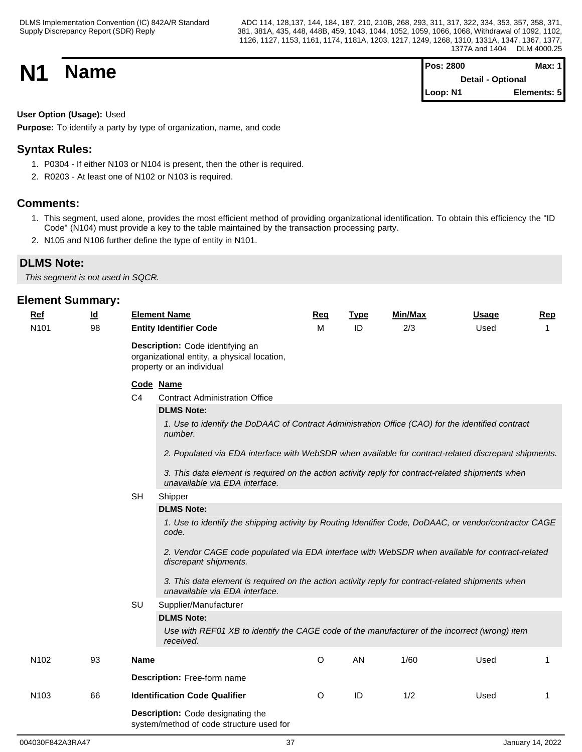| <b>N1</b> |             | <b>Pos: 2800</b>         | Max: $1$    |  |
|-----------|-------------|--------------------------|-------------|--|
|           | <b>Name</b> | <b>Detail - Optional</b> |             |  |
|           |             | Loop: N1                 | Elements: 5 |  |

#### **User Option (Usage):** Used

**Purpose:** To identify a party by type of organization, name, and code

#### **Syntax Rules:**

- 1. P0304 If either N103 or N104 is present, then the other is required.
- 2. R0203 At least one of N102 or N103 is required.

#### **Comments:**

- 1. This segment, used alone, provides the most efficient method of providing organizational identification. To obtain this efficiency the "ID Code" (N104) must provide a key to the table maintained by the transaction processing party.
- 2. N105 and N106 further define the type of entity in N101.

#### **DLMS Note:**

*This segment is not used in SQCR.*

| <u>Ref</u>       | <u>ld</u> | <b>Element Name</b>                                                                                                                                                                                                                                                                                                                                                                                                | Req | <b>Type</b> | Min/Max | <b>Usage</b> | <b>Rep</b> |
|------------------|-----------|--------------------------------------------------------------------------------------------------------------------------------------------------------------------------------------------------------------------------------------------------------------------------------------------------------------------------------------------------------------------------------------------------------------------|-----|-------------|---------|--------------|------------|
| N <sub>101</sub> | 98        | <b>Entity Identifier Code</b>                                                                                                                                                                                                                                                                                                                                                                                      | м   | ID          | 2/3     | Used         | 1          |
|                  |           | Description: Code identifying an<br>organizational entity, a physical location,<br>property or an individual                                                                                                                                                                                                                                                                                                       |     |             |         |              |            |
|                  |           | Code Name<br>C <sub>4</sub><br><b>Contract Administration Office</b><br><b>DLMS Note:</b><br>1. Use to identify the DoDAAC of Contract Administration Office (CAO) for the identified contract<br>number.<br>2. Populated via EDA interface with WebSDR when available for contract-related discrepant shipments.                                                                                                  |     |             |         |              |            |
|                  |           | 3. This data element is required on the action activity reply for contract-related shipments when<br>unavailable via EDA interface.<br><b>SH</b>                                                                                                                                                                                                                                                                   |     |             |         |              |            |
|                  |           | Shipper<br><b>DLMS Note:</b><br>1. Use to identify the shipping activity by Routing Identifier Code, DoDAAC, or vendor/contractor CAGE<br>code.<br>2. Vendor CAGE code populated via EDA interface with WebSDR when available for contract-related<br>discrepant shipments.<br>3. This data element is required on the action activity reply for contract-related shipments when<br>unavailable via EDA interface. |     |             |         |              |            |
|                  |           | SU<br>Supplier/Manufacturer<br><b>DLMS Note:</b><br>Use with REF01 XB to identify the CAGE code of the manufacturer of the incorrect (wrong) item<br>received.                                                                                                                                                                                                                                                     |     |             |         |              |            |
| N <sub>102</sub> | 93        | <b>Name</b>                                                                                                                                                                                                                                                                                                                                                                                                        | O   | AN          | 1/60    | Used         | 1          |
|                  |           | Description: Free-form name                                                                                                                                                                                                                                                                                                                                                                                        |     |             |         |              |            |
| N <sub>103</sub> | 66        | <b>Identification Code Qualifier</b>                                                                                                                                                                                                                                                                                                                                                                               | O   | ID          | 1/2     | Used         | 1          |
|                  |           | Description: Code designating the<br>system/method of code structure used for                                                                                                                                                                                                                                                                                                                                      |     |             |         |              |            |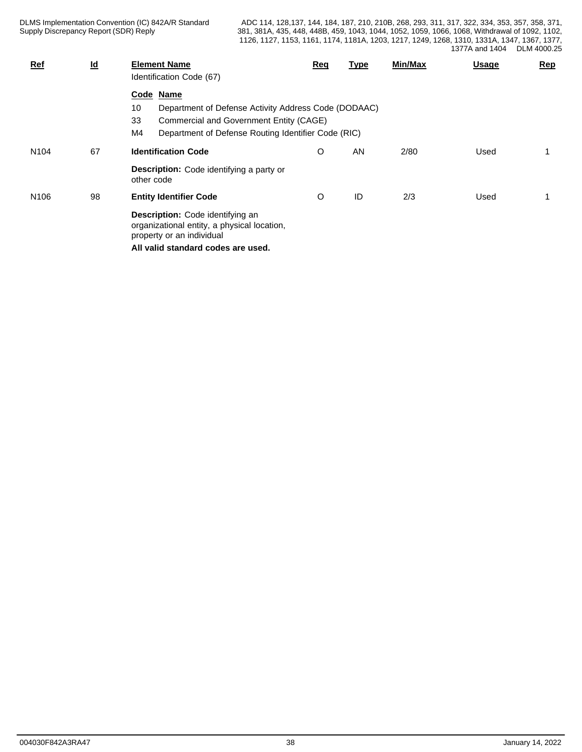| $Ref$            | <u>ld</u> | <b>Element Name</b>                                                                                          | Req | <u>Type</u> | Min/Max | <b>Usage</b> | Rep |
|------------------|-----------|--------------------------------------------------------------------------------------------------------------|-----|-------------|---------|--------------|-----|
|                  |           | Identification Code (67)                                                                                     |     |             |         |              |     |
|                  |           | Code Name                                                                                                    |     |             |         |              |     |
|                  |           | Department of Defense Activity Address Code (DODAAC)<br>10                                                   |     |             |         |              |     |
|                  |           | 33<br>Commercial and Government Entity (CAGE)                                                                |     |             |         |              |     |
|                  |           | M4<br>Department of Defense Routing Identifier Code (RIC)                                                    |     |             |         |              |     |
| N <sub>104</sub> | 67        | <b>Identification Code</b>                                                                                   | O   | AN          | 2/80    | Used         |     |
|                  |           | <b>Description:</b> Code identifying a party or<br>other code                                                |     |             |         |              |     |
| N <sub>106</sub> | 98        | <b>Entity Identifier Code</b>                                                                                | O   | ID          | 2/3     | Used         |     |
|                  |           | Description: Code identifying an<br>organizational entity, a physical location,<br>property or an individual |     |             |         |              |     |
|                  |           | All valid standard codes are used.                                                                           |     |             |         |              |     |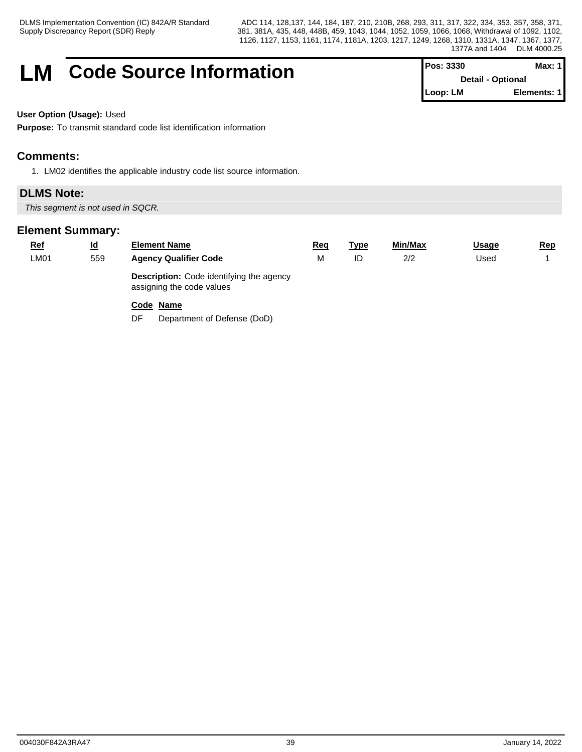### **LM** Code Source Information

| <b>Pos: 3330</b> |                          | Max: $1$    |
|------------------|--------------------------|-------------|
|                  | <b>Detail - Optional</b> |             |
| Loop: LM         |                          | Elements: 1 |

#### **User Option (Usage):** Used

**Purpose:** To transmit standard code list identification information

#### **Comments:**

1. LM02 identifies the applicable industry code list source information.

#### **DLMS Note:**

*This segment is not used in SQCR.*

#### **Element Summary:**

| <u>Ref</u><br>LM01 | $\underline{\mathsf{Id}}$<br>559 | <b>Element Name</b><br><b>Agency Qualifier Code</b>                          | <u>Req</u><br>M | <u>Type</u><br>ID | Min/Max<br>2/2 | <b>Usage</b><br>Used | <u>Rep</u> |
|--------------------|----------------------------------|------------------------------------------------------------------------------|-----------------|-------------------|----------------|----------------------|------------|
|                    |                                  | <b>Description:</b> Code identifying the agency<br>assigning the code values |                 |                   |                |                      |            |
|                    |                                  | Code Name                                                                    |                 |                   |                |                      |            |

DF Department of Defense (DoD)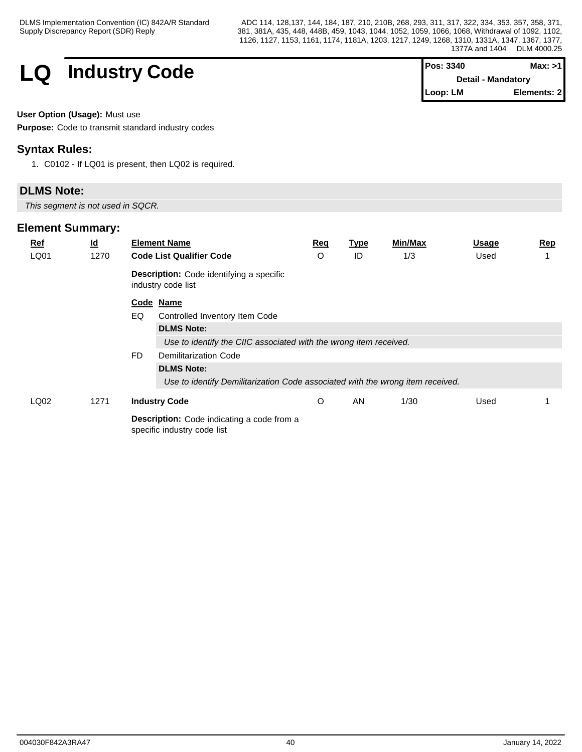### **LQ** Industry Code

| <b>Pos: 3340</b> | Max: >1                   |
|------------------|---------------------------|
|                  | <b>Detail - Mandatory</b> |
| $\vert$ Loop: LM | Elements: 2               |

#### **User Option (Usage):** Must use

**Purpose:** Code to transmit standard industry codes

#### **Syntax Rules:**

1. C0102 - If LQ01 is present, then LQ02 is required.

#### **DLMS Note:**

*This segment is not used in SQCR.*

| $Ref$ | $\underline{\mathsf{Id}}$ |                                                                   | <b>Element Name</b>                                                              | Req | <u>Type</u> | Min/Max | <u>Usage</u> | Rep |  |  |  |  |
|-------|---------------------------|-------------------------------------------------------------------|----------------------------------------------------------------------------------|-----|-------------|---------|--------------|-----|--|--|--|--|
| LQ01  | 1270                      |                                                                   | <b>Code List Qualifier Code</b>                                                  | O   | ID          | 1/3     | Used         |     |  |  |  |  |
|       |                           |                                                                   | <b>Description:</b> Code identifying a specific<br>industry code list            |     |             |         |              |     |  |  |  |  |
|       |                           |                                                                   | Code Name                                                                        |     |             |         |              |     |  |  |  |  |
|       |                           | EQ                                                                | Controlled Inventory Item Code                                                   |     |             |         |              |     |  |  |  |  |
|       |                           |                                                                   | <b>DLMS Note:</b>                                                                |     |             |         |              |     |  |  |  |  |
|       |                           | Use to identify the CIIC associated with the wrong item received. |                                                                                  |     |             |         |              |     |  |  |  |  |
|       |                           | FD.                                                               | Demilitarization Code                                                            |     |             |         |              |     |  |  |  |  |
|       |                           |                                                                   | <b>DLMS Note:</b>                                                                |     |             |         |              |     |  |  |  |  |
|       |                           |                                                                   | Use to identify Demilitarization Code associated with the wrong item received.   |     |             |         |              |     |  |  |  |  |
| LQ02  | 1271                      |                                                                   | <b>Industry Code</b>                                                             | O   | AN          | 1/30    | Used         |     |  |  |  |  |
|       |                           |                                                                   | <b>Description:</b> Code indicating a code from a<br>specific industry code list |     |             |         |              |     |  |  |  |  |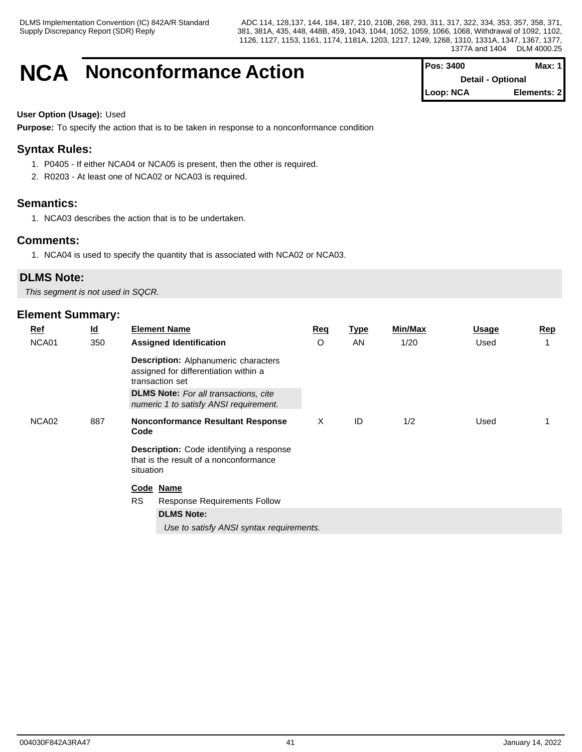### **NCA** Nonconformance Action

| Pos: 3400                | Max: $1$    |
|--------------------------|-------------|
| <b>Detail - Optional</b> |             |
| Loop: NCA                | Elements: 2 |

#### **User Option (Usage):** Used

**Purpose:** To specify the action that is to be taken in response to a nonconformance condition

#### **Syntax Rules:**

- 1. P0405 If either NCA04 or NCA05 is present, then the other is required.
- 2. R0203 At least one of NCA02 or NCA03 is required.

#### **Semantics:**

1. NCA03 describes the action that is to be undertaken.

#### **Comments:**

1. NCA04 is used to specify the quantity that is associated with NCA02 or NCA03.

#### **DLMS Note:**

*This segment is not used in SQCR.*

| <b>Ref</b> |                   | $\underline{\mathsf{Id}}$                                                                       |                                                                                                         | <b>Element Name</b>                                                                    | Req | <u>Type</u> | Min/Max | <b>Usage</b> | <b>Rep</b> |
|------------|-------------------|-------------------------------------------------------------------------------------------------|---------------------------------------------------------------------------------------------------------|----------------------------------------------------------------------------------------|-----|-------------|---------|--------------|------------|
|            | NCA01             | 350                                                                                             |                                                                                                         | <b>Assigned Identification</b>                                                         | O   | AN          | 1/20    | Used         |            |
|            |                   |                                                                                                 | <b>Description:</b> Alphanumeric characters<br>assigned for differentiation within a<br>transaction set |                                                                                        |     |             |         |              |            |
|            |                   |                                                                                                 |                                                                                                         | <b>DLMS Note:</b> For all transactions, cite<br>numeric 1 to satisfy ANSI requirement. |     |             |         |              |            |
|            | NCA <sub>02</sub> | 887                                                                                             | Code                                                                                                    | <b>Nonconformance Resultant Response</b>                                               | X   | ID          | 1/2     | Used         |            |
|            |                   | Description: Code identifying a response<br>that is the result of a nonconformance<br>situation |                                                                                                         |                                                                                        |     |             |         |              |            |
|            |                   |                                                                                                 |                                                                                                         | Code Name                                                                              |     |             |         |              |            |
|            |                   |                                                                                                 | <b>RS</b>                                                                                               | <b>Response Requirements Follow</b>                                                    |     |             |         |              |            |
|            |                   |                                                                                                 |                                                                                                         | <b>DLMS Note:</b>                                                                      |     |             |         |              |            |
|            |                   |                                                                                                 |                                                                                                         | Use to satisfy ANSI syntax requirements.                                               |     |             |         |              |            |
|            |                   |                                                                                                 |                                                                                                         |                                                                                        |     |             |         |              |            |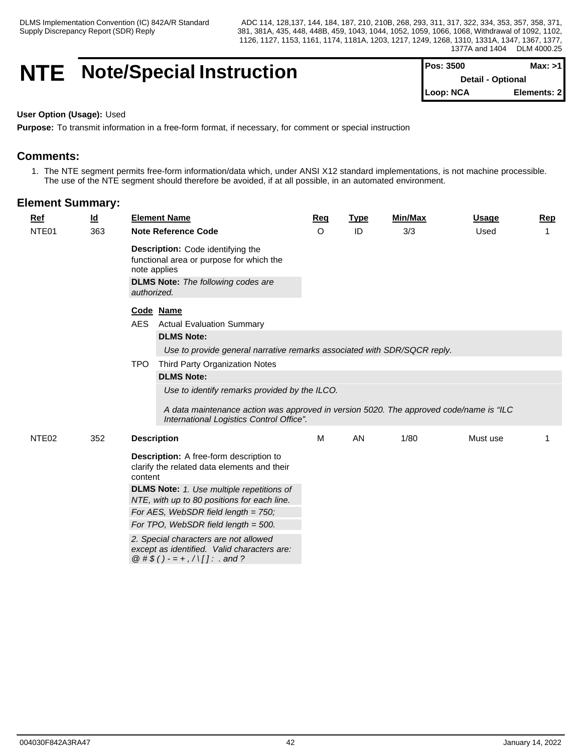### **NTE** Note/Special Instruction

| <b>Pos: 3500</b>         | Max: >1     |  |
|--------------------------|-------------|--|
| <b>Detail - Optional</b> |             |  |
| Loop: NCA                | Elements: 2 |  |

#### **User Option (Usage):** Used

**Purpose:** To transmit information in a free-form format, if necessary, for comment or special instruction

#### **Comments:**

1. The NTE segment permits free-form information/data which, under ANSI X12 standard implementations, is not machine processible. The use of the NTE segment should therefore be avoided, if at all possible, in an automated environment.

#### **Element Summary: Ref Id Element Name Req Type Min/Max Usage Rep** NTE01 363 **Note Reference Code Description:** Code identifying the functional area or purpose for which the note applies **DLMS Note:** *The following codes are authorized.* O ID 3/3 Used 1 **Code Name** AES Actual Evaluation Summary **DLMS Note:** *Use to provide general narrative remarks associated with SDR/SQCR reply.* TPO Third Party Organization Notes **DLMS Note:** *Use to identify remarks provided by the ILCO. A data maintenance action was approved in version 5020. The approved code/name is "ILC International Logistics Control Office".* NTE02 352 **Description Description:** A free-form description to clarify the related data elements and their content **DLMS Note:** *1. Use multiple repetitions of NTE, with up to 80 positions for each line. For AES, WebSDR field length = 750; For TPO, WebSDR field length = 500. 2. Special characters are not allowed except as identified. Valid characters are: @ # \$ ( ) - = + , / \ [ ] : . and ?* M AN 1/80 Must use 1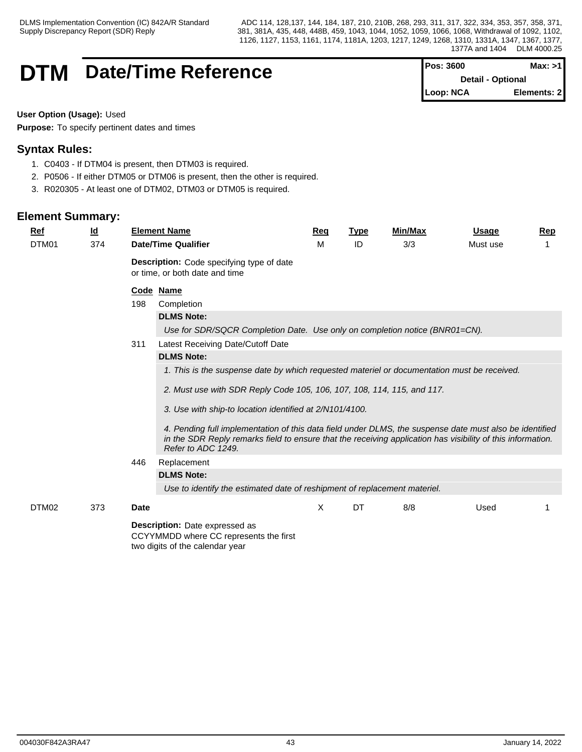### **DTM** Date/Time Reference

| <b>IPos: 3600</b>        | Max: >11    |  |
|--------------------------|-------------|--|
| <b>Detail - Optional</b> |             |  |
| Loop: NCA                | Elements: 2 |  |

**User Option (Usage):** Used

**Purpose:** To specify pertinent dates and times

#### **Syntax Rules:**

- 1. C0403 If DTM04 is present, then DTM03 is required.
- 2. P0506 If either DTM05 or DTM06 is present, then the other is required.
- 3. R020305 At least one of DTM02, DTM03 or DTM05 is required.

#### **Element Summary:**

| <b>Ref</b> | $\underline{\mathsf{Id}}$                                                                                                                                                                                                                    |             | <b>Element Name</b>                                                                         | Req | <b>Type</b> | <b>Min/Max</b> | <b>Usage</b> | Rep |
|------------|----------------------------------------------------------------------------------------------------------------------------------------------------------------------------------------------------------------------------------------------|-------------|---------------------------------------------------------------------------------------------|-----|-------------|----------------|--------------|-----|
| DTM01      | 374                                                                                                                                                                                                                                          |             | <b>Date/Time Qualifier</b>                                                                  | м   | ID          | 3/3            | Must use     |     |
|            |                                                                                                                                                                                                                                              |             | Description: Code specifying type of date<br>or time, or both date and time                 |     |             |                |              |     |
|            |                                                                                                                                                                                                                                              |             | Code Name                                                                                   |     |             |                |              |     |
|            |                                                                                                                                                                                                                                              | 198         | Completion                                                                                  |     |             |                |              |     |
|            |                                                                                                                                                                                                                                              |             | <b>DLMS Note:</b>                                                                           |     |             |                |              |     |
|            |                                                                                                                                                                                                                                              |             | Use for SDR/SQCR Completion Date. Use only on completion notice (BNR01=CN).                 |     |             |                |              |     |
|            |                                                                                                                                                                                                                                              | 311         | Latest Receiving Date/Cutoff Date                                                           |     |             |                |              |     |
|            |                                                                                                                                                                                                                                              |             | <b>DLMS Note:</b>                                                                           |     |             |                |              |     |
|            |                                                                                                                                                                                                                                              |             | 1. This is the suspense date by which requested materiel or documentation must be received. |     |             |                |              |     |
|            |                                                                                                                                                                                                                                              |             | 2. Must use with SDR Reply Code 105, 106, 107, 108, 114, 115, and 117.                      |     |             |                |              |     |
|            |                                                                                                                                                                                                                                              |             | 3. Use with ship-to location identified at 2/N101/4100.                                     |     |             |                |              |     |
|            | 4. Pending full implementation of this data field under DLMS, the suspense date must also be identified<br>in the SDR Reply remarks field to ensure that the receiving application has visibility of this information.<br>Refer to ADC 1249. |             |                                                                                             |     |             |                |              |     |
|            |                                                                                                                                                                                                                                              | 446         | Replacement                                                                                 |     |             |                |              |     |
|            |                                                                                                                                                                                                                                              |             | <b>DLMS Note:</b>                                                                           |     |             |                |              |     |
|            |                                                                                                                                                                                                                                              |             | Use to identify the estimated date of reshipment of replacement materiel.                   |     |             |                |              |     |
| DTM02      | 373                                                                                                                                                                                                                                          | <b>Date</b> |                                                                                             | X   | DT          | 8/8            | Used         |     |
|            |                                                                                                                                                                                                                                              |             | Description: Date expressed as<br>CCYYMMDD where CC represents the first                    |     |             |                |              |     |

two digits of the calendar year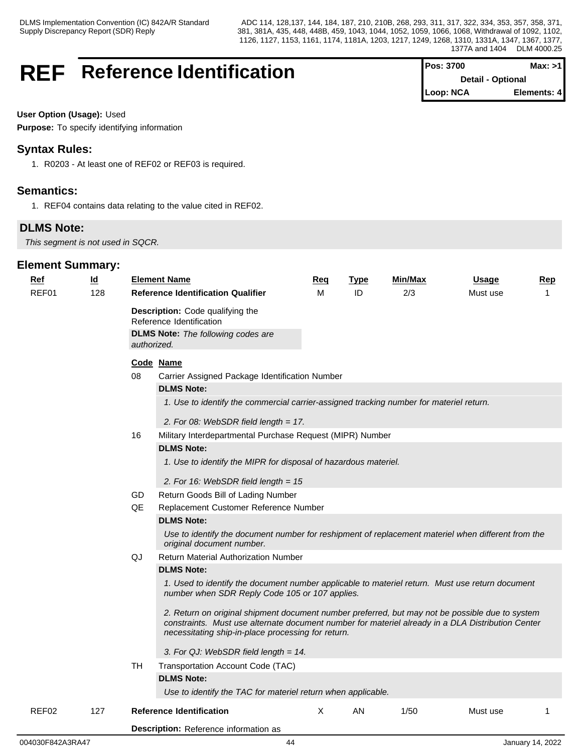### **REF** Reference Identification

| <b>Pos: 3700</b>         | Max: >11    |  |
|--------------------------|-------------|--|
| <b>Detail - Optional</b> |             |  |
| Loop: NCA                | Elements: 4 |  |

#### **User Option (Usage):** Used

**Purpose:** To specify identifying information

#### **Syntax Rules:**

1. R0203 - At least one of REF02 or REF03 is required.

#### **Semantics:**

1. REF04 contains data relating to the value cited in REF02.

#### **DLMS Note:**

*This segment is not used in SQCR.*

| <b>Ref</b> | $\underline{\mathsf{Id}}$ |             | <b>Element Name</b>                                                                                                                                                                                                                                        | <b>Reg</b> | <b>Type</b> | <b>Min/Max</b> | <u>Usage</u> | <b>Rep</b> |
|------------|---------------------------|-------------|------------------------------------------------------------------------------------------------------------------------------------------------------------------------------------------------------------------------------------------------------------|------------|-------------|----------------|--------------|------------|
| REF01      | 128                       |             | <b>Reference Identification Qualifier</b>                                                                                                                                                                                                                  | M          | ID          | 2/3            | Must use     | -1         |
|            |                           |             | Description: Code qualifying the<br>Reference Identification                                                                                                                                                                                               |            |             |                |              |            |
|            |                           | authorized. | <b>DLMS Note:</b> The following codes are                                                                                                                                                                                                                  |            |             |                |              |            |
|            |                           |             | Code Name                                                                                                                                                                                                                                                  |            |             |                |              |            |
|            |                           | 08          | Carrier Assigned Package Identification Number                                                                                                                                                                                                             |            |             |                |              |            |
|            |                           |             | <b>DLMS Note:</b>                                                                                                                                                                                                                                          |            |             |                |              |            |
|            |                           |             | 1. Use to identify the commercial carrier-assigned tracking number for materiel return.                                                                                                                                                                    |            |             |                |              |            |
|            |                           |             | 2. For 08: WebSDR field length = 17.                                                                                                                                                                                                                       |            |             |                |              |            |
|            |                           | 16          | Military Interdepartmental Purchase Request (MIPR) Number                                                                                                                                                                                                  |            |             |                |              |            |
|            |                           |             | <b>DLMS Note:</b>                                                                                                                                                                                                                                          |            |             |                |              |            |
|            |                           |             | 1. Use to identify the MIPR for disposal of hazardous materiel.                                                                                                                                                                                            |            |             |                |              |            |
|            |                           |             | 2. For 16: WebSDR field length = 15                                                                                                                                                                                                                        |            |             |                |              |            |
|            |                           | GD          | Return Goods Bill of Lading Number                                                                                                                                                                                                                         |            |             |                |              |            |
|            |                           | QE          | Replacement Customer Reference Number                                                                                                                                                                                                                      |            |             |                |              |            |
|            |                           |             | <b>DLMS Note:</b>                                                                                                                                                                                                                                          |            |             |                |              |            |
|            |                           |             | Use to identify the document number for reshipment of replacement materiel when different from the<br>original document number.                                                                                                                            |            |             |                |              |            |
|            |                           | QJ          | Return Material Authorization Number                                                                                                                                                                                                                       |            |             |                |              |            |
|            |                           |             | <b>DLMS Note:</b>                                                                                                                                                                                                                                          |            |             |                |              |            |
|            |                           |             | 1. Used to identify the document number applicable to materiel return. Must use return document<br>number when SDR Reply Code 105 or 107 applies.                                                                                                          |            |             |                |              |            |
|            |                           |             | 2. Return on original shipment document number preferred, but may not be possible due to system<br>constraints. Must use alternate document number for materiel already in a DLA Distribution Center<br>necessitating ship-in-place processing for return. |            |             |                |              |            |
|            |                           |             | 3. For QJ: WebSDR field length = 14.                                                                                                                                                                                                                       |            |             |                |              |            |
|            |                           | TH.         | Transportation Account Code (TAC)                                                                                                                                                                                                                          |            |             |                |              |            |
|            |                           |             | <b>DLMS Note:</b>                                                                                                                                                                                                                                          |            |             |                |              |            |
|            |                           |             | Use to identify the TAC for materiel return when applicable.                                                                                                                                                                                               |            |             |                |              |            |
| REF02      |                           |             |                                                                                                                                                                                                                                                            |            |             |                |              |            |
|            | 127                       |             | <b>Reference Identification</b>                                                                                                                                                                                                                            | X          | AN          | 1/50           | Must use     | 1          |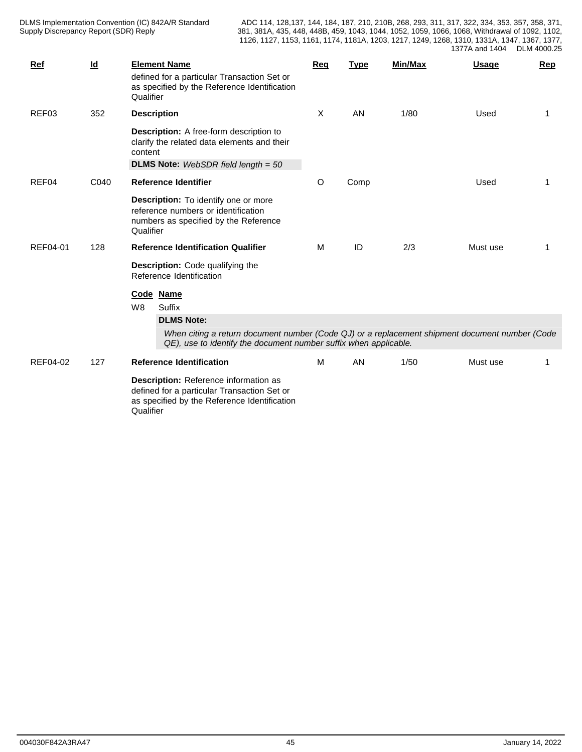| <b>Ref</b>      | $\underline{\mathsf{Id}}$ | <b>Element Name</b><br>defined for a particular Transaction Set or<br>as specified by the Reference Identification<br>Qualifier                                                                                                                                                                                                          | Req | <b>Type</b> | Min/Max | <b>Usage</b> | Rep |
|-----------------|---------------------------|------------------------------------------------------------------------------------------------------------------------------------------------------------------------------------------------------------------------------------------------------------------------------------------------------------------------------------------|-----|-------------|---------|--------------|-----|
| REF03           | 352                       | <b>Description</b><br>Description: A free-form description to<br>clarify the related data elements and their<br>content<br><b>DLMS Note:</b> WebSDR field length $= 50$                                                                                                                                                                  | X   | AN          | 1/80    | Used         |     |
| REF04           | C040                      | <b>Reference Identifier</b><br><b>Description:</b> To identify one or more<br>reference numbers or identification<br>numbers as specified by the Reference<br>Qualifier                                                                                                                                                                  | O   | Comp        |         | Used         |     |
| REF04-01        | 128                       | <b>Reference Identification Qualifier</b><br><b>Description:</b> Code qualifying the<br>Reference Identification<br>Code Name<br>Suffix<br>W8<br><b>DLMS Note:</b><br>When citing a return document number (Code QJ) or a replacement shipment document number (Code<br>QE), use to identify the document number suffix when applicable. | м   | ID          | 2/3     | Must use     |     |
| <b>REF04-02</b> | 127                       | <b>Reference Identification</b><br>Description: Reference information as<br>defined for a particular Transaction Set or<br>as specified by the Reference Identification<br>Qualifier                                                                                                                                                     | M   | AN          | 1/50    | Must use     |     |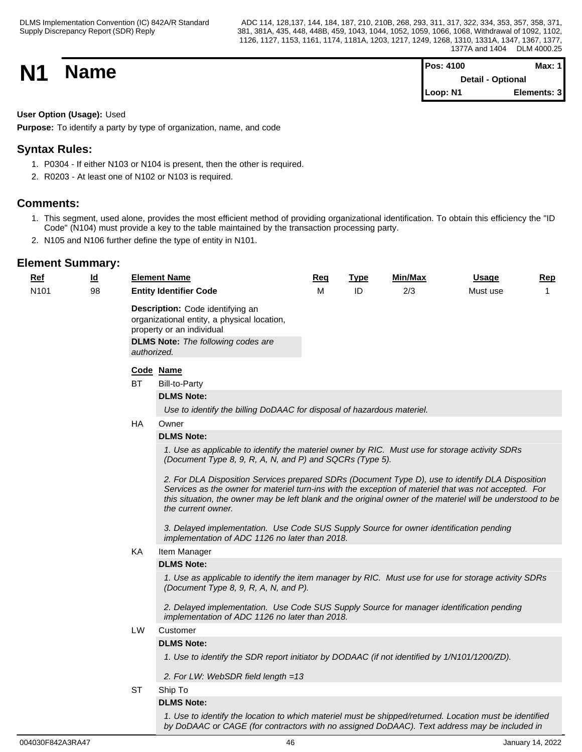**N1 Name Magnetic Max:** 1 **Detail - Optional Loop: N1 Elements: 3**

#### **User Option (Usage):** Used

**Purpose:** To identify a party by type of organization, name, and code

### **Syntax Rules:**

- 1. P0304 If either N103 or N104 is present, then the other is required.
- 2. R0203 At least one of N102 or N103 is required.

### **Comments:**

- 1. This segment, used alone, provides the most efficient method of providing organizational identification. To obtain this efficiency the "ID Code" (N104) must provide a key to the table maintained by the transaction processing party.
- 2. N105 and N106 further define the type of entity in N101.

| $Ref$            | $\underline{\mathsf{Id}}$ |             | <b>Element Name</b>                                                                                                                                                                                                                                                                                                                                                                                                                                                                                                                                                                                                                                                                                                                                                                                                                                                                                                                        | Reg | <b>Type</b> | <b>Min/Max</b> | <b>Usage</b> | <b>Rep</b>   |
|------------------|---------------------------|-------------|--------------------------------------------------------------------------------------------------------------------------------------------------------------------------------------------------------------------------------------------------------------------------------------------------------------------------------------------------------------------------------------------------------------------------------------------------------------------------------------------------------------------------------------------------------------------------------------------------------------------------------------------------------------------------------------------------------------------------------------------------------------------------------------------------------------------------------------------------------------------------------------------------------------------------------------------|-----|-------------|----------------|--------------|--------------|
| N <sub>101</sub> | 98                        |             | <b>Entity Identifier Code</b>                                                                                                                                                                                                                                                                                                                                                                                                                                                                                                                                                                                                                                                                                                                                                                                                                                                                                                              | M   | ID          | 2/3            | Must use     | $\mathbf{1}$ |
|                  |                           | authorized. | Description: Code identifying an<br>organizational entity, a physical location,<br>property or an individual<br><b>DLMS Note:</b> The following codes are                                                                                                                                                                                                                                                                                                                                                                                                                                                                                                                                                                                                                                                                                                                                                                                  |     |             |                |              |              |
|                  |                           |             | Code Name                                                                                                                                                                                                                                                                                                                                                                                                                                                                                                                                                                                                                                                                                                                                                                                                                                                                                                                                  |     |             |                |              |              |
|                  |                           | ВT          | <b>Bill-to-Party</b>                                                                                                                                                                                                                                                                                                                                                                                                                                                                                                                                                                                                                                                                                                                                                                                                                                                                                                                       |     |             |                |              |              |
|                  |                           |             | <b>DLMS Note:</b>                                                                                                                                                                                                                                                                                                                                                                                                                                                                                                                                                                                                                                                                                                                                                                                                                                                                                                                          |     |             |                |              |              |
|                  |                           |             | Use to identify the billing DoDAAC for disposal of hazardous materiel.                                                                                                                                                                                                                                                                                                                                                                                                                                                                                                                                                                                                                                                                                                                                                                                                                                                                     |     |             |                |              |              |
|                  |                           | HA.         | Owner                                                                                                                                                                                                                                                                                                                                                                                                                                                                                                                                                                                                                                                                                                                                                                                                                                                                                                                                      |     |             |                |              |              |
|                  |                           |             | <b>DLMS Note:</b>                                                                                                                                                                                                                                                                                                                                                                                                                                                                                                                                                                                                                                                                                                                                                                                                                                                                                                                          |     |             |                |              |              |
|                  |                           | KA          | 1. Use as applicable to identify the materiel owner by RIC. Must use for storage activity SDRs<br>(Document Type 8, 9, R, A, N, and P) and SQCRs (Type 5).<br>2. For DLA Disposition Services prepared SDRs (Document Type D), use to identify DLA Disposition<br>Services as the owner for materiel turn-ins with the exception of materiel that was not accepted. For<br>this situation, the owner may be left blank and the original owner of the materiel will be understood to be<br>the current owner.<br>3. Delayed implementation. Use Code SUS Supply Source for owner identification pending<br>implementation of ADC 1126 no later than 2018.<br>Item Manager<br><b>DLMS Note:</b><br>1. Use as applicable to identify the item manager by RIC. Must use for use for storage activity SDRs<br>(Document Type 8, 9, R, A, N, and P).<br>2. Delayed implementation. Use Code SUS Supply Source for manager identification pending |     |             |                |              |              |
|                  |                           |             | implementation of ADC 1126 no later than 2018.                                                                                                                                                                                                                                                                                                                                                                                                                                                                                                                                                                                                                                                                                                                                                                                                                                                                                             |     |             |                |              |              |
|                  |                           | <b>LW</b>   | Customer                                                                                                                                                                                                                                                                                                                                                                                                                                                                                                                                                                                                                                                                                                                                                                                                                                                                                                                                   |     |             |                |              |              |
|                  |                           |             | <b>DLMS Note:</b>                                                                                                                                                                                                                                                                                                                                                                                                                                                                                                                                                                                                                                                                                                                                                                                                                                                                                                                          |     |             |                |              |              |
|                  |                           |             | 1. Use to identify the SDR report initiator by DODAAC (if not identified by 1/N101/1200/ZD).<br>2. For LW: WebSDR field length =13                                                                                                                                                                                                                                                                                                                                                                                                                                                                                                                                                                                                                                                                                                                                                                                                         |     |             |                |              |              |
|                  |                           | <b>ST</b>   | Ship To                                                                                                                                                                                                                                                                                                                                                                                                                                                                                                                                                                                                                                                                                                                                                                                                                                                                                                                                    |     |             |                |              |              |
|                  |                           |             | <b>DLMS Note:</b>                                                                                                                                                                                                                                                                                                                                                                                                                                                                                                                                                                                                                                                                                                                                                                                                                                                                                                                          |     |             |                |              |              |
|                  |                           |             | 1. Use to identify the location to which materiel must be shipped/returned. Location must be identified<br>by DoDAAC or CAGE (for contractors with no assigned DoDAAC). Text address may be included in                                                                                                                                                                                                                                                                                                                                                                                                                                                                                                                                                                                                                                                                                                                                    |     |             |                |              |              |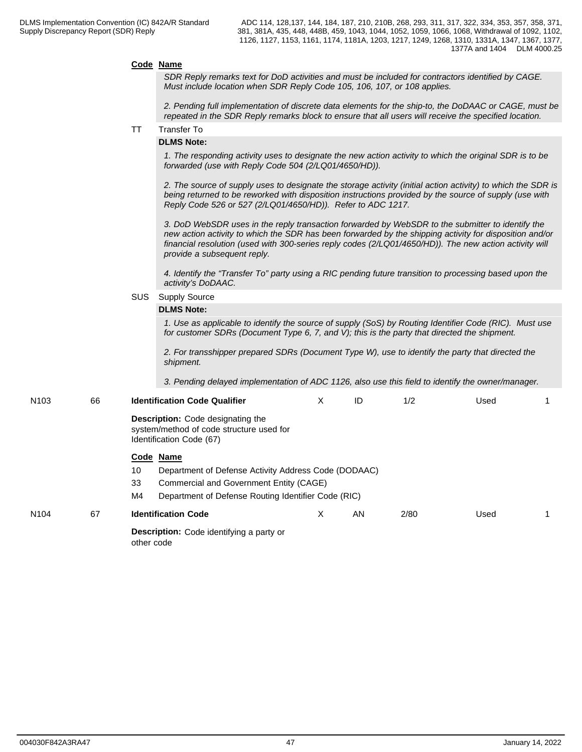#### **Code Name**

*SDR Reply remarks text for DoD activities and must be included for contractors identified by CAGE. Must include location when SDR Reply Code 105, 106, 107, or 108 applies.*

*2. Pending full implementation of discrete data elements for the ship-to, the DoDAAC or CAGE, must be repeated in the SDR Reply remarks block to ensure that all users will receive the specified location.* 

#### TT Transfer To

#### **DLMS Note:**

*1. The responding activity uses to designate the new action activity to which the original SDR is to be forwarded (use with Reply Code 504 (2/LQ01/4650/HD)).*

*2. The source of supply uses to designate the storage activity (initial action activity) to which the SDR is being returned to be reworked with disposition instructions provided by the source of supply (use with Reply Code 526 or 527 (2/LQ01/4650/HD)). Refer to ADC 1217.*

*3. DoD WebSDR uses in the reply transaction forwarded by WebSDR to the submitter to identify the new action activity to which the SDR has been forwarded by the shipping activity for disposition and/or financial resolution (used with 300-series reply codes (2/LQ01/4650/HD)). The new action activity will provide a subsequent reply.*

*4. Identify the "Transfer To" party using a RIC pending future transition to processing based upon the activity's DoDAAC.*

#### SUS Supply Source

#### **DLMS Note:**

*1. Use as applicable to identify the source of supply (SoS) by Routing Identifier Code (RIC). Must use for customer SDRs (Document Type 6, 7, and V); this is the party that directed the shipment.*

*2. For transshipper prepared SDRs (Document Type W), use to identify the party that directed the shipment.*

*3. Pending delayed implementation of ADC 1126, also use this field to identify the owner/manager.*

| N <sub>103</sub> | 66 | <b>Identification Code Qualifier</b>                                                                             | ∧ | ID | 1/2  | Used |  |
|------------------|----|------------------------------------------------------------------------------------------------------------------|---|----|------|------|--|
|                  |    | <b>Description:</b> Code designating the<br>system/method of code structure used for<br>Identification Code (67) |   |    |      |      |  |
|                  |    | Code Name                                                                                                        |   |    |      |      |  |
|                  |    | Department of Defense Activity Address Code (DODAAC)<br>10                                                       |   |    |      |      |  |
|                  |    | 33<br>Commercial and Government Entity (CAGE)                                                                    |   |    |      |      |  |
|                  |    | M4<br>Department of Defense Routing Identifier Code (RIC)                                                        |   |    |      |      |  |
| N <sub>104</sub> | 67 | <b>Identification Code</b>                                                                                       | х | AN | 2/80 | Used |  |
|                  |    | <b>Description:</b> Code identifying a party or                                                                  |   |    |      |      |  |

other code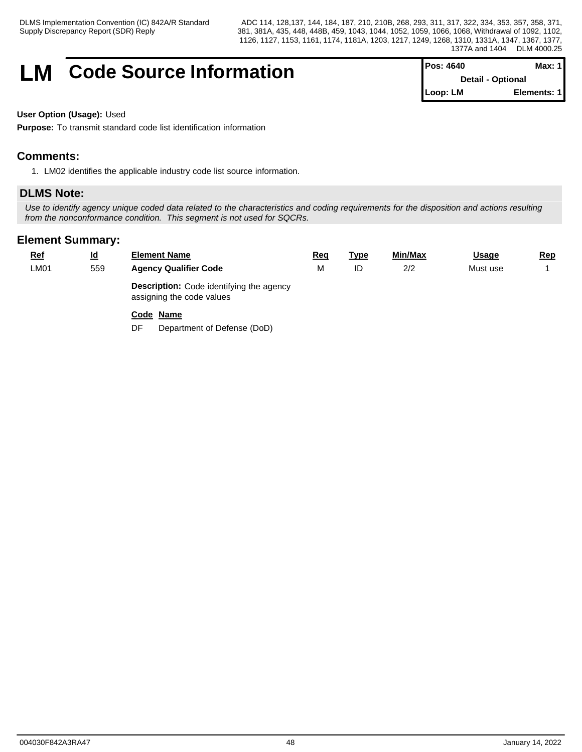### **LM** Code Source Information

| Pos: 4640 | Max: 1                   |
|-----------|--------------------------|
|           | <b>Detail - Optional</b> |
| Loop: LM  | Elements: 1              |

#### **User Option (Usage):** Used

**Purpose:** To transmit standard code list identification information

#### **Comments:**

1. LM02 identifies the applicable industry code list source information.

#### **DLMS Note:**

*Use to identify agency unique coded data related to the characteristics and coding requirements for the disposition and actions resulting from the nonconformance condition. This segment is not used for SQCRs.*

| <u>Ref</u>  | $\underline{\mathsf{Id}}$ | <b>Element Name</b>                                                          | <b>Req</b> | <u>Type</u> | Min/Max | <b>Usage</b> | <u>Rep</u> |
|-------------|---------------------------|------------------------------------------------------------------------------|------------|-------------|---------|--------------|------------|
| <b>LM01</b> | 559                       | <b>Agency Qualifier Code</b>                                                 | M          | ID          | 2/2     | Must use     |            |
|             |                           | <b>Description:</b> Code identifying the agency<br>assigning the code values |            |             |         |              |            |
|             |                           | Code Name<br>DF<br>Department of Defense (DoD)                               |            |             |         |              |            |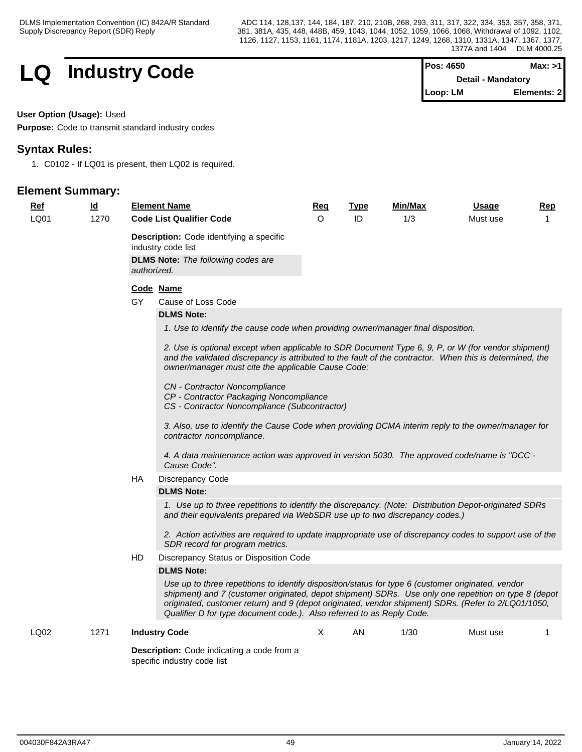### **LQ** Industry Code

| <b>IPos: 4650</b>         | Max: >1     |  |
|---------------------------|-------------|--|
| <b>Detail - Mandatory</b> |             |  |
| Loop: LM                  | Elements: 2 |  |

#### **User Option (Usage):** Used

**Purpose:** Code to transmit standard industry codes

#### **Syntax Rules:**

1. C0102 - If LQ01 is present, then LQ02 is required.

| <u>Ref</u> | $\underline{\mathsf{Id}}$ |             | <b>Element Name</b>                                                                                                                                                                                                                                                                                                                                                                                      | Req      | <b>Type</b> | Min/Max | <u>Usage</u> | <u>Rep</u> |
|------------|---------------------------|-------------|----------------------------------------------------------------------------------------------------------------------------------------------------------------------------------------------------------------------------------------------------------------------------------------------------------------------------------------------------------------------------------------------------------|----------|-------------|---------|--------------|------------|
| LQ01       | 1270                      |             | <b>Code List Qualifier Code</b>                                                                                                                                                                                                                                                                                                                                                                          | $\Omega$ | ID          | 1/3     | Must use     | 1          |
|            |                           | authorized. | <b>Description:</b> Code identifying a specific<br>industry code list<br><b>DLMS Note:</b> The following codes are                                                                                                                                                                                                                                                                                       |          |             |         |              |            |
|            |                           |             | Code Name                                                                                                                                                                                                                                                                                                                                                                                                |          |             |         |              |            |
|            |                           | GY.         | Cause of Loss Code                                                                                                                                                                                                                                                                                                                                                                                       |          |             |         |              |            |
|            |                           |             | <b>DLMS Note:</b>                                                                                                                                                                                                                                                                                                                                                                                        |          |             |         |              |            |
|            |                           |             | 1. Use to identify the cause code when providing owner/manager final disposition.                                                                                                                                                                                                                                                                                                                        |          |             |         |              |            |
|            |                           |             | 2. Use is optional except when applicable to SDR Document Type 6, 9, P, or W (for vendor shipment)<br>and the validated discrepancy is attributed to the fault of the contractor. When this is determined, the<br>owner/manager must cite the applicable Cause Code:<br><b>CN</b> - Contractor Noncompliance<br>CP - Contractor Packaging Noncompliance<br>CS - Contractor Noncompliance (Subcontractor) |          |             |         |              |            |
|            |                           |             | 3. Also, use to identify the Cause Code when providing DCMA interim reply to the owner/manager for<br>contractor noncompliance.<br>4. A data maintenance action was approved in version 5030. The approved code/name is "DCC -<br>Cause Code".                                                                                                                                                           |          |             |         |              |            |
|            |                           | HA.         | <b>Discrepancy Code</b>                                                                                                                                                                                                                                                                                                                                                                                  |          |             |         |              |            |
|            |                           |             | <b>DLMS Note:</b>                                                                                                                                                                                                                                                                                                                                                                                        |          |             |         |              |            |
|            |                           |             | 1. Use up to three repetitions to identify the discrepancy. (Note: Distribution Depot-originated SDRs<br>and their equivalents prepared via WebSDR use up to two discrepancy codes.)<br>2. Action activities are required to update inappropriate use of discrepancy codes to support use of the<br>SDR record for program metrics.                                                                      |          |             |         |              |            |
|            |                           | HD.         | Discrepancy Status or Disposition Code                                                                                                                                                                                                                                                                                                                                                                   |          |             |         |              |            |
|            |                           |             | <b>DLMS Note:</b>                                                                                                                                                                                                                                                                                                                                                                                        |          |             |         |              |            |
|            |                           |             | Use up to three repetitions to identify disposition/status for type 6 (customer originated, vendor<br>shipment) and 7 (customer originated, depot shipment) SDRs. Use only one repetition on type 8 (depot<br>originated, customer return) and 9 (depot originated, vendor shipment) SDRs. (Refer to 2/LQ01/1050,<br>Qualifier D for type document code.). Also referred to as Reply Code.               |          |             |         |              |            |
| LQ02       | 1271                      |             | <b>Industry Code</b>                                                                                                                                                                                                                                                                                                                                                                                     | X.       | AN          | 1/30    | Must use     | 1          |
|            |                           |             | Description: Code indicating a code from a<br>specific industry code list                                                                                                                                                                                                                                                                                                                                |          |             |         |              |            |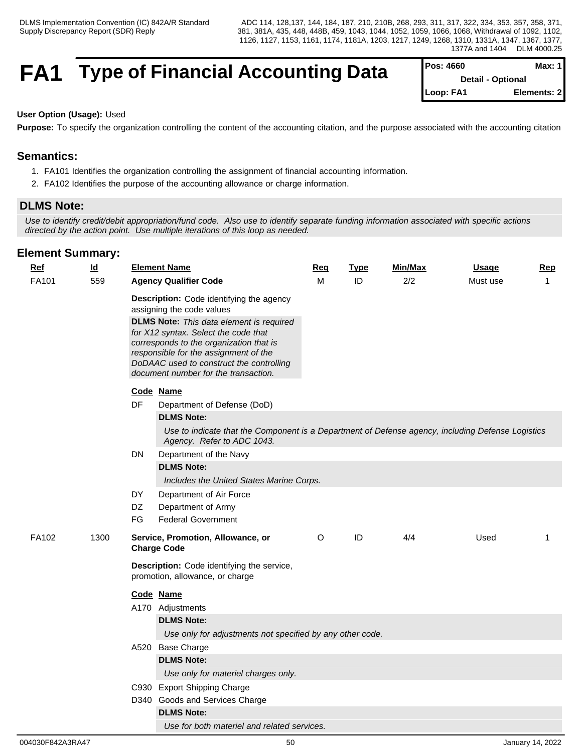### **FA1** Type of Financial Accounting Data

| <b>IPos: 4660</b>        | Max: 1      |  |
|--------------------------|-------------|--|
| <b>Detail - Optional</b> |             |  |
| <b>ILoop: FA1</b>        | Elements: 2 |  |

#### **User Option (Usage):** Used

**Purpose:** To specify the organization controlling the content of the accounting citation, and the purpose associated with the accounting citation

#### **Semantics:**

- 1. FA101 Identifies the organization controlling the assignment of financial accounting information.
- 2. FA102 Identifies the purpose of the accounting allowance or charge information.

#### **DLMS Note:**

*Use to identify credit/debit appropriation/fund code. Also use to identify separate funding information associated with specific actions directed by the action point. Use multiple iterations of this loop as needed.*

| <b>Ref</b><br>FA101 | $\underline{\mathsf{Id}}$<br>559 |     | <b>Element Name</b><br><b>Agency Qualifier Code</b>                                                                                                                                                                                                             | Req<br>м | <b>Type</b><br>ID | Min/Max<br>2/2 | <b>Usage</b><br>Must use | Rep<br>$\mathbf{1}$ |
|---------------------|----------------------------------|-----|-----------------------------------------------------------------------------------------------------------------------------------------------------------------------------------------------------------------------------------------------------------------|----------|-------------------|----------------|--------------------------|---------------------|
|                     |                                  |     | Description: Code identifying the agency<br>assigning the code values                                                                                                                                                                                           |          |                   |                |                          |                     |
|                     |                                  |     | <b>DLMS Note:</b> This data element is required<br>for X12 syntax. Select the code that<br>corresponds to the organization that is<br>responsible for the assignment of the<br>DoDAAC used to construct the controlling<br>document number for the transaction. |          |                   |                |                          |                     |
|                     |                                  |     | Code Name                                                                                                                                                                                                                                                       |          |                   |                |                          |                     |
|                     |                                  | DF. | Department of Defense (DoD)                                                                                                                                                                                                                                     |          |                   |                |                          |                     |
|                     |                                  |     | <b>DLMS Note:</b>                                                                                                                                                                                                                                               |          |                   |                |                          |                     |
|                     |                                  |     | Use to indicate that the Component is a Department of Defense agency, including Defense Logistics<br>Agency. Refer to ADC 1043.                                                                                                                                 |          |                   |                |                          |                     |
|                     |                                  | DN  | Department of the Navy                                                                                                                                                                                                                                          |          |                   |                |                          |                     |
|                     |                                  |     | <b>DLMS Note:</b>                                                                                                                                                                                                                                               |          |                   |                |                          |                     |
|                     |                                  |     | Includes the United States Marine Corps.                                                                                                                                                                                                                        |          |                   |                |                          |                     |
|                     |                                  | DY  | Department of Air Force                                                                                                                                                                                                                                         |          |                   |                |                          |                     |
|                     |                                  | DZ  | Department of Army                                                                                                                                                                                                                                              |          |                   |                |                          |                     |
|                     |                                  | FG  | <b>Federal Government</b>                                                                                                                                                                                                                                       |          |                   |                |                          |                     |
| FA102               | 1300                             |     | Service, Promotion, Allowance, or<br><b>Charge Code</b>                                                                                                                                                                                                         | $\circ$  | ID                | 4/4            | Used                     | $\mathbf{1}$        |
|                     |                                  |     | Description: Code identifying the service,<br>promotion, allowance, or charge                                                                                                                                                                                   |          |                   |                |                          |                     |
|                     |                                  |     | Code Name                                                                                                                                                                                                                                                       |          |                   |                |                          |                     |
|                     |                                  |     | A170 Adjustments                                                                                                                                                                                                                                                |          |                   |                |                          |                     |
|                     |                                  |     | <b>DLMS Note:</b>                                                                                                                                                                                                                                               |          |                   |                |                          |                     |
|                     |                                  |     | Use only for adjustments not specified by any other code.                                                                                                                                                                                                       |          |                   |                |                          |                     |
|                     |                                  |     | A520 Base Charge                                                                                                                                                                                                                                                |          |                   |                |                          |                     |
|                     |                                  |     | <b>DLMS Note:</b>                                                                                                                                                                                                                                               |          |                   |                |                          |                     |
|                     |                                  |     | Use only for materiel charges only.                                                                                                                                                                                                                             |          |                   |                |                          |                     |
|                     |                                  |     | C930 Export Shipping Charge                                                                                                                                                                                                                                     |          |                   |                |                          |                     |
|                     |                                  |     | D340 Goods and Services Charge                                                                                                                                                                                                                                  |          |                   |                |                          |                     |
|                     |                                  |     | <b>DLMS Note:</b>                                                                                                                                                                                                                                               |          |                   |                |                          |                     |
|                     |                                  |     | Use for both materiel and related services.                                                                                                                                                                                                                     |          |                   |                |                          |                     |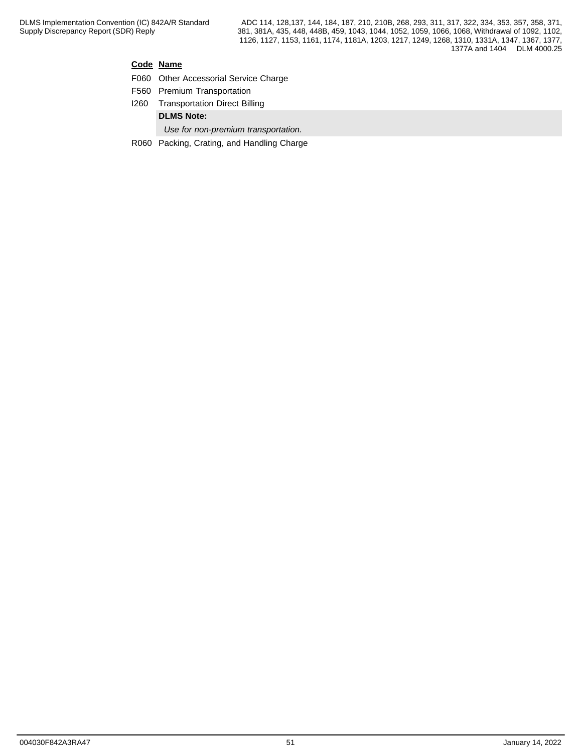#### **Code Name**

- F060 Other Accessorial Service Charge
- F560 Premium Transportation
- I260 Transportation Direct Billing **DLMS Note:**
	- *Use for non-premium transportation.*
- R060 Packing, Crating, and Handling Charge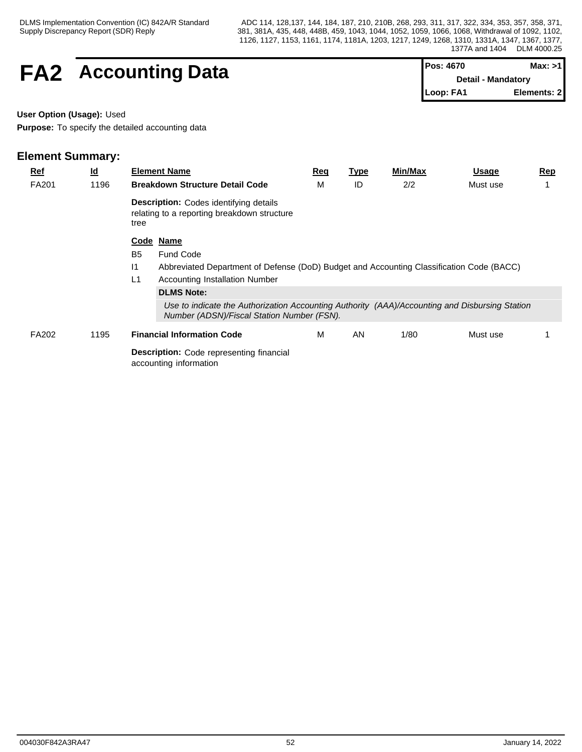### **FA2** Accounting Data

| <b>IPos: 4670</b>  | Max: >1     |  |
|--------------------|-------------|--|
| Detail - Mandatory |             |  |
| Loop: FA1          | Elements: 2 |  |

#### **User Option (Usage):** Used

**Purpose:** To specify the detailed accounting data

| <b>Ref</b><br>FA201 | $\underline{\mathsf{Id}}$<br>1196 |                                                                           | <b>Element Name</b><br><b>Breakdown Structure Detail Code</b>                                                                                                                           | <b>Req</b><br>M | <u>Type</u><br>ID | <b>Min/Max</b><br>2/2 | <u>Usage</u><br>Must use | Rep |  |
|---------------------|-----------------------------------|---------------------------------------------------------------------------|-----------------------------------------------------------------------------------------------------------------------------------------------------------------------------------------|-----------------|-------------------|-----------------------|--------------------------|-----|--|
|                     |                                   | tree                                                                      | <b>Description:</b> Codes identifying details<br>relating to a reporting breakdown structure                                                                                            |                 |                   |                       |                          |     |  |
|                     |                                   | B <sub>5</sub><br>$\vert$ 1<br>L1                                         | Code Name<br><b>Fund Code</b><br>Abbreviated Department of Defense (DoD) Budget and Accounting Classification Code (BACC)<br><b>Accounting Installation Number</b><br><b>DLMS Note:</b> |                 |                   |                       |                          |     |  |
|                     |                                   |                                                                           | Use to indicate the Authorization Accounting Authority (AAA)/Accounting and Disbursing Station<br>Number (ADSN)/Fiscal Station Number (FSN).                                            |                 |                   |                       |                          |     |  |
| FA202               | 1195                              |                                                                           | <b>Financial Information Code</b>                                                                                                                                                       | M               | AN                | 1/80                  | Must use                 |     |  |
|                     |                                   | <b>Description:</b> Code representing financial<br>accounting information |                                                                                                                                                                                         |                 |                   |                       |                          |     |  |